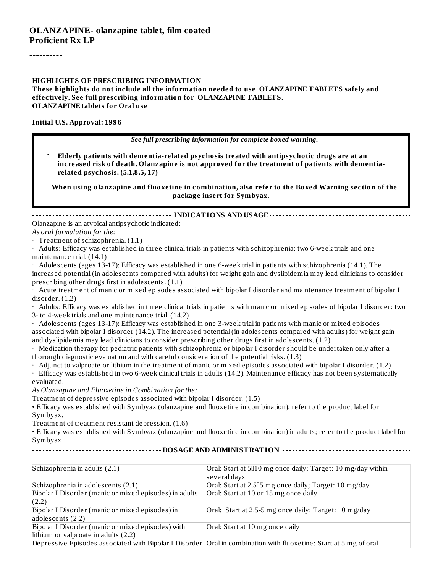#### **OLANZAPINE- olanzapine tablet, film coated Proficient Rx LP**

----------

#### **HIGHLIGHTS OF PRESCRIBING INFORMATION**

**These highlights do not include all the information needed to use OLANZAPINE TABLETS safely and effectively. See full prescribing information for OLANZAPINE TABLETS. OLANZAPINE tablets for Oral use**

**Initial U.S. Approval: 1996**

#### *See full prescribing information for complete boxed warning.*

• **Elderly patients with dementia-related psychosis treated with antipsychotic drugs are at an increased risk of death. Olanzapine is not approved for the treatment of patients with dementiarelated psychosis. (5.1,8.5, 17)**

**When using olanzapine and fluoxetine in combination, also refer to the Boxed Warning section of the package insert for Symbyax.**

#### **INDICATIONS AND USAGE**

Olanzapine is an atypical antipsychotic indicated:

#### *As oral formulation for the:*

· Treatment of schizophrenia. (1.1)

· Adults: Efficacy was established in three clinical trials in patients with schizophrenia: two 6-week trials and one maintenance trial. (14.1)

· Adolescents (ages 13-17): Efficacy was established in one 6-week trial in patients with schizophrenia (14.1). The increased potential (in adolescents compared with adults) for weight gain and dyslipidemia may lead clinicians to consider prescribing other drugs first in adolescents. (1.1)

Acute treatment of manic or mixed episodes associated with bipolar I disorder and maintenance treatment of bipolar I disorder. (1.2)

· Adults: Efficacy was established in three clinical trials in patients with manic or mixed episodes of bipolar I disorder: two 3- to 4-week trials and one maintenance trial. (14.2)

· Adolescents (ages 13-17): Efficacy was established in one 3-week trial in patients with manic or mixed episodes associated with bipolar I disorder (14.2). The increased potential (in adolescents compared with adults) for weight gain and dyslipidemia may lead clinicians to consider prescribing other drugs first in adolescents. (1.2)

· Medication therapy for pediatric patients with schizophrenia or bipolar I disorder should be undertaken only after a thorough diagnostic evaluation and with careful consideration of the potential risks. (1.3)

· Adjunct to valproate or lithium in the treatment of manic or mixed episodes associated with bipolar I disorder. (1.2)

· Efficacy was established in two 6-week clinical trials in adults (14.2). Maintenance efficacy has not been systematically evaluated.

*As Olanzapine and Fluoxetine in Combination for the:*

Treatment of depressive episodes associated with bipolar I disorder. (1.5)

• Efficacy was established with Symbyax (olanzapine and fluoxetine in combination); refer to the product label for Symbyax.

Treatment of treatment resistant depression. (1.6)

• Efficacy was established with Symbyax (olanzapine and fluoxetine in combination) in adults; refer to the product label for Symbyax **DOSAGE AND ADMINISTRATION**

| Schizophrenia in adults (2.1)                          | Oral: Start at 5010 mg once daily; Target: 10 mg/day within                                                       |
|--------------------------------------------------------|-------------------------------------------------------------------------------------------------------------------|
|                                                        | several days                                                                                                      |
| Schizophrenia in adolescents (2.1)                     | Oral: Start at 2.505 mg once daily; Target: 10 mg/day                                                             |
| Bipolar I Disorder (manic or mixed episodes) in adults | Oral: Start at 10 or 15 mg once daily                                                                             |
| (2.2)                                                  |                                                                                                                   |
| Bipolar I Disorder (manic or mixed episodes) in        | Oral: Start at 2.5-5 mg once daily; Target: 10 mg/day                                                             |
| adolescents (2.2)                                      |                                                                                                                   |
| Bipolar I Disorder (manic or mixed episodes) with      | Oral: Start at 10 mg once daily                                                                                   |
| lithium or valproate in adults (2.2)                   |                                                                                                                   |
|                                                        | Depressive Episodes associated with Bipolar I Disorder Oral in combination with fluoxetine: Start at 5 mg of oral |

Depressive Episodes associated with Bipolar I Disorder Oral in combination with fluoxetine: Start at 5 mg of oral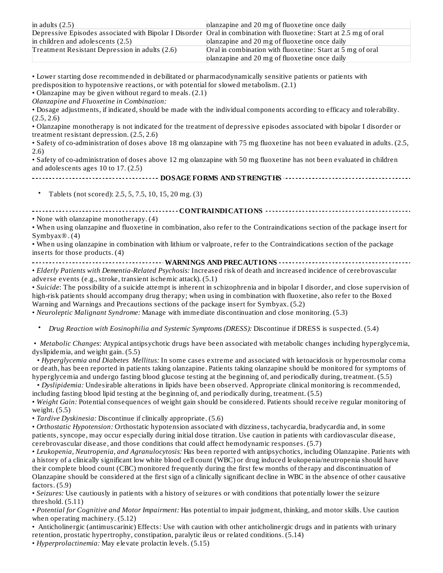| in adults $(2.5)$                              | planzapine and 20 mg of fluoxetine once daily                                                                       |
|------------------------------------------------|---------------------------------------------------------------------------------------------------------------------|
|                                                | Depressive Episodes associated with Bipolar I Disorder Oral in combination with fluoxetine: Start at 2.5 mg of oral |
| in children and adolescents $(2.5)$            | planzapine and 20 mg of fluoxetine once daily                                                                       |
| Treatment Resistant Depression in adults (2.6) | Oral in combination with fluoxetine: Start at 5 mg of oral                                                          |
|                                                | planzapine and 20 mg of fluoxetine once daily                                                                       |

• Lower starting dose recommended in debilitated or pharmacodynamically sensitive patients or patients with predisposition to hypotensive reactions, or with potential for slowed metabolism. (2.1)

• Olanzapine may be given without regard to meals. (2.1)

*Olanzapine and Fluoxetine in Combination:*

• Dosage adjustments, if indicated, should be made with the individual components according to efficacy and tolerability. (2.5, 2.6)

• Olanzapine monotherapy is not indicated for the treatment of depressive episodes associated with bipolar I disorder or treatment resistant depression. (2.5, 2.6)

• Safety of co-administration of doses above 18 mg olanzapine with 75 mg fluoxetine has not been evaluated in adults. (2.5, 2.6)

• Safety of co-administration of doses above 12 mg olanzapine with 50 mg fluoxetine has not been evaluated in children and adolescents ages 10 to 17. (2.5)

**DOSAGE FORMS AND STRENGTHS**

• Tablets (not scored): 2.5, 5, 7.5, 10, 15, 20 mg. (3)

**CONTRAINDICATIONS**

• None with olanzapine monotherapy. (4)

• When using olanzapine and fluoxetine in combination, also refer to the Contraindications section of the package insert for Symbyax $\overline{\mathbb{R}}$ . (4)

• When using olanzapine in combination with lithium or valproate, refer to the Contraindications section of the package inserts for those products. (4)

**WARNINGS AND PRECAUTIONS**

• *Elderly Patients with Dementia-Related Psychosis:* Increased risk of death and increased incidence of cerebrovascular adverse events (e.g., stroke, transient ischemic attack). (5.1)

• *Suicide*: The possibility of a suicide attempt is inherent in schizophrenia and in bipolar I disorder, and close supervision of high-risk patients should accompany drug therapy; when using in combination with fluoxetine, also refer to the Boxed Warning and Warnings and Precautions sections of the package insert for Symbyax. (5.2)

• *Neuroleptic Malignant Syndrome:* Manage with immediate discontinuation and close monitoring. (5.3)

• *Drug Reaction with Eosinophilia and Systemic Symptoms (DRESS):* Discontinue if DRESS is suspected. (5.4)

• *Metabolic Changes*: Atypical antipsychotic drugs have been associated with metabolic changes including hyperglycemia, dyslipidemia, and weight gain. (5.5)

• *Hyperglycemia and Diabetes Mellitus:* In some cases extreme and associated with ketoacidosis or hyperosmolar coma or death, has been reported in patients taking olanzapine. Patients taking olanzapine should be monitored for symptoms of hyperglycemia and undergo fasting blood glucose testing at the beginning of, and periodically during, treatment. (5.5)

• *Dyslipidemia:* Undesirable alterations in lipids have been observed. Appropriate clinical monitoring is recommended, including fasting blood lipid testing at the beginning of, and periodically during, treatment. (5.5)

• *Weight Gain:* Potential consequences of weight gain should be considered. Patients should receive regular monitoring of weight. (5.5)

• *Tardive Dyskinesia:* Discontinue if clinically appropriate. (5.6)

• *Orthostatic Hypotension:* Orthostatic hypotension associated with dizziness, tachycardia, bradycardia and, in some patients, syncope, may occur especially during initial dose titration. Use caution in patients with cardiovascular disease, cerebrovascular disease, and those conditions that could affect hemodynamic responses. (5.7)

• *Leukopenia, Neutropenia, and Agranulocytosis:* Has been reported with antipsychotics, including Olanzapine. Patients with a history of a clinically significant low white blood cell count (WBC) or drug induced leukopenia/neutropenia should have their complete blood count (CBC) monitored frequently during the first few months of therapy and discontinuation of Olanzapine should be considered at the first sign of a clinically significant decline in WBC in the absence of other causative factors. (5.9)

• *Seizures:* Use cautiously in patients with a history of seizures or with conditions that potentially lower the seizure threshold. (5.11)

• *Potential for Cognitive and Motor Impairment:* Has potential to impair judgment, thinking, and motor skills. Use caution when operating machinery. (5.12)

• Anticholinergic (antimuscarinic) Effects: Use with caution with other anticholinergic drugs and in patients with urinary retention, prostatic hypertrophy, constipation, paralytic ileus or related conditions. (5.14)

• *Hyperprolactinemia:* May elevate prolactin levels. (5.15)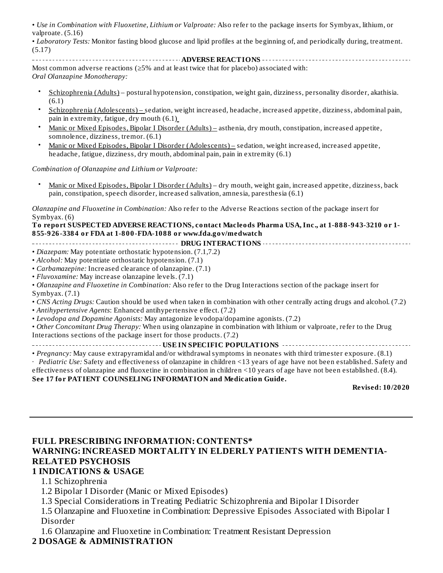• *Use in Combination with Fluoxetine, Lithium or Valproate:* Also refer to the package inserts for Symbyax, lithium, or valproate. (5.16)

• *Laboratory Tests:* Monitor fasting blood glucose and lipid profiles at the beginning of, and periodically during, treatment. (5.17)

**ADVERSE REACTIONS** Most common adverse reactions ( $\geq$ 5% and at least twice that for placebo) associated with: *Oral Olanzapine Monotherapy:*

- Schizophrenia (Adults) – postural hypotension, constipation, weight gain, dizziness, personality disorder, akathisia. (6.1)
- Schizophrenia (Adolescents) sedation, weight increased, headache, increased appetite, dizziness, abdominal pain, pain in extremity, fatigue, dry mouth (6.1)
- Manic or Mixed Episodes, Bipolar I Disorder (Adults) – asthenia, dry mouth, constipation, increased appetite, somnolence, dizziness, tremor. (6.1)
- Manic or Mixed Episodes, Bipolar I Disorder (Adolescents) – sedation, weight increased, increased appetite, headache, fatigue, dizziness, dry mouth, abdominal pain, pain in extremity (6.1)

*Combination of Olanzapine and Lithium or Valproate:*

• Manic or Mixed Episodes, Bipolar I Disorder (Adults) – dry mouth, weight gain, increased appetite, dizziness, back pain, constipation, speech disorder, increased salivation, amnesia, paresthesia (6.1)

*Olanzapine and Fluoxetine in Combination:* Also refer to the Adverse Reactions section of the package insert for Symbyax. (6)

#### **To report SUSPECTED ADVERSE REACTIONS, contact Macleods Pharma USA, Inc., at 1-888-943-3210 or 1- 855-926-3384 or FDA at 1-800-FDA-1088 or www.fda.gov/medwatch**

**DRUG INTERACTIONS**

- *Diazepam:* May potentiate orthostatic hypotension. (7.1,7.2)
- *Alcohol:* May potentiate orthostatic hypotension. (7.1)
- *Carbamazepine:* Increased clearance of olanzapine. (7.1)
- *Fluvoxamine:* May increase olanzapine levels. (7.1)

• *Olanzapine and Fluoxetine in Combination:* Also refer to the Drug Interactions section of the package insert for Symbyax. (7.1)

- *CNS Acting Drugs:* Caution should be used when taken in combination with other centrally acting drugs and alcohol. (7.2)
- *Antihypertensive Agents*: Enhanced antihypertensive effect. (7.2)
- *Levodopa and Dopamine Agonists:* May antagonize levodopa/dopamine agonists. (7.2)

• *Other Concomitant Drug Therapy:* When using olanzapine in combination with lithium or valproate, refer to the Drug Interactions sections of the package insert for those products. (7.2)

#### **USE IN SPECIFIC POPULATIONS**

• *Pregnancy:* May cause extrapyramidal and/or withdrawalsymptoms in neonates with third trimester exposure. (8.1)

· *Pediatric Use:* Safety and effectiveness of olanzapine in children <13 years of age have not been established. Safety and

#### effectiveness of olanzapine and fluoxetine in combination in children <10 years of age have not been established. (8.4). **See 17 for PATIENT COUNSELING INFORMATION and Medication Guide.**

**Revised: 10/2020**

#### **FULL PRESCRIBING INFORMATION: CONTENTS\* WARNING:INCREASED MORTALITY IN ELDERLY PATIENTS WITH DEMENTIA-RELATED PSYCHOSIS 1 INDICATIONS & USAGE**

1.1 Schizophrenia

1.2 Bipolar I Disorder (Manic or Mixed Episodes)

1.3 Special Considerations in Treating Pediatric Schizophrenia and Bipolar I Disorder

1.5 Olanzapine and Fluoxetine in Combination: Depressive Episodes Associated with Bipolar I Disorder

1.6 Olanzapine and Fluoxetine in Combination: Treatment Resistant Depression

#### **2 DOSAGE & ADMINISTRATION**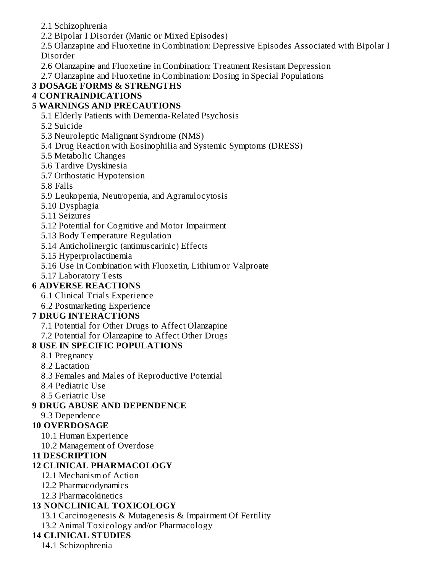2.1 Schizophrenia

2.2 Bipolar I Disorder (Manic or Mixed Episodes)

2.5 Olanzapine and Fluoxetine in Combination: Depressive Episodes Associated with Bipolar I Disorder

2.6 Olanzapine and Fluoxetine in Combination: Treatment Resistant Depression

2.7 Olanzapine and Fluoxetine in Combination: Dosing in Special Populations

## **3 DOSAGE FORMS & STRENGTHS**

#### **4 CONTRAINDICATIONS**

#### **5 WARNINGS AND PRECAUTIONS**

5.1 Elderly Patients with Dementia-Related Psychosis

- 5.2 Suicide
- 5.3 Neuroleptic Malignant Syndrome (NMS)
- 5.4 Drug Reaction with Eosinophilia and Systemic Symptoms (DRESS)
- 5.5 Metabolic Changes
- 5.6 Tardive Dyskinesia
- 5.7 Orthostatic Hypotension
- 5.8 Falls
- 5.9 Leukopenia, Neutropenia, and Agranulocytosis
- 5.10 Dysphagia
- 5.11 Seizures
- 5.12 Potential for Cognitive and Motor Impairment
- 5.13 Body Temperature Regulation
- 5.14 Anticholinergic (antimuscarinic) Effects
- 5.15 Hyperprolactinemia
- 5.16 Use in Combination with Fluoxetin, Lithium or Valproate
- 5.17 Laboratory Tests

#### **6 ADVERSE REACTIONS**

- 6.1 Clinical Trials Experience
- 6.2 Postmarketing Experience

#### **7 DRUG INTERACTIONS**

- 7.1 Potential for Other Drugs to Affect Olanzapine
- 7.2 Potential for Olanzapine to Affect Other Drugs

## **8 USE IN SPECIFIC POPULATIONS**

- 8.1 Pregnancy
- 8.2 Lactation
- 8.3 Females and Males of Reproductive Potential
- 8.4 Pediatric Use
- 8.5 Geriatric Use

#### **9 DRUG ABUSE AND DEPENDENCE**

9.3 Dependence

#### **10 OVERDOSAGE**

- 10.1 Human Experience
- 10.2 Management of Overdose

#### **11 DESCRIPTION**

#### **12 CLINICAL PHARMACOLOGY**

- 12.1 Mechanism of Action
- 12.2 Pharmacodynamics
- 12.3 Pharmacokinetics

## **13 NONCLINICAL TOXICOLOGY**

13.1 Carcinogenesis & Mutagenesis & Impairment Of Fertility

13.2 Animal Toxicology and/or Pharmacology

## **14 CLINICAL STUDIES**

14.1 Schizophrenia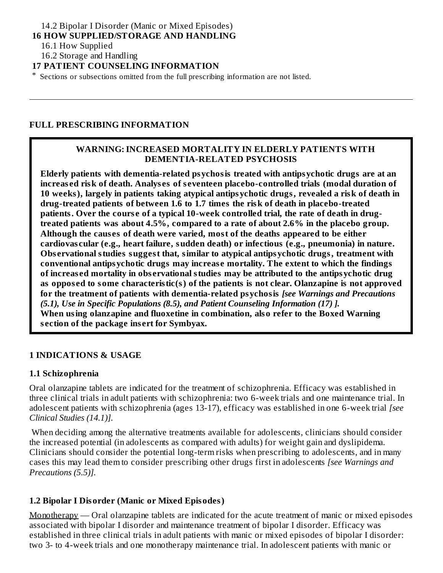#### 14.2 Bipolar I Disorder (Manic or Mixed Episodes)

#### **16 HOW SUPPLIED/STORAGE AND HANDLING**

16.1 How Supplied

16.2 Storage and Handling

#### **17 PATIENT COUNSELING INFORMATION**

\* Sections or subsections omitted from the full prescribing information are not listed.

#### **FULL PRESCRIBING INFORMATION**

#### **WARNING:INCREASED MORTALITY IN ELDERLY PATIENTS WITH DEMENTIA-RELATED PSYCHOSIS**

**Elderly patients with dementia-related psychosis treated with antipsychotic drugs are at an increas ed risk of death. Analys es of s eventeen placebo-controlled trials (modal duration of 10 weeks), largely in patients taking atypical antipsychotic drugs, revealed a risk of death in drug-treated patients of between 1.6 to 1.7 times the risk of death in placebo-treated patients. Over the cours e of a typical 10-week controlled trial, the rate of death in drugtreated patients was about 4.5%, compared to a rate of about 2.6% in the placebo group. Although the caus es of death were varied, most of the deaths appeared to be either cardiovas cular (e.g., heart failure, sudden death) or infectious (e.g., pneumonia) in nature. Obs ervational studies suggest that, similar to atypical antipsychotic drugs, treatment with conventional antipsychotic drugs may increas e mortality. The extent to which the findings of increas ed mortality in obs ervational studies may be attributed to the antipsychotic drug as oppos ed to some characteristic(s) of the patients is not clear. Olanzapine is not approved for the treatment of patients with dementia-related psychosis** *[see Warnings and Precautions (5.1), Use in Specific Populations (8.5), and Patient Counseling Information (17) ].* **When using olanzapine and fluoxetine in combination, also refer to the Boxed Warning s ection of the package ins ert for Symbyax.**

#### **1 INDICATIONS & USAGE**

#### **1.1 Schizophrenia**

Oral olanzapine tablets are indicated for the treatment of schizophrenia. Efficacy was established in three clinical trials in adult patients with schizophrenia: two 6-week trials and one maintenance trial. In adolescent patients with schizophrenia (ages 13-17), efficacy was established in one 6-week trial *[see Clinical Studies (14.1)].*

When deciding among the alternative treatments available for adolescents, clinicians should consider the increased potential (in adolescents as compared with adults) for weight gain and dyslipidema. Clinicians should consider the potential long-term risks when prescribing to adolescents, and in many cases this may lead them to consider prescribing other drugs first in adolescents *[see Warnings and Precautions (5.5)].*

#### **1.2 Bipolar I Disorder (Manic or Mixed Episodes)**

Monotherapy — Oral olanzapine tablets are indicated for the acute treatment of manic or mixed episodes associated with bipolar I disorder and maintenance treatment of bipolar I disorder. Efficacy was established in three clinical trials in adult patients with manic or mixed episodes of bipolar I disorder: two 3- to 4-week trials and one monotherapy maintenance trial. In adolescent patients with manic or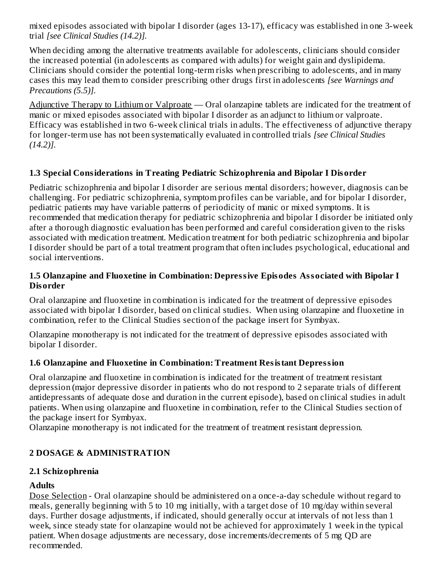mixed episodes associated with bipolar I disorder (ages 13-17), efficacy was established in one 3-week trial *[see Clinical Studies (14.2)].*

When deciding among the alternative treatments available for adolescents, clinicians should consider the increased potential (in adolescents as compared with adults) for weight gain and dyslipidema. Clinicians should consider the potential long-term risks when prescribing to adolescents, and in many cases this may lead them to consider prescribing other drugs first in adolescents *[see Warnings and Precautions (5.5)].*

Adjunctive Therapy to Lithium or Valproate — Oral olanzapine tablets are indicated for the treatment of manic or mixed episodes associated with bipolar I disorder as an adjunct to lithium or valproate. Efficacy was established in two 6-week clinical trials in adults. The effectiveness of adjunctive therapy for longer-term use has not been systematically evaluated in controlled trials *[see Clinical Studies (14.2)].*

#### **1.3 Special Considerations in Treating Pediatric Schizophrenia and Bipolar I Disorder**

Pediatric schizophrenia and bipolar I disorder are serious mental disorders; however, diagnosis can be challenging. For pediatric schizophrenia, symptom profiles can be variable, and for bipolar I disorder, pediatric patients may have variable patterns of periodicity of manic or mixed symptoms. It is recommended that medication therapy for pediatric schizophrenia and bipolar I disorder be initiated only after a thorough diagnostic evaluation has been performed and careful consideration given to the risks associated with medication treatment. Medication treatment for both pediatric schizophrenia and bipolar I disorder should be part of a total treatment program that often includes psychological, educational and social interventions.

#### **1.5 Olanzapine and Fluoxetine in Combination: Depressive Episodes Associated with Bipolar I Disorder**

Oral olanzapine and fluoxetine in combination is indicated for the treatment of depressive episodes associated with bipolar I disorder, based on clinical studies. When using olanzapine and fluoxetine in combination, refer to the Clinical Studies section of the package insert for Symbyax.

Olanzapine monotherapy is not indicated for the treatment of depressive episodes associated with bipolar I disorder.

#### **1.6 Olanzapine and Fluoxetine in Combination: Treatment Resistant Depression**

Oral olanzapine and fluoxetine in combination is indicated for the treatment of treatment resistant depression (major depressive disorder in patients who do not respond to 2 separate trials of different antidepressants of adequate dose and duration in the current episode), based on clinical studies in adult patients. When using olanzapine and fluoxetine in combination, refer to the Clinical Studies section of the package insert for Symbyax.

Olanzapine monotherapy is not indicated for the treatment of treatment resistant depression.

## **2 DOSAGE & ADMINISTRATION**

#### **2.1 Schizophrenia**

#### **Adults**

Dose Selection - Oral olanzapine should be administered on a once-a-day schedule without regard to meals, generally beginning with 5 to 10 mg initially, with a target dose of 10 mg/day within several days. Further dosage adjustments, if indicated, should generally occur at intervals of not less than 1 week, since steady state for olanzapine would not be achieved for approximately 1 week in the typical patient. When dosage adjustments are necessary, dose increments/decrements of 5 mg QD are recommended.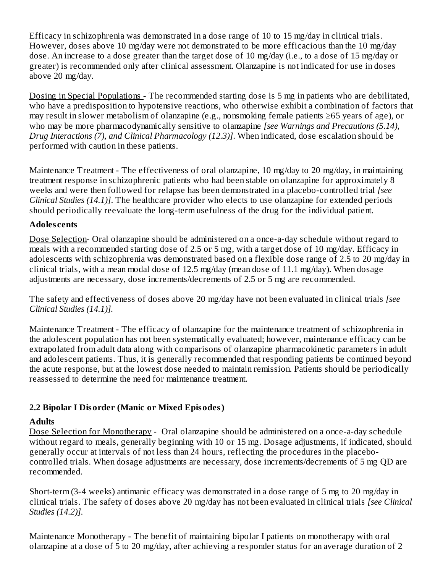Efficacy in schizophrenia was demonstrated in a dose range of 10 to 15 mg/day in clinical trials. However, doses above 10 mg/day were not demonstrated to be more efficacious than the 10 mg/day dose. An increase to a dose greater than the target dose of 10 mg/day (i.e., to a dose of 15 mg/day or greater) is recommended only after clinical assessment. Olanzapine is not indicated for use in doses above 20 mg/day.

Dosing in Special Populations - The recommended starting dose is 5 mg in patients who are debilitated, who have a predisposition to hypotensive reactions, who otherwise exhibit a combination of factors that may result in slower metabolism of olanzapine (e.g., nonsmoking female patients ≥65 years of age), or who may be more pharmacodynamically sensitive to olanzapine *[see Warnings and Precautions (5.14), Drug Interactions (7), and Clinical Pharmacology (12.3)]*. When indicated, dose escalation should be performed with caution in these patients.

Maintenance Treatment - The effectiveness of oral olanzapine, 10 mg/day to 20 mg/day, in maintaining treatment response in schizophrenic patients who had been stable on olanzapine for approximately 8 weeks and were then followed for relapse has been demonstrated in a placebo-controlled trial *[see Clinical Studies (14.1)]*. The healthcare provider who elects to use olanzapine for extended periods should periodically reevaluate the long-term usefulness of the drug for the individual patient.

#### **Adoles cents**

Dose Selection- Oral olanzapine should be administered on a once-a-day schedule without regard to meals with a recommended starting dose of 2.5 or 5 mg, with a target dose of 10 mg/day. Efficacy in adolescents with schizophrenia was demonstrated based on a flexible dose range of 2.5 to 20 mg/day in clinical trials, with a mean modal dose of 12.5 mg/day (mean dose of 11.1 mg/day). When dosage adjustments are necessary, dose increments/decrements of 2.5 or 5 mg are recommended.

The safety and effectiveness of doses above 20 mg/day have not been evaluated in clinical trials *[see Clinical Studies (14.1)].*

Maintenance Treatment - The efficacy of olanzapine for the maintenance treatment of schizophrenia in the adolescent population has not been systematically evaluated; however, maintenance efficacy can be extrapolated from adult data along with comparisons of olanzapine pharmacokinetic parameters in adult and adolescent patients. Thus, it is generally recommended that responding patients be continued beyond the acute response, but at the lowest dose needed to maintain remission. Patients should be periodically reassessed to determine the need for maintenance treatment.

#### **2.2 Bipolar I Disorder (Manic or Mixed Episodes)**

#### **Adults**

Dose Selection for Monotherapy - Oral olanzapine should be administered on a once-a-day schedule without regard to meals, generally beginning with 10 or 15 mg. Dosage adjustments, if indicated, should generally occur at intervals of not less than 24 hours, reflecting the procedures in the placebocontrolled trials. When dosage adjustments are necessary, dose increments/decrements of 5 mg QD are recommended.

Short-term (3-4 weeks) antimanic efficacy was demonstrated in a dose range of 5 mg to 20 mg/day in clinical trials. The safety of doses above 20 mg/day has not been evaluated in clinical trials *[see Clinical Studies (14.2)].*

Maintenance Monotherapy - The benefit of maintaining bipolar I patients on monotherapy with oral olanzapine at a dose of 5 to 20 mg/day, after achieving a responder status for an average duration of 2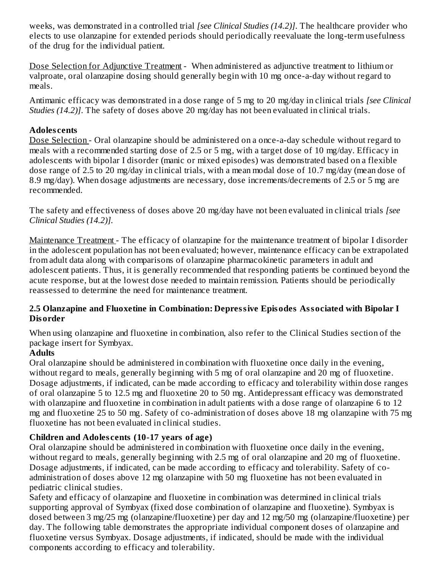weeks, was demonstrated in a controlled trial *[see Clinical Studies (14.2)]*. The healthcare provider who elects to use olanzapine for extended periods should periodically reevaluate the long-term usefulness of the drug for the individual patient.

Dose Selection for Adjunctive Treatment - When administered as adjunctive treatment to lithium or valproate, oral olanzapine dosing should generally begin with 10 mg once-a-day without regard to meals.

Antimanic efficacy was demonstrated in a dose range of 5 mg to 20 mg/day in clinical trials *[see Clinical Studies (14.2)]*. The safety of doses above 20 mg/day has not been evaluated in clinical trials.

#### **Adoles cents**

Dose Selection - Oral olanzapine should be administered on a once-a-day schedule without regard to meals with a recommended starting dose of 2.5 or 5 mg, with a target dose of 10 mg/day. Efficacy in adolescents with bipolar I disorder (manic or mixed episodes) was demonstrated based on a flexible dose range of 2.5 to 20 mg/day in clinical trials, with a mean modal dose of 10.7 mg/day (mean dose of 8.9 mg/day). When dosage adjustments are necessary, dose increments/decrements of 2.5 or 5 mg are recommended.

The safety and effectiveness of doses above 20 mg/day have not been evaluated in clinical trials *[see Clinical Studies (14.2)].*

Maintenance Treatment - The efficacy of olanzapine for the maintenance treatment of bipolar I disorder in the adolescent population has not been evaluated; however, maintenance efficacy can be extrapolated from adult data along with comparisons of olanzapine pharmacokinetic parameters in adult and adolescent patients. Thus, it is generally recommended that responding patients be continued beyond the acute response, but at the lowest dose needed to maintain remission. Patients should be periodically reassessed to determine the need for maintenance treatment.

#### **2.5 Olanzapine and Fluoxetine in Combination: Depressive Episodes Associated with Bipolar I Disorder**

When using olanzapine and fluoxetine in combination, also refer to the Clinical Studies section of the package insert for Symbyax.

#### **Adults**

Oral olanzapine should be administered in combination with fluoxetine once daily in the evening, without regard to meals, generally beginning with 5 mg of oral olanzapine and 20 mg of fluoxetine. Dosage adjustments, if indicated, can be made according to efficacy and tolerability within dose ranges of oral olanzapine 5 to 12.5 mg and fluoxetine 20 to 50 mg. Antidepressant efficacy was demonstrated with olanzapine and fluoxetine in combination in adult patients with a dose range of olanzapine 6 to 12 mg and fluoxetine 25 to 50 mg. Safety of co-administration of doses above 18 mg olanzapine with 75 mg fluoxetine has not been evaluated in clinical studies.

#### **Children and Adoles cents (10-17 years of age)**

Oral olanzapine should be administered in combination with fluoxetine once daily in the evening, without regard to meals, generally beginning with 2.5 mg of oral olanzapine and 20 mg of fluoxetine. Dosage adjustments, if indicated, can be made according to efficacy and tolerability. Safety of coadministration of doses above 12 mg olanzapine with 50 mg fluoxetine has not been evaluated in pediatric clinical studies.

Safety and efficacy of olanzapine and fluoxetine in combination was determined in clinical trials supporting approval of Symbyax (fixed dose combination of olanzapine and fluoxetine). Symbyax is dosed between 3 mg/25 mg (olanzapine/fluoxetine) per day and 12 mg/50 mg (olanzapine/fluoxetine) per day. The following table demonstrates the appropriate individual component doses of olanzapine and fluoxetine versus Symbyax. Dosage adjustments, if indicated, should be made with the individual components according to efficacy and tolerability.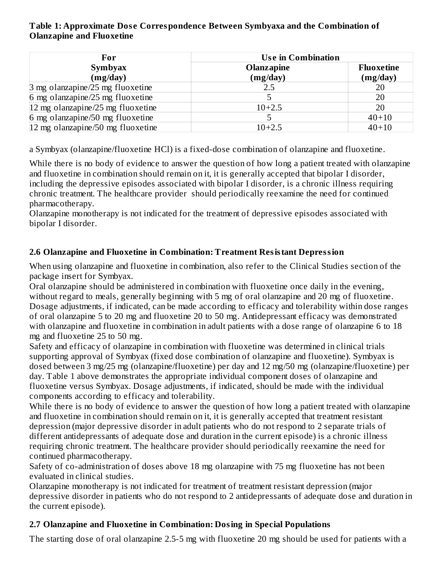#### **Table 1: Approximate Dos e Correspondence Between Symbyaxa and the Combination of Olanzapine and Fluoxetine**

| For                               | <b>Use in Combination</b> |                   |  |  |  |
|-----------------------------------|---------------------------|-------------------|--|--|--|
| <b>Symbyax</b>                    | <b>Olanzapine</b>         | <b>Fluoxetine</b> |  |  |  |
| (mg/day)                          | (mg/day)                  | (mg/day)          |  |  |  |
| 3 mg olanzapine/25 mg fluoxetine  | 2.5                       | 20                |  |  |  |
| 6 mg olanzapine/25 mg fluoxetine  |                           | 20                |  |  |  |
| 12 mg olanzapine/25 mg fluoxetine | $10+2.5$                  | 20                |  |  |  |
| 6 mg olanzapine/50 mg fluoxetine  |                           | $40 + 10$         |  |  |  |
| 12 mg olanzapine/50 mg fluoxetine | $10+2.5$                  | $40 + 10$         |  |  |  |

a Symbyax (olanzapine/fluoxetine HCl) is a fixed-dose combination of olanzapine and fluoxetine.

While there is no body of evidence to answer the question of how long a patient treated with olanzapine and fluoxetine in combination should remain on it, it is generally accepted that bipolar I disorder, including the depressive episodes associated with bipolar I disorder, is a chronic illness requiring chronic treatment. The healthcare provider should periodically reexamine the need for continued pharmacotherapy.

Olanzapine monotherapy is not indicated for the treatment of depressive episodes associated with bipolar I disorder.

#### **2.6 Olanzapine and Fluoxetine in Combination: Treatment Resistant Depression**

When using olanzapine and fluoxetine in combination, also refer to the Clinical Studies section of the package insert for Symbyax.

Oral olanzapine should be administered in combination with fluoxetine once daily in the evening, without regard to meals, generally beginning with 5 mg of oral olanzapine and 20 mg of fluoxetine. Dosage adjustments, if indicated, can be made according to efficacy and tolerability within dose ranges of oral olanzapine 5 to 20 mg and fluoxetine 20 to 50 mg. Antidepressant efficacy was demonstrated with olanzapine and fluoxetine in combination in adult patients with a dose range of olanzapine 6 to 18 mg and fluoxetine 25 to 50 mg.

Safety and efficacy of olanzapine in combination with fluoxetine was determined in clinical trials supporting approval of Symbyax (fixed dose combination of olanzapine and fluoxetine). Symbyax is dosed between 3 mg/25 mg (olanzapine/fluoxetine) per day and 12 mg/50 mg (olanzapine/fluoxetine) per day. Table 1 above demonstrates the appropriate individual component doses of olanzapine and fluoxetine versus Symbyax. Dosage adjustments, if indicated, should be made with the individual components according to efficacy and tolerability.

While there is no body of evidence to answer the question of how long a patient treated with olanzapine and fluoxetine in combination should remain on it, it is generally accepted that treatment resistant depression (major depressive disorder in adult patients who do not respond to 2 separate trials of different antidepressants of adequate dose and duration in the current episode) is a chronic illness requiring chronic treatment. The healthcare provider should periodically reexamine the need for continued pharmacotherapy.

Safety of co-administration of doses above 18 mg olanzapine with 75 mg fluoxetine has not been evaluated in clinical studies.

Olanzapine monotherapy is not indicated for treatment of treatment resistant depression (major depressive disorder in patients who do not respond to 2 antidepressants of adequate dose and duration in the current episode).

#### **2.7 Olanzapine and Fluoxetine in Combination: Dosing in Special Populations**

The starting dose of oral olanzapine 2.5-5 mg with fluoxetine 20 mg should be used for patients with a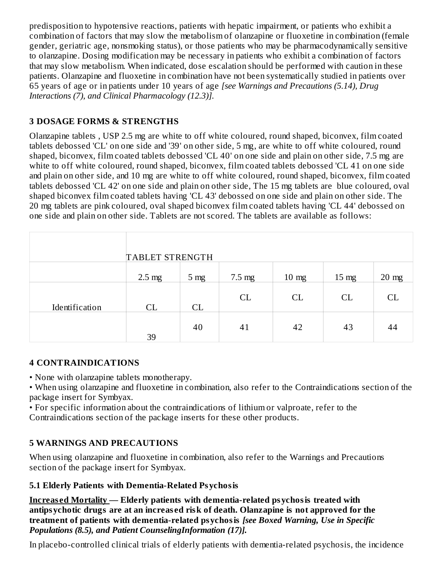predisposition to hypotensive reactions, patients with hepatic impairment, or patients who exhibit a combination of factors that may slow the metabolism of olanzapine or fluoxetine in combination (female gender, geriatric age, nonsmoking status), or those patients who may be pharmacodynamically sensitive to olanzapine. Dosing modification may be necessary in patients who exhibit a combination of factors that may slow metabolism. When indicated, dose escalation should be performed with caution in these patients. Olanzapine and fluoxetine in combination have not been systematically studied in patients over 65 years of age or in patients under 10 years of age *[see Warnings and Precautions (5.14), Drug Interactions (7), and Clinical Pharmacology (12.3)].*

## **3 DOSAGE FORMS & STRENGTHS**

Olanzapine tablets , USP 2.5 mg are white to off white coloured, round shaped, biconvex, film coated tablets debossed 'CL' on one side and '39' on other side, 5 mg, are white to off white coloured, round shaped, biconvex, film coated tablets debossed 'CL 40' on one side and plain on other side, 7.5 mg are white to off white coloured, round shaped, biconvex, film coated tablets debossed 'CL 41 on one side and plain on other side, and 10 mg are white to off white coloured, round shaped, biconvex, film coated tablets debossed 'CL 42' on one side and plain on other side, The 15 mg tablets are blue coloured, oval shaped biconvex film coated tablets having 'CL 43' debossed on one side and plain on other side. The 20 mg tablets are pink coloured, oval shaped biconvex film coated tablets having 'CL 44' debossed on one side and plain on other side. Tablets are not scored. The tablets are available as follows:

|                | <b>TABLET STRENGTH</b> |                 |                  |                 |                 |         |
|----------------|------------------------|-----------------|------------------|-----------------|-----------------|---------|
|                | $2.5 \text{ mg}$       | 5 <sub>mg</sub> | $7.5 \text{ mg}$ | $10 \text{ mg}$ | $15 \text{ mg}$ | $20$ mg |
| Identification | CL                     | CL              | CL               | CL              | CL              | CL      |
|                | 39                     | 40              | 41               | 42              | 43              | 44      |

#### **4 CONTRAINDICATIONS**

• None with olanzapine tablets monotherapy.

• When using olanzapine and fluoxetine in combination, also refer to the Contraindications section of the package insert for Symbyax.

• For specific information about the contraindications of lithium or valproate, refer to the Contraindications section of the package inserts for these other products.

## **5 WARNINGS AND PRECAUTIONS**

When using olanzapine and fluoxetine in combination, also refer to the Warnings and Precautions section of the package insert for Symbyax.

#### **5.1 Elderly Patients with Dementia-Related Psychosis**

**Increas ed Mortality — Elderly patients with dementia-related psychosis treated with antipsychotic drugs are at an increas ed risk of death. Olanzapine is not approved for the treatment of patients with dementia-related psychosis** *[see Boxed Warning, Use in Specific Populations (8.5), and Patient CounselingInformation (17)].*

In placebo-controlled clinical trials of elderly patients with dementia-related psychosis, the incidence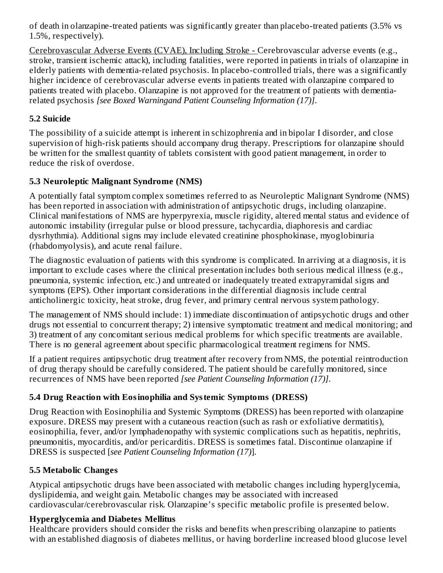of death in olanzapine-treated patients was significantly greater than placebo-treated patients (3.5% vs 1.5%, respectively).

Cerebrovascular Adverse Events (CVAE), Including Stroke - Cerebrovascular adverse events (e.g., stroke, transient ischemic attack), including fatalities, were reported in patients in trials of olanzapine in elderly patients with dementia-related psychosis. In placebo-controlled trials, there was a significantly higher incidence of cerebrovascular adverse events in patients treated with olanzapine compared to patients treated with placebo. Olanzapine is not approved for the treatment of patients with dementiarelated psychosis *[see Boxed Warningand Patient Counseling Information (17)]*.

#### **5.2 Suicide**

The possibility of a suicide attempt is inherent in schizophrenia and in bipolar I disorder, and close supervision of high-risk patients should accompany drug therapy. Prescriptions for olanzapine should be written for the smallest quantity of tablets consistent with good patient management, in order to reduce the risk of overdose.

#### **5.3 Neuroleptic Malignant Syndrome (NMS)**

A potentially fatal symptom complex sometimes referred to as Neuroleptic Malignant Syndrome (NMS) has been reported in association with administration of antipsychotic drugs, including olanzapine. Clinical manifestations of NMS are hyperpyrexia, muscle rigidity, altered mental status and evidence of autonomic instability (irregular pulse or blood pressure, tachycardia, diaphoresis and cardiac dysrhythmia). Additional signs may include elevated creatinine phosphokinase, myoglobinuria (rhabdomyolysis), and acute renal failure.

The diagnostic evaluation of patients with this syndrome is complicated. In arriving at a diagnosis, it is important to exclude cases where the clinical presentation includes both serious medical illness (e.g., pneumonia, systemic infection, etc.) and untreated or inadequately treated extrapyramidal signs and symptoms (EPS). Other important considerations in the differential diagnosis include central anticholinergic toxicity, heat stroke, drug fever, and primary central nervous system pathology.

The management of NMS should include: 1) immediate discontinuation of antipsychotic drugs and other drugs not essential to concurrent therapy; 2) intensive symptomatic treatment and medical monitoring; and 3) treatment of any concomitant serious medical problems for which specific treatments are available. There is no general agreement about specific pharmacological treatment regimens for NMS.

If a patient requires antipsychotic drug treatment after recovery from NMS, the potential reintroduction of drug therapy should be carefully considered. The patient should be carefully monitored, since recurrences of NMS have been reported *[see Patient Counseling Information (17)]*.

## **5.4 Drug Reaction with Eosinophilia and Systemic Symptoms (DRESS)**

Drug Reaction with Eosinophilia and Systemic Symptoms (DRESS) has been reported with olanzapine exposure. DRESS may present with a cutaneous reaction (such as rash or exfoliative dermatitis), eosinophilia, fever, and/or lymphadenopathy with systemic complications such as hepatitis, nephritis, pneumonitis, myocarditis, and/or pericarditis. DRESS is sometimes fatal. Discontinue olanzapine if DRESS is suspected [*see Patient Counseling Information (17)*].

## **5.5 Metabolic Changes**

Atypical antipsychotic drugs have been associated with metabolic changes including hyperglycemia, dyslipidemia, and weight gain. Metabolic changes may be associated with increased cardiovascular/cerebrovascular risk. Olanzapine's specific metabolic profile is presented below.

## **Hyperglycemia and Diabetes Mellitus**

Healthcare providers should consider the risks and benefits when prescribing olanzapine to patients with an established diagnosis of diabetes mellitus, or having borderline increased blood glucose level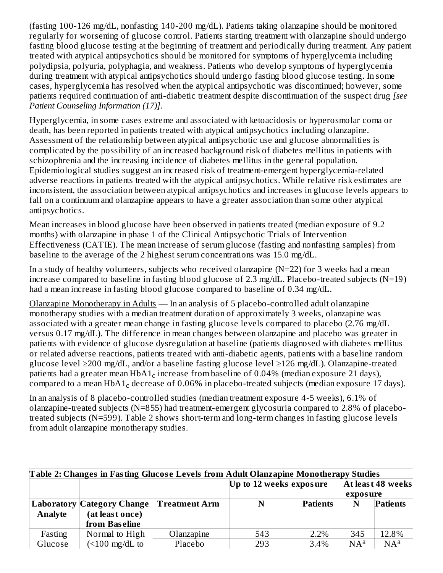(fasting 100-126 mg/dL, nonfasting 140-200 mg/dL). Patients taking olanzapine should be monitored regularly for worsening of glucose control. Patients starting treatment with olanzapine should undergo fasting blood glucose testing at the beginning of treatment and periodically during treatment. Any patient treated with atypical antipsychotics should be monitored for symptoms of hyperglycemia including polydipsia, polyuria, polyphagia, and weakness. Patients who develop symptoms of hyperglycemia during treatment with atypical antipsychotics should undergo fasting blood glucose testing. In some cases, hyperglycemia has resolved when the atypical antipsychotic was discontinued; however, some patients required continuation of anti-diabetic treatment despite discontinuation of the suspect drug *[see Patient Counseling Information (17)]*.

Hyperglycemia, in some cases extreme and associated with ketoacidosis or hyperosmolar coma or death, has been reported in patients treated with atypical antipsychotics including olanzapine. Assessment of the relationship between atypical antipsychotic use and glucose abnormalities is complicated by the possibility of an increased background risk of diabetes mellitus in patients with schizophrenia and the increasing incidence of diabetes mellitus in the general population. Epidemiological studies suggest an increased risk of treatment-emergent hyperglycemia-related adverse reactions in patients treated with the atypical antipsychotics. While relative risk estimates are inconsistent, the association between atypical antipsychotics and increases in glucose levels appears to fall on a continuum and olanzapine appears to have a greater association than some other atypical antipsychotics.

Mean increases in blood glucose have been observed in patients treated (median exposure of 9.2 months) with olanzapine in phase 1 of the Clinical Antipsychotic Trials of Intervention Effectiveness (CATIE). The mean increase of serum glucose (fasting and nonfasting samples) from baseline to the average of the 2 highest serum concentrations was 15.0 mg/dL.

In a study of healthy volunteers, subjects who received olanzapine (N=22) for 3 weeks had a mean increase compared to baseline in fasting blood glucose of 2.3 mg/dL. Placebo-treated subjects (N=19) had a mean increase in fasting blood glucose compared to baseline of 0.34 mg/dL.

Olanzapine Monotherapy in Adults — In an analysis of 5 placebo-controlled adult olanzapine monotherapy studies with a median treatment duration of approximately 3 weeks, olanzapine was associated with a greater mean change in fasting glucose levels compared to placebo (2.76 mg/dL versus 0.17 mg/dL). The difference in mean changes between olanzapine and placebo was greater in patients with evidence of glucose dysregulation at baseline (patients diagnosed with diabetes mellitus or related adverse reactions, patients treated with anti-diabetic agents, patients with a baseline random glucose level ≥200 mg/dL, and/or a baseline fasting glucose level ≥126 mg/dL). Olanzapine-treated patients had a greater mean HbA1 $_{\rm c}$  increase from baseline of 0.04% (median exposure 21 days), compared to a mean HbA1 $_{\rm c}$  decrease of 0.06% in placebo-treated subjects (median exposure 17 days).

In an analysis of 8 placebo-controlled studies (median treatment exposure 4-5 weeks), 6.1% of olanzapine-treated subjects (N=855) had treatment-emergent glycosuria compared to 2.8% of placebotreated subjects (N=599). Table 2 shows short-term and long-term changes in fasting glucose levels from adult olanzapine monotherapy studies.

|                | Table 2: Changes in Fasting Glucose Levels from Adult Olanzapine Monotherapy Studies |                      |                         |                 |                               |                 |  |  |
|----------------|--------------------------------------------------------------------------------------|----------------------|-------------------------|-----------------|-------------------------------|-----------------|--|--|
|                |                                                                                      |                      | Up to 12 weeks exposure |                 | At least 48 weeks<br>exposure |                 |  |  |
|                | Laboratory Category Change                                                           | <b>Treatment Arm</b> | N                       | <b>Patients</b> | N                             | <b>Patients</b> |  |  |
| <b>Analyte</b> | (at least once)                                                                      |                      |                         |                 |                               |                 |  |  |
|                | from Baseline                                                                        |                      |                         |                 |                               |                 |  |  |
| Fasting        | Normal to High                                                                       | Olanzapine           | 543                     | 2.2%            | 345                           | 12.8%           |  |  |
| Glucose        | $($ < 100 mg/dL to                                                                   | Placebo              | 293                     | 3.4%            | $NA^a$                        | $NA^a$          |  |  |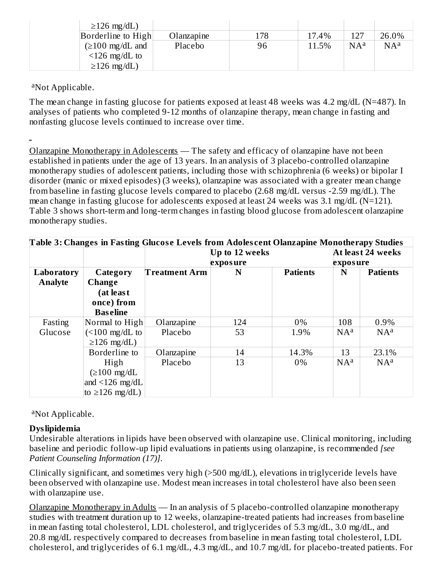| $\geq$ 126 mg/dL)             |            |     |       |        |        |
|-------------------------------|------------|-----|-------|--------|--------|
| Borderline to High            | Olanzapine | 178 | 17.4% | 127    | 26.0%  |
| $(\geq 100 \text{ mg/dL}$ and | Placebo    | 96  | 11.5% | $NA^a$ | $NA^a$ |
| $\leq$ 126 mg/dL to           |            |     |       |        |        |
| $\geq$ 126 mg/dL)             |            |     |       |        |        |

<sup>a</sup>Not Applicable.

The mean change in fasting glucose for patients exposed at least 48 weeks was 4.2 mg/dL (N=487). In analyses of patients who completed 9-12 months of olanzapine therapy, mean change in fasting and nonfasting glucose levels continued to increase over time.

Olanzapine Monotherapy in Adolescents — The safety and efficacy of olanzapine have not been established in patients under the age of 13 years. In an analysis of 3 placebo-controlled olanzapine monotherapy studies of adolescent patients, including those with schizophrenia (6 weeks) or bipolar I disorder (manic or mixed episodes) (3 weeks), olanzapine was associated with a greater mean change from baseline in fasting glucose levels compared to placebo (2.68 mg/dL versus -2.59 mg/dL). The mean change in fasting glucose for adolescents exposed at least 24 weeks was 3.1 mg/dL (N=121). Table 3 shows short-term and long-term changes in fasting blood glucose from adolescent olanzapine monotherapy studies.

| Table 3: Changes in Fasting Glucose Levels from Adolescent Olanzapine Monotherapy Studies |                                         |                      |                |                 |          |                   |  |
|-------------------------------------------------------------------------------------------|-----------------------------------------|----------------------|----------------|-----------------|----------|-------------------|--|
|                                                                                           |                                         |                      | Up to 12 weeks |                 |          | At least 24 weeks |  |
|                                                                                           |                                         |                      | exposure       |                 | exposure |                   |  |
| Laboratory                                                                                | Category                                | <b>Treatment Arm</b> | N              | <b>Patients</b> | N        | <b>Patients</b>   |  |
| <b>Analyte</b>                                                                            | Change                                  |                      |                |                 |          |                   |  |
|                                                                                           | (at leas t                              |                      |                |                 |          |                   |  |
|                                                                                           | once) from                              |                      |                |                 |          |                   |  |
|                                                                                           | <b>Baseline</b>                         |                      |                |                 |          |                   |  |
| Fasting                                                                                   | Normal to High                          | Olanzapine           | 124            | 0%              | 108      | 0.9%              |  |
| Glucose                                                                                   | $\left($ <100 mg/dL to                  | Placebo              | 53             | 1.9%            | $NA^a$   | $NA^a$            |  |
|                                                                                           | $\geq$ 126 mg/dL)                       |                      |                |                 |          |                   |  |
|                                                                                           | Borderline to                           | Olanzapine           | 14             | 14.3%           | 13       | 23.1%             |  |
|                                                                                           | High                                    | Placebo              | 13             | 0%              | $NA^a$   | $NA^a$            |  |
|                                                                                           | $(\geq 100 \text{ mg/dL})$              |                      |                |                 |          |                   |  |
|                                                                                           | and $\langle 126 \text{ mg/dL} \rangle$ |                      |                |                 |          |                   |  |
|                                                                                           | to $\geq$ 126 mg/dL)                    |                      |                |                 |          |                   |  |

<sup>a</sup>Not Applicable.

## **Dyslipidemia**

Undesirable alterations in lipids have been observed with olanzapine use. Clinical monitoring, including baseline and periodic follow-up lipid evaluations in patients using olanzapine, is recommended *[see Patient Counseling Information (17)]*.

Clinically significant, and sometimes very high (>500 mg/dL), elevations in triglyceride levels have been observed with olanzapine use. Modest mean increases in total cholesterol have also been seen with olanzapine use.

Olanzapine Monotherapy in Adults — In an analysis of 5 placebo-controlled olanzapine monotherapy studies with treatment duration up to 12 weeks, olanzapine-treated patients had increases from baseline in mean fasting total cholesterol, LDL cholesterol, and triglycerides of 5.3 mg/dL, 3.0 mg/dL, and 20.8 mg/dL respectively compared to decreases from baseline in mean fasting total cholesterol, LDL cholesterol, and triglycerides of 6.1 mg/dL, 4.3 mg/dL, and 10.7 mg/dL for placebo-treated patients. For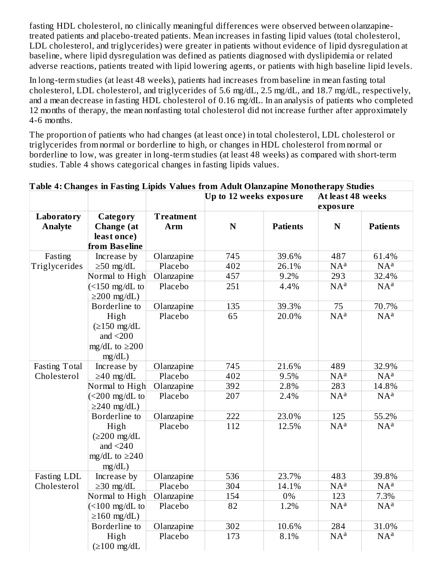fasting HDL cholesterol, no clinically meaningful differences were observed between olanzapinetreated patients and placebo-treated patients. Mean increases in fasting lipid values (total cholesterol, LDL cholesterol, and triglycerides) were greater in patients without evidence of lipid dysregulation at baseline, where lipid dysregulation was defined as patients diagnosed with dyslipidemia or related adverse reactions, patients treated with lipid lowering agents, or patients with high baseline lipid levels.

In long-term studies (at least 48 weeks), patients had increases from baseline in mean fasting total cholesterol, LDL cholesterol, and triglycerides of 5.6 mg/dL, 2.5 mg/dL, and 18.7 mg/dL, respectively, and a mean decrease in fasting HDL cholesterol of 0.16 mg/dL. In an analysis of patients who completed 12 months of therapy, the mean nonfasting total cholesterol did not increase further after approximately 4-6 months.

The proportion of patients who had changes (at least once) in total cholesterol, LDL cholesterol or triglycerides from normal or borderline to high, or changes in HDL cholesterol from normal or borderline to low, was greater in long-term studies (at least 48 weeks) as compared with short-term studies. Table 4 shows categorical changes in fasting lipids values.

|                      | Table 4: Changes in Fasting Lipids Values from Adult Olanzapine Monotherapy Studies |                  |                         |                 |                               |                 |  |
|----------------------|-------------------------------------------------------------------------------------|------------------|-------------------------|-----------------|-------------------------------|-----------------|--|
|                      |                                                                                     |                  | Up to 12 weeks exposure |                 | At least 48 weeks<br>exposure |                 |  |
| Laboratory           | Category                                                                            | <b>Treatment</b> |                         |                 |                               |                 |  |
| <b>Analyte</b>       | <b>Change</b> (at                                                                   | Arm              | ${\bf N}$               | <b>Patients</b> | $\mathbf N$                   | <b>Patients</b> |  |
|                      | least once)                                                                         |                  |                         |                 |                               |                 |  |
|                      | from Baseline                                                                       |                  |                         |                 |                               |                 |  |
| Fasting              | Increase by                                                                         | Olanzapine       | 745                     | 39.6%           | 487                           | 61.4%           |  |
| Triglycerides        | $\geq 50$ mg/dL                                                                     | Placebo          | 402                     | 26.1%           | $NA^a$                        | $NA^a$          |  |
|                      | Normal to High                                                                      | Olanzapine       | 457                     | 9.2%            | 293                           | 32.4%           |  |
|                      | $\left($ <150 mg/dL to                                                              | Placebo          | 251                     | 4.4%            | NA <sup>a</sup>               | $NA^a$          |  |
|                      | $\geq$ 200 mg/dL)                                                                   |                  |                         |                 |                               |                 |  |
|                      | Borderline to                                                                       | Olanzapine       | 135                     | 39.3%           | 75                            | 70.7%           |  |
|                      | High                                                                                | Placebo          | 65                      | 20.0%           | $NA^a$                        | $NA^a$          |  |
|                      | $(\geq 150 \text{ mg/dL})$                                                          |                  |                         |                 |                               |                 |  |
|                      | and $\leq$ 200                                                                      |                  |                         |                 |                               |                 |  |
|                      | mg/dL to $\geq$ 200                                                                 |                  |                         |                 |                               |                 |  |
|                      | mg/dL)                                                                              |                  |                         |                 |                               |                 |  |
| <b>Fasting Total</b> | Increase by                                                                         | Olanzapine       | 745                     | 21.6%           | 489                           | 32.9%           |  |
| Cholesterol          | $\geq$ 40 mg/dL                                                                     | Placebo          | 402                     | 9.5%            | $NA^a$                        | $NA^a$          |  |
|                      | Normal to High                                                                      | Olanzapine       | 392                     | 2.8%            | 283                           | 14.8%           |  |
|                      | $(<200 \text{ mg/dL to})$                                                           | Placebo          | 207                     | 2.4%            | $NA^a$                        | $NA^a$          |  |
|                      | $\geq$ 240 mg/dL)                                                                   |                  |                         |                 |                               |                 |  |
|                      | Borderline to                                                                       | Olanzapine       | 222                     | 23.0%           | 125                           | 55.2%           |  |
|                      | High                                                                                | Placebo          | 112                     | 12.5%           | $NA^a$                        | $NA^a$          |  |
|                      | $(\geq 200 \text{ mg/dL})$                                                          |                  |                         |                 |                               |                 |  |
|                      | and $<$ 240                                                                         |                  |                         |                 |                               |                 |  |
|                      | mg/dL to $\geq$ 240                                                                 |                  |                         |                 |                               |                 |  |
|                      | mg/dL)                                                                              |                  |                         |                 |                               |                 |  |
| <b>Fasting LDL</b>   | Increase by                                                                         | Olanzapine       | 536                     | 23.7%           | 483                           | 39.8%           |  |
| Cholesterol          | $\geq$ 30 mg/dL                                                                     | Placebo          | 304                     | 14.1%           | $NA^a$                        | $NA^a$          |  |
|                      | Normal to High                                                                      | Olanzapine       | 154                     | $0\%$           | 123                           | 7.3%            |  |
|                      | $\left($ <100 mg/dL to                                                              | Placebo          | 82                      | 1.2%            | $NA^a$                        | $NA^a$          |  |
|                      | $\geq 160$ mg/dL)                                                                   |                  |                         |                 |                               |                 |  |
|                      | Borderline to                                                                       | Olanzapine       | 302                     | 10.6%           | 284                           | 31.0%           |  |
|                      | High                                                                                | Placebo          | 173                     | 8.1%            | $NA^a$                        | $NA^a$          |  |
|                      | $(\geq 100 \text{ mg/dL})$                                                          |                  |                         |                 |                               |                 |  |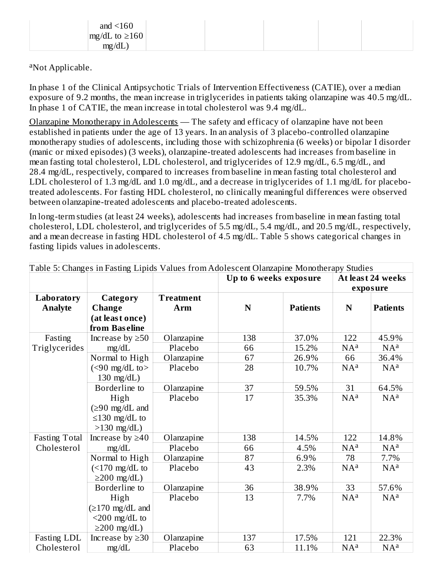| and $\leq 160$        |  |  |  |
|-----------------------|--|--|--|
| $mg/dL$ to $\geq 160$ |  |  |  |
| mg/dL                 |  |  |  |

<sup>a</sup>Not Applicable.

In phase 1 of the Clinical Antipsychotic Trials of Intervention Effectiveness (CATIE), over a median exposure of 9.2 months, the mean increase in triglycerides in patients taking olanzapine was 40.5 mg/dL. In phase 1 of CATIE, the mean increase in total cholesterol was 9.4 mg/dL.

Olanzapine Monotherapy in Adolescents — The safety and efficacy of olanzapine have not been established in patients under the age of 13 years. In an analysis of 3 placebo-controlled olanzapine monotherapy studies of adolescents, including those with schizophrenia (6 weeks) or bipolar I disorder (manic or mixed episodes) (3 weeks), olanzapine-treated adolescents had increases from baseline in mean fasting total cholesterol, LDL cholesterol, and triglycerides of 12.9 mg/dL, 6.5 mg/dL, and 28.4 mg/dL, respectively, compared to increases from baseline in mean fasting total cholesterol and LDL cholesterol of 1.3 mg/dL and 1.0 mg/dL, and a decrease in triglycerides of 1.1 mg/dL for placebotreated adolescents. For fasting HDL cholesterol, no clinically meaningful differences were observed between olanzapine-treated adolescents and placebo-treated adolescents.

In long-term studies (at least 24 weeks), adolescents had increases from baseline in mean fasting total cholesterol, LDL cholesterol, and triglycerides of 5.5 mg/dL, 5.4 mg/dL, and 20.5 mg/dL, respectively, and a mean decrease in fasting HDL cholesterol of 4.5 mg/dL. Table 5 shows categorical changes in fasting lipids values in adolescents.

|                      | Table 5: Changes in Fasting Lipids Values from Adolescent Olanzapine Monotherapy Studies |                  |                        |                 |        |                   |
|----------------------|------------------------------------------------------------------------------------------|------------------|------------------------|-----------------|--------|-------------------|
|                      |                                                                                          |                  | Up to 6 weeks exposure |                 |        | At least 24 weeks |
|                      |                                                                                          |                  |                        |                 |        | exposure          |
| Laboratory           | Category                                                                                 | <b>Treatment</b> |                        |                 |        |                   |
| <b>Analyte</b>       | <b>Change</b>                                                                            | Arm              | N                      | <b>Patients</b> | N      | <b>Patients</b>   |
|                      | (at least once)                                                                          |                  |                        |                 |        |                   |
|                      | from Baseline                                                                            |                  |                        |                 |        |                   |
| Fasting              | Increase by $\geq 50$                                                                    | Olanzapine       | 138                    | 37.0%           | 122    | 45.9%             |
| Triglycerides        | mg/dL                                                                                    | Placebo          | 66                     | 15.2%           | $NA^a$ | $NA^a$            |
|                      | Normal to High                                                                           | Olanzapine       | 67                     | 26.9%           | 66     | 36.4%             |
|                      | $(< 90$ mg/dL to>                                                                        | Placebo          | 28                     | 10.7%           | $NA^a$ | $NA^a$            |
|                      | $130 \text{ mg/dL}$                                                                      |                  |                        |                 |        |                   |
|                      | Borderline to                                                                            | Olanzapine       | 37                     | 59.5%           | 31     | 64.5%             |
|                      | High                                                                                     | Placebo          | 17                     | 35.3%           | $NA^a$ | NA <sup>a</sup>   |
|                      | $(\geq 90 \text{ mg/dL} \text{ and }$                                                    |                  |                        |                 |        |                   |
|                      | $\leq$ 130 mg/dL to                                                                      |                  |                        |                 |        |                   |
|                      | $>130$ mg/dL)                                                                            |                  |                        |                 |        |                   |
| <b>Fasting Total</b> | Increase by $\geq 40$                                                                    | Olanzapine       | 138                    | 14.5%           | 122    | 14.8%             |
| Cholesterol          | mg/dL                                                                                    | Placebo          | 66                     | 4.5%            | $NA^a$ | $NA^a$            |
|                      | Normal to High                                                                           | Olanzapine       | 87                     | 6.9%            | 78     | 7.7%              |
|                      | $\left($ <170 mg/dL to                                                                   | Placebo          | 43                     | 2.3%            | $NA^a$ | NA <sup>a</sup>   |
|                      | $\geq$ 200 mg/dL)                                                                        |                  |                        |                 |        |                   |
|                      | Borderline to                                                                            | Olanzapine       | 36                     | 38.9%           | 33     | 57.6%             |
|                      | High                                                                                     | Placebo          | 13                     | 7.7%            | $NA^a$ | $NA^a$            |
|                      | $(\geq 170 \text{ mg/dL}$ and                                                            |                  |                        |                 |        |                   |
|                      | $<$ 200 mg/dL to                                                                         |                  |                        |                 |        |                   |
|                      | $\geq$ 200 mg/dL)                                                                        |                  |                        |                 |        |                   |
| Fasting LDL          | Increase by $\geq$ 30                                                                    | Olanzapine       | 137                    | 17.5%           | 121    | 22.3%             |
| Cholesterol          | mg/dL                                                                                    | Placebo          | 63                     | 11.1%           | $NA^a$ | $NA^a$            |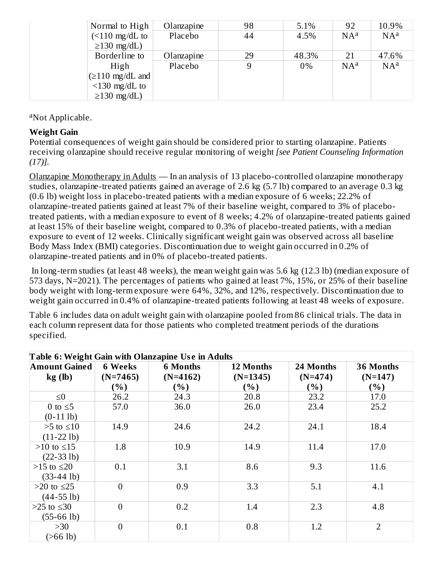| Normal to High          | Olanzapine | 98 | 5.1%  | 92     | 10.9%  |
|-------------------------|------------|----|-------|--------|--------|
| $\left($ < 110 mg/dL to | Placebo    | 44 | 4.5%  | $NA^a$ | $NA^a$ |
| $\geq$ 130 mg/dL)       |            |    |       |        |        |
| Borderline to           | Olanzapine | 29 | 48.3% | 21     | 47.6%  |
| High                    | Placebo    | 9  | $0\%$ | $NA^a$ | $NA^a$ |
| $\geq$ 110 mg/dL and    |            |    |       |        |        |
| $\leq$ 130 mg/dL to     |            |    |       |        |        |
| $\geq$ 130 mg/dL)       |            |    |       |        |        |

<sup>a</sup>Not Applicable.

#### **Weight Gain**

Potential consequences of weight gain should be considered prior to starting olanzapine. Patients receiving olanzapine should receive regular monitoring of weight *[see Patient Counseling Information (17)].*

Olanzapine Monotherapy in Adults — In an analysis of 13 placebo-controlled olanzapine monotherapy studies, olanzapine-treated patients gained an average of 2.6 kg (5.7 lb) compared to an average 0.3 kg (0.6 lb) weight loss in placebo-treated patients with a median exposure of 6 weeks; 22.2% of olanzapine-treated patients gained at least 7% of their baseline weight, compared to 3% of placebotreated patients, with a median exposure to event of 8 weeks; 4.2% of olanzapine-treated patients gained at least 15% of their baseline weight, compared to 0.3% of placebo-treated patients, with a median exposure to event of 12 weeks. Clinically significant weight gain was observed across all baseline Body Mass Index (BMI) categories. Discontinuation due to weight gain occurred in 0.2% of olanzapine-treated patients and in 0% of placebo-treated patients.

In long-term studies (at least 48 weeks), the mean weight gain was 5.6 kg (12.3 lb) (median exposure of 573 days, N=2021). The percentages of patients who gained at least 7%, 15%, or 25% of their baseline body weight with long-term exposure were 64%, 32%, and 12%, respectively. Discontinuation due to weight gain occurred in 0.4% of olanzapine-treated patients following at least 48 weeks of exposure.

Table 6 includes data on adult weight gain with olanzapine pooled from 86 clinical trials. The data in each column represent data for those patients who completed treatment periods of the durations specified.

|                      | <b>Table 6: Weight Gain with Olanzapine Use in Adults</b> |                 |            |           |                |  |  |  |
|----------------------|-----------------------------------------------------------|-----------------|------------|-----------|----------------|--|--|--|
| <b>Amount Gained</b> | <b>6 Weeks</b>                                            | <b>6 Months</b> | 12 Months  | 24 Months | 36 Months      |  |  |  |
| kg(h)                | $(N=7465)$                                                | $(N=4162)$      | $(N=1345)$ | $(N=474)$ | $(N=147)$      |  |  |  |
|                      | (%)                                                       | $\mathcal{O}_0$ | $(\%)$     | (%)       | (%)            |  |  |  |
| $\leq 0$             | 26.2                                                      | 24.3            | 20.8       | 23.2      | 17.0           |  |  |  |
| 0 to $\leq$ 5        | 57.0                                                      | 36.0            | 26.0       | 23.4      | 25.2           |  |  |  |
| $(0-11$ lb)          |                                                           |                 |            |           |                |  |  |  |
| $>5$ to $\leq 10$    | 14.9                                                      | 24.6            | 24.2       | 24.1      | 18.4           |  |  |  |
| $(11-22$ lb)         |                                                           |                 |            |           |                |  |  |  |
| $>10$ to $\leq 15$   | 1.8                                                       | 10.9            | 14.9       | 11.4      | 17.0           |  |  |  |
| $(22-33 lb)$         |                                                           |                 |            |           |                |  |  |  |
| $>15$ to $\leq 20$   | 0.1                                                       | 3.1             | 8.6        | 9.3       | 11.6           |  |  |  |
| $(33-44$ lb)         |                                                           |                 |            |           |                |  |  |  |
| $>20$ to $\leq$ 25   | $\theta$                                                  | 0.9             | 3.3        | 5.1       | 4.1            |  |  |  |
| $(44-55 lb)$         |                                                           |                 |            |           |                |  |  |  |
| $>25$ to $\leq 30$   | $\theta$                                                  | 0.2             | 1.4        | 2.3       | 4.8            |  |  |  |
| $(55-66$ lb)         |                                                           |                 |            |           |                |  |  |  |
| >30                  | $\theta$                                                  | 0.1             | 0.8        | 1.2       | $\overline{2}$ |  |  |  |
| $( >66$ lb)          |                                                           |                 |            |           |                |  |  |  |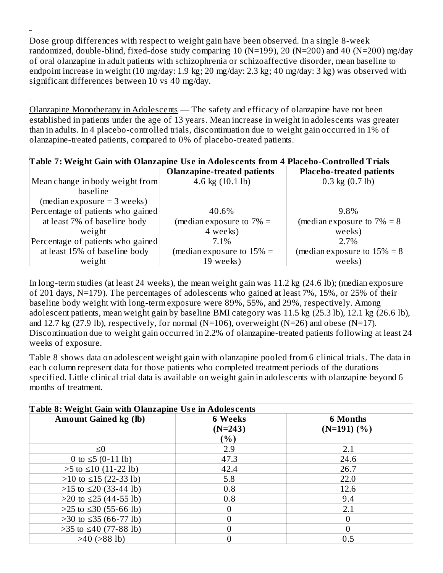Dose group differences with respect to weight gain have been observed. In a single 8-week randomized, double-blind, fixed-dose study comparing 10 (N=199), 20 (N=200) and 40 (N=200) mg/day of oral olanzapine in adult patients with schizophrenia or schizoaffective disorder, mean baseline to endpoint increase in weight (10 mg/day: 1.9 kg; 20 mg/day: 2.3 kg; 40 mg/day: 3 kg) was observed with significant differences between 10 vs 40 mg/day.

Olanzapine Monotherapy in Adolescents — The safety and efficacy of olanzapine have not been established in patients under the age of 13 years. Mean increase in weight in adolescents was greater than in adults. In 4 placebo-controlled trials, discontinuation due to weight gain occurred in 1% of olanzapine-treated patients, compared to 0% of placebo-treated patients.

| Table 7: Weight Gain with Olanzapine Use in Adolescents from 4 Placebo-Controlled Trials |                                    |                                 |  |
|------------------------------------------------------------------------------------------|------------------------------------|---------------------------------|--|
|                                                                                          | <b>Olanzapine-treated patients</b> | <b>Placebo-treated patients</b> |  |
| Mean change in body weight from                                                          | 4.6 kg (10.1 lb)                   | $0.3$ kg $(0.7$ lb)             |  |
| baseline                                                                                 |                                    |                                 |  |
| $(\text{median exposure} = 3 \text{ weeks})$                                             |                                    |                                 |  |
| Percentage of patients who gained                                                        | 40.6%                              | 9.8%                            |  |
| at least 7% of baseline body                                                             | (median exposure to $7\%$ =        | (median exposure to $7\% = 8$   |  |
| weight                                                                                   | 4 weeks)                           | weeks)                          |  |
| Percentage of patients who gained                                                        | 7.1%                               | $2.7\%$                         |  |
| at least 15% of baseline body                                                            | (median exposure to $15\%$ =       | (median exposure to $15\% = 8$  |  |
| weight                                                                                   | 19 weeks)                          | weeks)                          |  |

In long-term studies (at least 24 weeks), the mean weight gain was 11.2 kg (24.6 lb); (median exposure of 201 days, N=179). The percentages of adolescents who gained at least 7%, 15%, or 25% of their baseline body weight with long-term exposure were 89%, 55%, and 29%, respectively. Among adolescent patients, mean weight gain by baseline BMI category was 11.5 kg (25.3 lb), 12.1 kg (26.6 lb), and 12.7 kg (27.9 lb), respectively, for normal (N=106), overweight (N=26) and obese (N=17). Discontinuation due to weight gain occurred in 2.2% of olanzapine-treated patients following at least 24 weeks of exposure.

Table 8 shows data on adolescent weight gain with olanzapine pooled from 6 clinical trials. The data in each column represent data for those patients who completed treatment periods of the durations specified. Little clinical trial data is available on weight gain in adolescents with olanzapine beyond 6 months of treatment.

| Table 8: Weight Gain with Olanzapine Use in Adolescents |                                     |                                  |  |  |
|---------------------------------------------------------|-------------------------------------|----------------------------------|--|--|
| <b>Amount Gained kg (lb)</b>                            | <b>6 Weeks</b><br>$(N=243)$<br>( %) | <b>6 Months</b><br>$(N=191)$ (%) |  |  |
| $\leq 0$                                                | 2.9                                 | 2.1                              |  |  |
| 0 to $\leq$ 5 (0-11 lb)                                 | 47.3                                | 24.6                             |  |  |
| $>5$ to $\leq 10$ (11-22 lb)                            | 42.4                                | 26.7                             |  |  |
| $>10$ to $\leq 15$ (22-33 lb)                           | 5.8                                 | 22.0                             |  |  |
| $>15$ to $\leq 20$ (33-44 lb)                           | 0.8                                 | 12.6                             |  |  |
| $>20$ to $\leq$ 25 (44-55 lb)                           | 0.8                                 | 9.4                              |  |  |
| $>25$ to $\leq 30$ (55-66 lb)                           | 0                                   | 2.1                              |  |  |
| $>30$ to $\leq$ 35 (66-77 lb)                           |                                     | $\overline{0}$                   |  |  |
| $>35$ to $\leq 40$ (77-88 lb)                           | 0                                   | $\overline{0}$                   |  |  |
| $>40$ ( $>88$ lb)                                       |                                     | 0.5                              |  |  |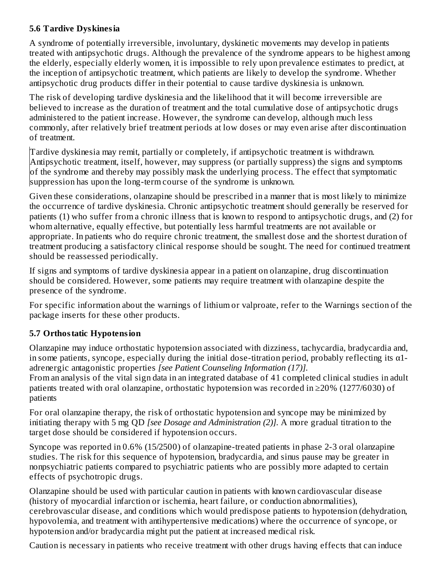#### **5.6 Tardive Dyskinesia**

A syndrome of potentially irreversible, involuntary, dyskinetic movements may develop in patients treated with antipsychotic drugs. Although the prevalence of the syndrome appears to be highest among the elderly, especially elderly women, it is impossible to rely upon prevalence estimates to predict, at the inception of antipsychotic treatment, which patients are likely to develop the syndrome. Whether antipsychotic drug products differ in their potential to cause tardive dyskinesia is unknown.

The risk of developing tardive dyskinesia and the likelihood that it will become irreversible are believed to increase as the duration of treatment and the total cumulative dose of antipsychotic drugs administered to the patient increase. However, the syndrome can develop, although much less commonly, after relatively brief treatment periods at low doses or may even arise after discontinuation of treatment.

Tardive dyskinesia may remit, partially or completely, if antipsychotic treatment is withdrawn. Antipsychotic treatment, itself, however, may suppress (or partially suppress) the signs and symptoms of the syndrome and thereby may possibly mask the underlying process. The effect that symptomatic suppression has upon the long-term course of the syndrome is unknown.

Given these considerations, olanzapine should be prescribed in a manner that is most likely to minimize the occurrence of tardive dyskinesia. Chronic antipsychotic treatment should generally be reserved for patients (1) who suffer from a chronic illness that is known to respond to antipsychotic drugs, and (2) for whom alternative, equally effective, but potentially less harmful treatments are not available or appropriate. In patients who do require chronic treatment, the smallest dose and the shortest duration of treatment producing a satisfactory clinical response should be sought. The need for continued treatment should be reassessed periodically.

If signs and symptoms of tardive dyskinesia appear in a patient on olanzapine, drug discontinuation should be considered. However, some patients may require treatment with olanzapine despite the presence of the syndrome.

For specific information about the warnings of lithium or valproate, refer to the Warnings section of the package inserts for these other products.

## **5.7 Orthostatic Hypotension**

Olanzapine may induce orthostatic hypotension associated with dizziness, tachycardia, bradycardia and, in some patients, syncope, especially during the initial dose-titration period, probably reflecting its  $\alpha$ 1adrenergic antagonistic properties *[see Patient Counseling Information (17)].*

From an analysis of the vital sign data in an integrated database of 41 completed clinical studies in adult patients treated with oral olanzapine, orthostatic hypotension was recorded in ≥20% (1277/6030) of patients

For oral olanzapine therapy, the risk of orthostatic hypotension and syncope may be minimized by initiating therapy with 5 mg QD *[see Dosage and Administration (2)].* A more gradual titration to the target dose should be considered if hypotension occurs.

Syncope was reported in 0.6% (15/2500) of olanzapine-treated patients in phase 2-3 oral olanzapine studies. The risk for this sequence of hypotension, bradycardia, and sinus pause may be greater in nonpsychiatric patients compared to psychiatric patients who are possibly more adapted to certain effects of psychotropic drugs.

Olanzapine should be used with particular caution in patients with known cardiovascular disease (history of myocardial infarction or ischemia, heart failure, or conduction abnormalities), cerebrovascular disease, and conditions which would predispose patients to hypotension (dehydration, hypovolemia, and treatment with antihypertensive medications) where the occurrence of syncope, or hypotension and/or bradycardia might put the patient at increased medical risk.

Caution is necessary in patients who receive treatment with other drugs having effects that can induce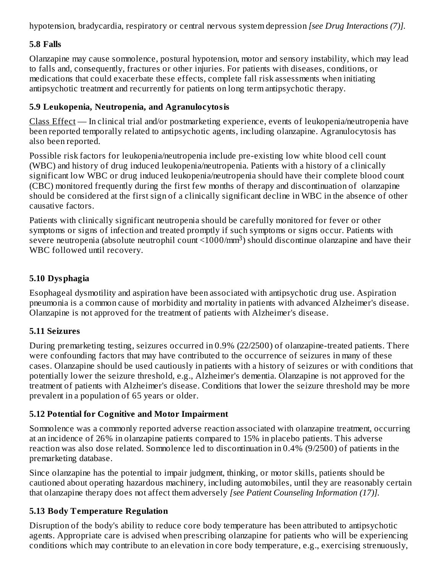hypotension, bradycardia, respiratory or central nervous system depression *[see Drug Interactions (7)].*

#### **5.8 Falls**

Olanzapine may cause somnolence, postural hypotension, motor and sensory instability, which may lead to falls and, consequently, fractures or other injuries. For patients with diseases, conditions, or medications that could exacerbate these effects, complete fall risk assessments when initiating antipsychotic treatment and recurrently for patients on long term antipsychotic therapy.

#### **5.9 Leukopenia, Neutropenia, and Agranulocytosis**

Class Effect — In clinical trial and/or postmarketing experience, events of leukopenia/neutropenia have been reported temporally related to antipsychotic agents, including olanzapine. Agranulocytosis has also been reported.

Possible risk factors for leukopenia/neutropenia include pre-existing low white blood cell count (WBC) and history of drug induced leukopenia/neutropenia. Patients with a history of a clinically significant low WBC or drug induced leukopenia/neutropenia should have their complete blood count (CBC) monitored frequently during the first few months of therapy and discontinuation of olanzapine should be considered at the first sign of a clinically significant decline in WBC in the absence of other causative factors.

Patients with clinically significant neutropenia should be carefully monitored for fever or other symptoms or signs of infection and treated promptly if such symptoms or signs occur. Patients with severe neutropenia (absolute neutrophil count  $\langle 1000/\text{mm}^3$ ) should discontinue olanzapine and have their WBC followed until recovery.

#### **5.10 Dysphagia**

Esophageal dysmotility and aspiration have been associated with antipsychotic drug use. Aspiration pneumonia is a common cause of morbidity and mortality in patients with advanced Alzheimer's disease. Olanzapine is not approved for the treatment of patients with Alzheimer's disease.

#### **5.11 Seizures**

During premarketing testing, seizures occurred in 0.9% (22/2500) of olanzapine-treated patients. There were confounding factors that may have contributed to the occurrence of seizures in many of these cases. Olanzapine should be used cautiously in patients with a history of seizures or with conditions that potentially lower the seizure threshold, e.g., Alzheimer's dementia. Olanzapine is not approved for the treatment of patients with Alzheimer's disease. Conditions that lower the seizure threshold may be more prevalent in a population of 65 years or older.

#### **5.12 Potential for Cognitive and Motor Impairment**

Somnolence was a commonly reported adverse reaction associated with olanzapine treatment, occurring at an incidence of 26% in olanzapine patients compared to 15% in placebo patients. This adverse reaction was also dose related. Somnolence led to discontinuation in 0.4% (9/2500) of patients in the premarketing database.

Since olanzapine has the potential to impair judgment, thinking, or motor skills, patients should be cautioned about operating hazardous machinery, including automobiles, until they are reasonably certain that olanzapine therapy does not affect them adversely *[see Patient Counseling Information (17)].*

#### **5.13 Body Temperature Regulation**

Disruption of the body's ability to reduce core body temperature has been attributed to antipsychotic agents. Appropriate care is advised when prescribing olanzapine for patients who will be experiencing conditions which may contribute to an elevation in core body temperature, e.g., exercising strenuously,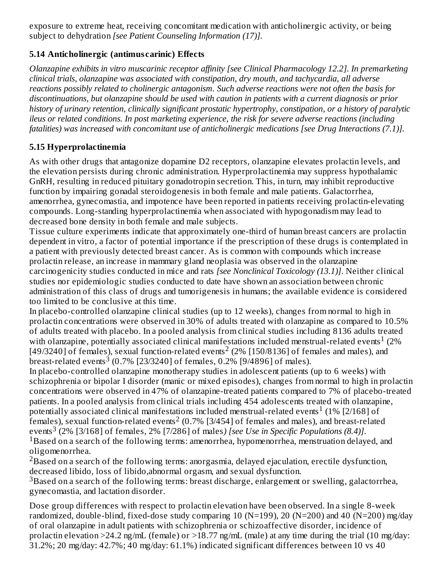exposure to extreme heat, receiving concomitant medication with anticholinergic activity, or being subject to dehydration *[see Patient Counseling Information (17)].*

## **5.14 Anticholinergic (antimus carinic) Effects**

*Olanzapine exhibits in vitro muscarinic receptor affinity [see Clinical Pharmacology 12.2]. In premarketing clinical trials, olanzapine was associated with constipation, dry mouth, and tachycardia, all adverse reactions possibly related to cholinergic antagonism. Such adverse reactions were not often the basis for discontinuations, but olanzapine should be used with caution in patients with a current diagnosis or prior history of urinary retention, clinically significant prostatic hypertrophy, constipation, or a history of paralytic ileus or related conditions. In post marketing experience, the risk for severe adverse reactions (including fatalities) was increased with concomitant use of anticholinergic medications [see Drug Interactions (7.1)].*

#### **5.15 Hyperprolactinemia**

As with other drugs that antagonize dopamine D2 receptors, olanzapine elevates prolactin levels, and the elevation persists during chronic administration. Hyperprolactinemia may suppress hypothalamic GnRH, resulting in reduced pituitary gonadotropin secretion. This, in turn, may inhibit reproductive function by impairing gonadal steroidogenesis in both female and male patients. Galactorrhea, amenorrhea, gynecomastia, and impotence have been reported in patients receiving prolactin-elevating compounds. Long-standing hyperprolactinemia when associated with hypogonadism may lead to decreased bone density in both female and male subjects.

Tissue culture experiments indicate that approximately one-third of human breast cancers are prolactin dependent in vitro, a factor of potential importance if the prescription of these drugs is contemplated in a patient with previously detected breast cancer. As is common with compounds which increase prolactin release, an increase in mammary gland neoplasia was observed in the olanzapine carcinogenicity studies conducted in mice and rats *[see Nonclinical Toxicology (13.1)]*. Neither clinical studies nor epidemiologic studies conducted to date have shown an association between chronic administration of this class of drugs and tumorigenesis in humans; the available evidence is considered too limited to be conclusive at this time.

In placebo-controlled olanzapine clinical studies (up to 12 weeks), changes from normal to high in prolactin concentrations were observed in 30% of adults treated with olanzapine as compared to 10.5% of adults treated with placebo. In a pooled analysis from clinical studies including 8136 adults treated with olanzapine, potentially associated clinical manifestations included menstrual-related events<sup>1</sup> (2%) [49/3240] of females), sexual function-related events<sup>2</sup> (2% [150/8136] of females and males), and breast-related events  $3 \over (0.7\%~[23/3240]$  of females, 0.2% [9/4896] of males).

In placebo-controlled olanzapine monotherapy studies in adolescent patients (up to 6 weeks) with schizophrenia or bipolar I disorder (manic or mixed episodes), changes from normal to high in prolactin concentrations were observed in 47% of olanzapine-treated patients compared to 7% of placebo-treated patients. In a pooled analysis from clinical trials including 454 adolescents treated with olanzapine, potentially associated clinical manifestations included menstrual-related events<sup>1</sup> (1% [2/168] of females), sexual function-related events<sup>2</sup> (0.7% [3/454] of females and males), and breast-related events (2% [3/168] of females, 2% [7/286] of males*) [see Use in Specific Populations (8.4)]*. 3 <sup>1</sup>Based on a search of the following terms: amenorrhea, hypomenorrhea, menstruation delayed, and oligomenorrhea.

 $^2$ Based on a search of the following terms: anorgasmia, delayed ejaculation, erectile dysfunction, decreased libido, loss of libido,abnormal orgasm, and sexual dysfunction.

 $3$ Based on a search of the following terms: breast discharge, enlargement or swelling, galactorrhea, gynecomastia, and lactation disorder.

Dose group differences with respect to prolactin elevation have been observed. In a single 8-week randomized, double-blind, fixed-dose study comparing 10 (N=199), 20 (N=200) and 40 (N=200) mg/day of oral olanzapine in adult patients with schizophrenia or schizoaffective disorder, incidence of prolactin elevation >24.2 ng/mL (female) or >18.77 ng/mL (male) at any time during the trial (10 mg/day: 31.2%; 20 mg/day: 42.7%; 40 mg/day: 61.1%) indicated significant differences between 10 vs 40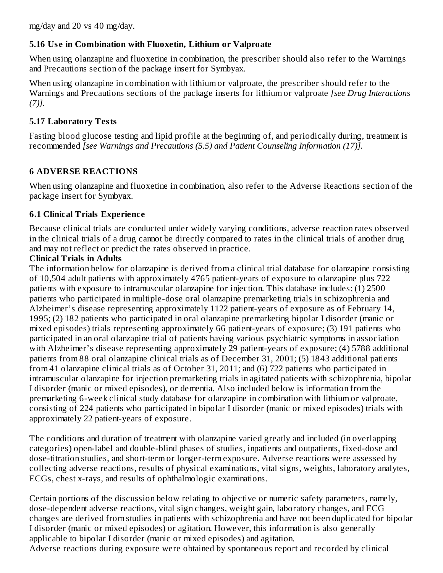mg/day and 20 vs 40 mg/day.

#### **5.16 Us e in Combination with Fluoxetin, Lithium or Valproate**

When using olanzapine and fluoxetine in combination, the prescriber should also refer to the Warnings and Precautions section of the package insert for Symbyax.

When using olanzapine in combination with lithium or valproate, the prescriber should refer to the Warnings and Precautions sections of the package inserts for lithium or valproate *[see Drug Interactions (7)].*

#### **5.17 Laboratory Tests**

Fasting blood glucose testing and lipid profile at the beginning of, and periodically during, treatment is recommended *[see Warnings and Precautions (5.5) and Patient Counseling Information (17)].*

#### **6 ADVERSE REACTIONS**

When using olanzapine and fluoxetine in combination, also refer to the Adverse Reactions section of the package insert for Symbyax.

#### **6.1 Clinical Trials Experience**

Because clinical trials are conducted under widely varying conditions, adverse reaction rates observed in the clinical trials of a drug cannot be directly compared to rates in the clinical trials of another drug and may not reflect or predict the rates observed in practice.

#### **Clinical Trials in Adults**

The information below for olanzapine is derived from a clinical trial database for olanzapine consisting of 10,504 adult patients with approximately 4765 patient-years of exposure to olanzapine plus 722 patients with exposure to intramuscular olanzapine for injection. This database includes: (1) 2500 patients who participated in multiple-dose oral olanzapine premarketing trials in schizophrenia and Alzheimer's disease representing approximately 1122 patient-years of exposure as of February 14, 1995; (2) 182 patients who participated in oral olanzapine premarketing bipolar I disorder (manic or mixed episodes) trials representing approximately 66 patient-years of exposure; (3) 191 patients who participated in an oral olanzapine trial of patients having various psychiatric symptoms in association with Alzheimer's disease representing approximately 29 patient-years of exposure; (4) 5788 additional patients from 88 oral olanzapine clinical trials as of December 31, 2001; (5) 1843 additional patients from 41 olanzapine clinical trials as of October 31, 2011; and (6) 722 patients who participated in intramuscular olanzapine for injection premarketing trials in agitated patients with schizophrenia, bipolar I disorder (manic or mixed episodes), or dementia. Also included below is information from the premarketing 6-week clinical study database for olanzapine in combination with lithium or valproate, consisting of 224 patients who participated in bipolar I disorder (manic or mixed episodes) trials with approximately 22 patient-years of exposure.

The conditions and duration of treatment with olanzapine varied greatly and included (in overlapping categories) open-label and double-blind phases of studies, inpatients and outpatients, fixed-dose and dose-titration studies, and short-term or longer-term exposure. Adverse reactions were assessed by collecting adverse reactions, results of physical examinations, vital signs, weights, laboratory analytes, ECGs, chest x-rays, and results of ophthalmologic examinations.

Certain portions of the discussion below relating to objective or numeric safety parameters, namely, dose-dependent adverse reactions, vital sign changes, weight gain, laboratory changes, and ECG changes are derived from studies in patients with schizophrenia and have not been duplicated for bipolar I disorder (manic or mixed episodes) or agitation. However, this information is also generally applicable to bipolar I disorder (manic or mixed episodes) and agitation. Adverse reactions during exposure were obtained by spontaneous report and recorded by clinical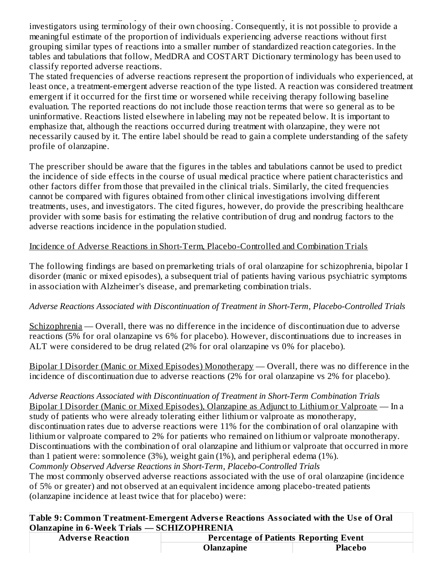Adverse reactions during exposure were obtained by spontaneous report and recorded by clinical investigators using terminology of their own choosing. Consequently, it is not possible to provide a meaningful estimate of the proportion of individuals experiencing adverse reactions without first grouping similar types of reactions into a smaller number of standardized reaction categories. In the tables and tabulations that follow, MedDRA and COSTART Dictionary terminology has been used to classify reported adverse reactions.

The stated frequencies of adverse reactions represent the proportion of individuals who experienced, at least once, a treatment-emergent adverse reaction of the type listed. A reaction was considered treatment emergent if it occurred for the first time or worsened while receiving therapy following baseline evaluation. The reported reactions do not include those reaction terms that were so general as to be uninformative. Reactions listed elsewhere in labeling may not be repeated below. It is important to emphasize that, although the reactions occurred during treatment with olanzapine, they were not necessarily caused by it. The entire label should be read to gain a complete understanding of the safety profile of olanzapine.

The prescriber should be aware that the figures in the tables and tabulations cannot be used to predict the incidence of side effects in the course of usual medical practice where patient characteristics and other factors differ from those that prevailed in the clinical trials. Similarly, the cited frequencies cannot be compared with figures obtained from other clinical investigations involving different treatments, uses, and investigators. The cited figures, however, do provide the prescribing healthcare provider with some basis for estimating the relative contribution of drug and nondrug factors to the adverse reactions incidence in the population studied.

#### Incidence of Adverse Reactions in Short-Term, Placebo-Controlled and Combination Trials

The following findings are based on premarketing trials of oral olanzapine for schizophrenia, bipolar I disorder (manic or mixed episodes), a subsequent trial of patients having various psychiatric symptoms in association with Alzheimer's disease, and premarketing combination trials.

#### *Adverse Reactions Associated with Discontinuation of Treatment in Short-Term, Placebo-Controlled Trials*

Schizophrenia — Overall, there was no difference in the incidence of discontinuation due to adverse reactions (5% for oral olanzapine vs 6% for placebo). However, discontinuations due to increases in ALT were considered to be drug related (2% for oral olanzapine vs 0% for placebo).

Bipolar I Disorder (Manic or Mixed Episodes) Monotherapy — Overall, there was no difference in the incidence of discontinuation due to adverse reactions (2% for oral olanzapine vs 2% for placebo).

*Adverse Reactions Associated with Discontinuation of Treatment in Short-Term Combination Trials* Bipolar I Disorder (Manic or Mixed Episodes), Olanzapine as Adjunct to Lithium or Valproate — In a study of patients who were already tolerating either lithium or valproate as monotherapy, discontinuation rates due to adverse reactions were 11% for the combination of oral olanzapine with lithium or valproate compared to 2% for patients who remained on lithium or valproate monotherapy. Discontinuations with the combination of oral olanzapine and lithium or valproate that occurred in more than 1 patient were: somnolence (3%), weight gain (1%), and peripheral edema (1%). *Commonly Observed Adverse Reactions in Short-Term, Placebo-Controlled Trials* The most commonly observed adverse reactions associated with the use of oral olanzapine (incidence of 5% or greater) and not observed at an equivalent incidence among placebo-treated patients (olanzapine incidence at least twice that for placebo) were:

**Table 9: Common Treatment-Emergent Advers e Reactions Associated with the Us e of Oral Olanzapine in 6-Week Trials — SCHIZOPHRENIA**

| <b>Adverse Reaction</b> | <b>Percentage of Patients Reporting Event</b> |                |
|-------------------------|-----------------------------------------------|----------------|
|                         | Olanzapine                                    | <b>Placebo</b> |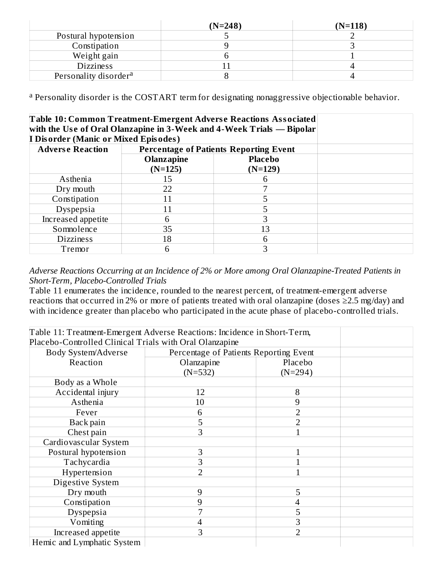|                                   | $(N=248)$ | $(N=118)$ |
|-----------------------------------|-----------|-----------|
| Postural hypotension              |           |           |
| Constipation                      |           |           |
| Weight gain                       |           |           |
| <b>Dizziness</b>                  |           |           |
| Personality disorder <sup>a</sup> |           |           |

<sup>a</sup> Personality disorder is the COSTART term for designating nonaggressive objectionable behavior.

| Table 10: Common Treatment-Emergent Adverse Reactions Associated<br>with the Use of Oral Olanzapine in 3-Week and 4-Week Trials - Bipolar |                         |                                                                 |  |
|-------------------------------------------------------------------------------------------------------------------------------------------|-------------------------|-----------------------------------------------------------------|--|
| <b>I Disorder (Manic or Mixed Episodes)</b>                                                                                               |                         |                                                                 |  |
| <b>Adverse Reaction</b>                                                                                                                   |                         | <b>Percentage of Patients Reporting Event</b><br><b>Placebo</b> |  |
|                                                                                                                                           | Olanzapine<br>$(N=125)$ | $(N=129)$                                                       |  |
| Asthenia                                                                                                                                  | 15                      |                                                                 |  |
| Dry mouth                                                                                                                                 | 22                      |                                                                 |  |
| Constipation                                                                                                                              | 11                      |                                                                 |  |
| Dyspepsia                                                                                                                                 |                         |                                                                 |  |
| Increased appetite                                                                                                                        | 6                       |                                                                 |  |
| Somnolence                                                                                                                                | 35                      | 13                                                              |  |
| <b>Dizziness</b>                                                                                                                          | 18                      | 6                                                               |  |
| Tremor                                                                                                                                    | 6                       | З                                                               |  |

#### *Adverse Reactions Occurring at an Incidence of 2% or More among Oral Olanzapine-Treated Patients in Short-Term, Placebo-Controlled Trials*

Table 11 enumerates the incidence, rounded to the nearest percent, of treatment-emergent adverse reactions that occurred in 2% or more of patients treated with oral olanzapine (doses ≥2.5 mg/day) and with incidence greater than placebo who participated in the acute phase of placebo-controlled trials.

| Table 11: Treatment-Emergent Adverse Reactions: Incidence in Short-Term, |                                        |                |  |
|--------------------------------------------------------------------------|----------------------------------------|----------------|--|
| Placebo-Controlled Clinical Trials with Oral Olanzapine                  |                                        |                |  |
| Body System/Adverse                                                      | Percentage of Patients Reporting Event |                |  |
| Reaction                                                                 | Olanzapine                             | Placebo        |  |
|                                                                          | $(N=532)$                              | $(N=294)$      |  |
| Body as a Whole                                                          |                                        |                |  |
| Accidental injury                                                        | 12                                     | 8              |  |
| Asthenia                                                                 | 10                                     | 9              |  |
| Fever                                                                    | 6                                      | $\overline{2}$ |  |
| Back pain                                                                | 5                                      | $\overline{2}$ |  |
| Chest pain                                                               | 3                                      |                |  |
| Cardiovascular System                                                    |                                        |                |  |
| Postural hypotension                                                     | 3                                      | $\mathbf{1}$   |  |
| Tachycardia                                                              | 3                                      |                |  |
| Hypertension                                                             |                                        |                |  |
| Digestive System                                                         |                                        |                |  |
| Dry mouth                                                                | 9                                      | 5              |  |
| Constipation                                                             | 9                                      | 4              |  |
| Dyspepsia                                                                |                                        | 5              |  |
| Vomiting                                                                 | 4                                      | 3              |  |
| Increased appetite                                                       | 3                                      | $\overline{2}$ |  |
| Hemic and Lymphatic System                                               |                                        |                |  |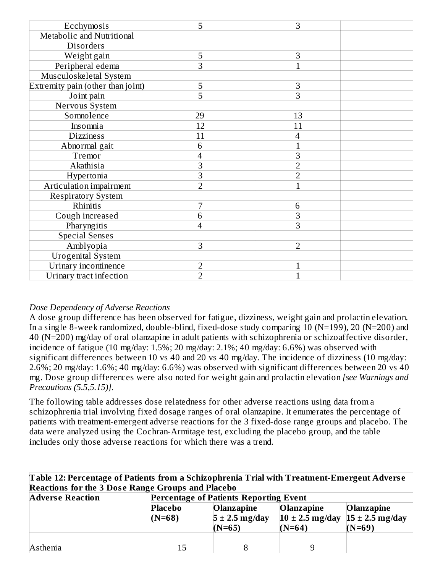| Ecchymosis                        | 5              | 3              |  |
|-----------------------------------|----------------|----------------|--|
| Metabolic and Nutritional         |                |                |  |
| <b>Disorders</b>                  |                |                |  |
| Weight gain                       | 5              | 3              |  |
| Peripheral edema                  | 3              |                |  |
| Musculoskeletal System            |                |                |  |
| Extremity pain (other than joint) | 5              | 3              |  |
| Joint pain                        | 5              | 3              |  |
| Nervous System                    |                |                |  |
| Somnolence                        | 29             | 13             |  |
| Insomnia                          | 12             | 11             |  |
| <b>Dizziness</b>                  | 11             | 4              |  |
| Abnormal gait                     | 6              | $\mathbf 1$    |  |
| Tremor                            | 4              | 3              |  |
| Akathisia                         | 3              | $\overline{2}$ |  |
| Hypertonia                        | 3              | $\overline{2}$ |  |
| Articulation impairment           | $\overline{2}$ | $\mathbf{1}$   |  |
| <b>Respiratory System</b>         |                |                |  |
| Rhinitis                          | 7              | 6              |  |
| Cough increased                   | 6              | 3              |  |
| Pharyngitis                       | 4              | 3              |  |
| <b>Special Senses</b>             |                |                |  |
| Amblyopia                         | 3              | $\overline{2}$ |  |
| <b>Urogenital System</b>          |                |                |  |
| Urinary incontinence              | $\overline{2}$ | $\mathbf{1}$   |  |
| Urinary tract infection           | $\overline{2}$ | 1              |  |

#### *Dose Dependency of Adverse Reactions*

A dose group difference has been observed for fatigue, dizziness, weight gain and prolactin elevation. In a single 8-week randomized, double-blind, fixed-dose study comparing 10 (N=199), 20 (N=200) and 40 (N=200) mg/day of oral olanzapine in adult patients with schizophrenia or schizoaffective disorder, incidence of fatigue (10 mg/day: 1.5%; 20 mg/day: 2.1%; 40 mg/day: 6.6%) was observed with significant differences between 10 vs 40 and 20 vs 40 mg/day. The incidence of dizziness (10 mg/day: 2.6%; 20 mg/day: 1.6%; 40 mg/day: 6.6%) was observed with significant differences between 20 vs 40 mg. Dose group differences were also noted for weight gain and prolactin elevation *[see Warnings and Precautions (5.5,5.15)].*

The following table addresses dose relatedness for other adverse reactions using data from a schizophrenia trial involving fixed dosage ranges of oral olanzapine. It enumerates the percentage of patients with treatment-emergent adverse reactions for the 3 fixed-dose range groups and placebo. The data were analyzed using the Cochran-Armitage test, excluding the placebo group, and the table includes only those adverse reactions for which there was a trend.

**Table 12: Percentage of Patients from a Schizophrenia Trial with Treatment-Emergent Advers e Reactions for the 3 Dos e Range Groups and Placebo**

| <b>Adverse Reaction</b> | <b>Percentage of Patients Reporting Event</b> |                                                     |                                                                          |                        |
|-------------------------|-----------------------------------------------|-----------------------------------------------------|--------------------------------------------------------------------------|------------------------|
|                         | <b>Placebo</b><br>$(N=68)$                    | <b>Olanzapine</b><br>$5 \pm 2.5$ mg/day<br>$(N=65)$ | <b>Olanzapine</b><br>$10 \pm 2.5$ mg/day $15 \pm 2.5$ mg/day<br>$(N=64)$ | Olanzapine<br>$(N=69)$ |
| Asthenia                | 15                                            |                                                     |                                                                          |                        |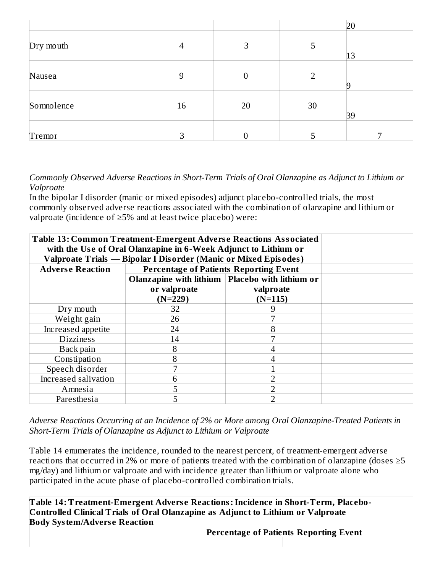|            |    |                  |                | 20 |
|------------|----|------------------|----------------|----|
| Dry mouth  | 4  | 3                | 5              | 13 |
| Nausea     | 9  | $\boldsymbol{0}$ | $\overline{2}$ |    |
| Somnolence | 16 | 20               | 30             | 39 |
| Tremor     | 3  | 0                |                |    |

*Commonly Observed Adverse Reactions in Short-Term Trials of Oral Olanzapine as Adjunct to Lithium or Valproate*

In the bipolar I disorder (manic or mixed episodes) adjunct placebo-controlled trials, the most commonly observed adverse reactions associated with the combination of olanzapine and lithium or valproate (incidence of ≥5% and at least twice placebo) were:

| <b>Table 13: Common Treatment-Emergent Adverse Reactions Associated</b><br>with the Use of Oral Olanzapine in 6-Week Adjunct to Lithium or<br>Valproate Trials - Bipolar I Disorder (Manic or Mixed Episodes) |                                                   |           |  |
|---------------------------------------------------------------------------------------------------------------------------------------------------------------------------------------------------------------|---------------------------------------------------|-----------|--|
| <b>Adverse Reaction</b>                                                                                                                                                                                       | <b>Percentage of Patients Reporting Event</b>     |           |  |
|                                                                                                                                                                                                               | Olanzapine with lithium   Placebo with lithium or |           |  |
|                                                                                                                                                                                                               | or valproate                                      | valproate |  |
|                                                                                                                                                                                                               | $(N=229)$                                         | $(N=115)$ |  |
| Dry mouth                                                                                                                                                                                                     | 32                                                |           |  |
| Weight gain                                                                                                                                                                                                   | 26                                                |           |  |
| Increased appetite                                                                                                                                                                                            | 24                                                | 8         |  |
| <b>Dizziness</b>                                                                                                                                                                                              | 14                                                | 7         |  |
| Back pain                                                                                                                                                                                                     | 8                                                 |           |  |
| Constipation                                                                                                                                                                                                  | 8                                                 |           |  |
| Speech disorder                                                                                                                                                                                               | 7                                                 |           |  |
| Increased salivation                                                                                                                                                                                          | 6                                                 |           |  |
| Amnesia                                                                                                                                                                                                       | 5                                                 |           |  |
| Paresthesia                                                                                                                                                                                                   | 5                                                 | ר         |  |

*Adverse Reactions Occurring at an Incidence of 2% or More among Oral Olanzapine-Treated Patients in Short-Term Trials of Olanzapine as Adjunct to Lithium or Valproate*

Table 14 enumerates the incidence, rounded to the nearest percent, of treatment-emergent adverse reactions that occurred in 2% or more of patients treated with the combination of olanzapine (doses  $\geq 5$ mg/day) and lithium or valproate and with incidence greater than lithium or valproate alone who participated in the acute phase of placebo-controlled combination trials.

**Table 14: Treatment-Emergent Advers e Reactions:Incidence in Short-Term, Placebo-Controlled Clinical Trials of Oral Olanzapine as Adjunct to Lithium or Valproate Body System/Advers e Reaction Percentage of Patients Reporting Event**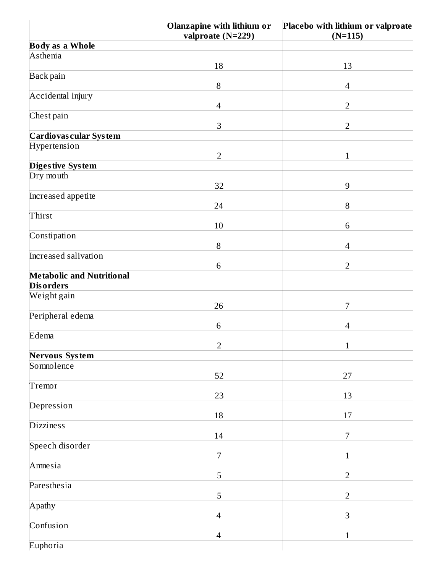|                                                      | Olanzapine with lithium or<br>valproate (N=229) | Placebo with lithium or valproate<br>$(N=115)$ |
|------------------------------------------------------|-------------------------------------------------|------------------------------------------------|
| <b>Body as a Whole</b>                               |                                                 |                                                |
| Asthenia                                             |                                                 |                                                |
|                                                      | 18                                              | 13                                             |
| Back pain                                            | $\, 8$                                          | $\overline{\mathcal{A}}$                       |
| Accidental injury                                    |                                                 |                                                |
|                                                      | $\overline{4}$                                  | $\overline{2}$                                 |
| Chest pain                                           |                                                 |                                                |
|                                                      | $\,$ 3 $\,$                                     | $\overline{2}$                                 |
| Cardiovas cular System                               |                                                 |                                                |
| Hypertension                                         | $\overline{2}$                                  | $\mathbf 1$                                    |
| Digestive System                                     |                                                 |                                                |
| Dry mouth                                            |                                                 |                                                |
|                                                      | 32                                              | $\overline{9}$                                 |
| Increased appetite                                   |                                                 |                                                |
| Thirst                                               | 24                                              | $\, 8$                                         |
|                                                      | 10                                              | 6                                              |
| Constipation                                         |                                                 |                                                |
|                                                      | 8                                               | $\overline{\mathcal{L}}$                       |
| Increased salivation                                 |                                                 |                                                |
|                                                      | 6                                               | $\overline{2}$                                 |
| <b>Metabolic and Nutritional</b><br><b>Disorders</b> |                                                 |                                                |
| Weight gain                                          |                                                 |                                                |
|                                                      | 26                                              | 7                                              |
| Peripheral edema                                     |                                                 |                                                |
|                                                      | 6                                               | $\overline{4}$                                 |
| Edema                                                | $\overline{2}$                                  | $\mathbf{1}$                                   |
| <b>Nervous System</b>                                |                                                 |                                                |
| Somnolence                                           |                                                 |                                                |
|                                                      | 52                                              | $27\,$                                         |
| Tremor                                               |                                                 |                                                |
|                                                      | 23                                              | $13\,$                                         |
| Depression                                           | 18                                              | 17                                             |
| <b>Dizziness</b>                                     |                                                 |                                                |
|                                                      | $14\,$                                          | 7                                              |
| Speech disorder                                      |                                                 |                                                |
|                                                      | $\overline{7}$                                  | 1                                              |
| Amnesia                                              | 5                                               | $\overline{2}$                                 |
| Paresthesia                                          |                                                 |                                                |
|                                                      | 5                                               | $\overline{2}$                                 |
| Apathy                                               |                                                 |                                                |
|                                                      | $\overline{4}$                                  | $\,$ 3 $\,$                                    |
| Confusion                                            |                                                 |                                                |
| Euphoria                                             | 4                                               | $\mathbf{1}$                                   |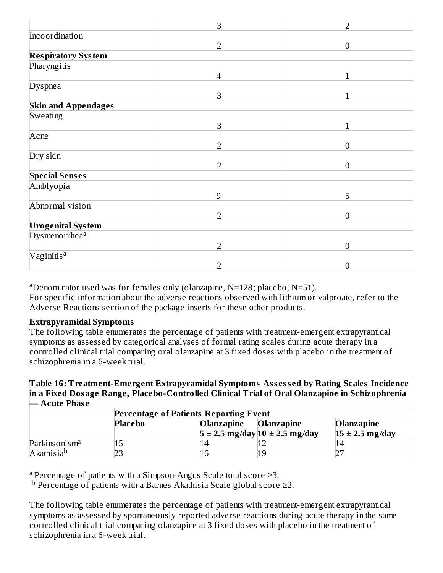|                            | 3              | $\overline{2}$   |
|----------------------------|----------------|------------------|
| Incoordination             |                |                  |
|                            | $\overline{2}$ | $\overline{0}$   |
| <b>Respiratory System</b>  |                |                  |
| Pharyngitis                |                |                  |
|                            | $\overline{4}$ | $\mathbf{1}$     |
| Dyspnea                    |                |                  |
|                            | 3              | $\mathbf{1}$     |
| <b>Skin and Appendages</b> |                |                  |
| Sweating                   |                |                  |
|                            | 3              |                  |
| Acne                       |                |                  |
|                            | $\overline{2}$ | $\theta$         |
| Dry skin                   |                |                  |
|                            | $\overline{2}$ | $\theta$         |
| <b>Special Senses</b>      |                |                  |
| Amblyopia                  |                |                  |
|                            | 9              | 5                |
| Abnormal vision            |                |                  |
|                            | $\overline{2}$ | $\boldsymbol{0}$ |
| <b>Urogenital System</b>   |                |                  |
| Dysmenorrhea <sup>a</sup>  |                |                  |
|                            | $\overline{2}$ | $\overline{0}$   |
| Vaginitis <sup>a</sup>     |                |                  |
|                            | $\overline{2}$ | $\theta$         |

aDenominator used was for females only (olanzapine,  $N=128$ ; placebo,  $N=51$ ). For specific information about the adverse reactions observed with lithium or valproate, refer to the Adverse Reactions section of the package inserts for these other products.

#### **Extrapyramidal Symptoms**

The following table enumerates the percentage of patients with treatment-emergent extrapyramidal symptoms as assessed by categorical analyses of formal rating scales during acute therapy in a controlled clinical trial comparing oral olanzapine at 3 fixed doses with placebo in the treatment of schizophrenia in a 6-week trial.

**Table 16: Treatment-Emergent Extrapyramidal Symptoms Ass ess ed by Rating Scales Incidence in a Fixed Dosage Range, Placebo-Controlled Clinical Trial of Oral Olanzapine in Schizophrenia — Acute Phas e**

|                           | <b>Percentage of Patients Reporting Event</b> |            |                                        |                     |  |
|---------------------------|-----------------------------------------------|------------|----------------------------------------|---------------------|--|
|                           | Placebo                                       | Olanzapine | <b>Olanzapine</b>                      | <b>Olanzapine</b>   |  |
|                           |                                               |            | $5 \pm 2.5$ mg/day $10 \pm 2.5$ mg/day | $15 \pm 2.5$ mg/day |  |
| Parkinsonism <sup>a</sup> |                                               |            |                                        |                     |  |
| Akathisia <sup>b</sup>    |                                               |            | 19                                     |                     |  |

<sup>a</sup> Percentage of patients with a Simpson-Angus Scale total score >3.

**b** Percentage of patients with a Barnes Akathisia Scale global score ≥2.

The following table enumerates the percentage of patients with treatment-emergent extrapyramidal symptoms as assessed by spontaneously reported adverse reactions during acute therapy in the same controlled clinical trial comparing olanzapine at 3 fixed doses with placebo in the treatment of schizophrenia in a 6-week trial.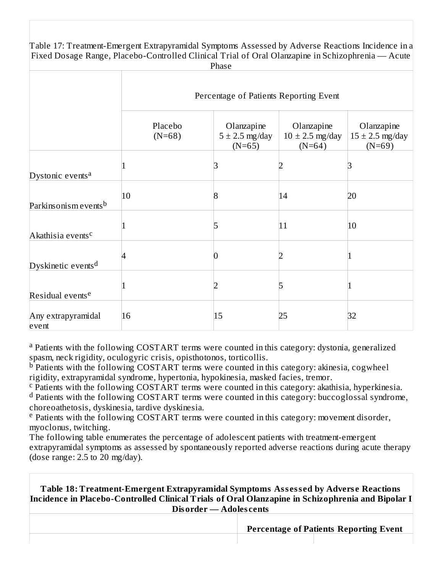Table 17: Treatment-Emergent Extrapyramidal Symptoms Assessed by Adverse Reactions Incidence in a Fixed Dosage Range, Placebo-Controlled Clinical Trial of Oral Olanzapine in Schizophrenia — Acute Phase

|                                  | Percentage of Patients Reporting Event |                                              |                                               |                                               |
|----------------------------------|----------------------------------------|----------------------------------------------|-----------------------------------------------|-----------------------------------------------|
|                                  | Placebo<br>$(N=68)$                    | Olanzapine<br>$5 \pm 2.5$ mg/day<br>$(N=65)$ | Olanzapine<br>$10 \pm 2.5$ mg/day<br>$(N=64)$ | Olanzapine<br>$15 \pm 2.5$ mg/day<br>$(N=69)$ |
| Dystonic events <sup>a</sup>     |                                        |                                              |                                               |                                               |
| Parkinsonism events <sup>b</sup> | 10                                     | 8                                            | 14                                            | 20                                            |
| Akathisia events <sup>c</sup>    |                                        |                                              | 11                                            | 10                                            |
| Dyskinetic events <sup>d</sup>   |                                        |                                              |                                               |                                               |
| Residual events <sup>e</sup>     |                                        |                                              | 5                                             |                                               |
| Any extrapyramidal<br>event      | 16                                     | 15                                           | 25                                            | 32                                            |

<sup>a</sup> Patients with the following COSTART terms were counted in this category: dystonia, generalized spasm, neck rigidity, oculogyric crisis, opisthotonos, torticollis.

<sup>b</sup> Patients with the following COSTART terms were counted in this category: akinesia, cogwheel rigidity, extrapyramidal syndrome, hypertonia, hypokinesia, masked facies, tremor.

 $\textdegree$  Patients with the following COSTART terms were counted in this category: akathisia, hyperkinesia. d Patients with the following COSTART terms were counted in this category: buccoglossal syndrome, choreoathetosis, dyskinesia, tardive dyskinesia.

<sup>e</sup> Patients with the following COSTART terms were counted in this category: movement disorder, myoclonus, twitching.

The following table enumerates the percentage of adolescent patients with treatment-emergent extrapyramidal symptoms as assessed by spontaneously reported adverse reactions during acute therapy (dose range: 2.5 to 20 mg/day).

**Table 18: Treatment-Emergent Extrapyramidal Symptoms Ass ess ed by Advers e Reactions Incidence in Placebo-Controlled Clinical Trials of Oral Olanzapine in Schizophrenia and Bipolar I Disorder — Adoles cents**

**Percentage of Patients Reporting Event**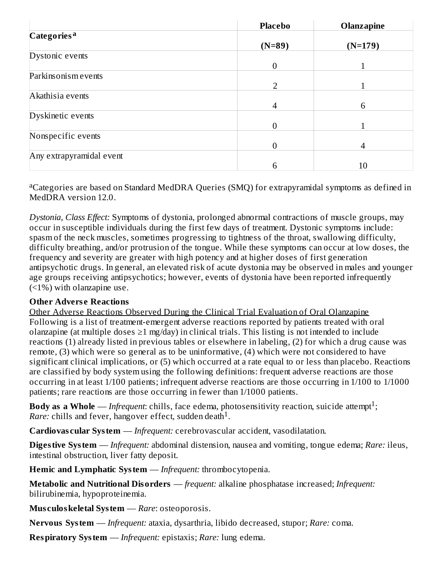|                          | <b>Placebo</b> | <b>Olanzapine</b> |
|--------------------------|----------------|-------------------|
| Categories <sup>a</sup>  |                |                   |
|                          | $(N=89)$       | $(N=179)$         |
| Dystonic events          |                |                   |
|                          | $\overline{0}$ |                   |
| Parkinsonism events      |                |                   |
|                          | $\overline{2}$ |                   |
| Akathisia events         |                |                   |
|                          | 4              | 6                 |
| Dyskinetic events        |                |                   |
|                          | $\Omega$       |                   |
| Nonspecific events       |                |                   |
|                          | 0              | $\overline{4}$    |
| Any extrapyramidal event |                |                   |
|                          | 6              | 10                |

<sup>a</sup>Categories are based on Standard MedDRA Queries (SMQ) for extrapyramidal symptoms as defined in MedDRA version 12.0.

*Dystonia, Class Effect:* Symptoms of dystonia, prolonged abnormal contractions of muscle groups, may occur in susceptible individuals during the first few days of treatment. Dystonic symptoms include: spasm of the neck muscles, sometimes progressing to tightness of the throat, swallowing difficulty, difficulty breathing, and/or protrusion of the tongue. While these symptoms can occur at low doses, the frequency and severity are greater with high potency and at higher doses of first generation antipsychotic drugs. In general, an elevated risk of acute dystonia may be observed in males and younger age groups receiving antipsychotics; however, events of dystonia have been reported infrequently (<1%) with olanzapine use.

#### **Other Advers e Reactions**

Other Adverse Reactions Observed During the Clinical Trial Evaluation of Oral Olanzapine Following is a list of treatment-emergent adverse reactions reported by patients treated with oral olanzapine (at multiple doses  $\geq 1$  mg/day) in clinical trials. This listing is not intended to include reactions (1) already listed in previous tables or elsewhere in labeling, (2) for which a drug cause was remote, (3) which were so general as to be uninformative, (4) which were not considered to have significant clinical implications, or (5) which occurred at a rate equal to or less than placebo. Reactions are classified by body system using the following definitions: frequent adverse reactions are those occurring in at least 1/100 patients; infrequent adverse reactions are those occurring in 1/100 to 1/1000 patients; rare reactions are those occurring in fewer than 1/1000 patients.

**Body as a Whole** — *Infrequent*: chills, face edema, photosensitivity reaction, suicide attempt<sup>1</sup>; *Rare:* chills and fever, hangover effect, sudden death<sup>1</sup>.

**Cardiovas cular System** — *Infrequent:* cerebrovascular accident, vasodilatation.

**Digestive System** — *Infrequent:* abdominal distension, nausea and vomiting, tongue edema; *Rare:* ileus, intestinal obstruction, liver fatty deposit.

**Hemic and Lymphatic System** — *Infrequent:* thrombocytopenia.

**Metabolic and Nutritional Disorders** — *frequent:* alkaline phosphatase increased; *Infrequent:* bilirubinemia, hypoproteinemia.

**Mus culoskeletal System** — *Rare*: osteoporosis.

**Nervous System** — *Infrequent:* ataxia, dysarthria, libido decreased, stupor; *Rare:* coma.

**Respiratory System** — *Infrequent:* epistaxis; *Rare:* lung edema.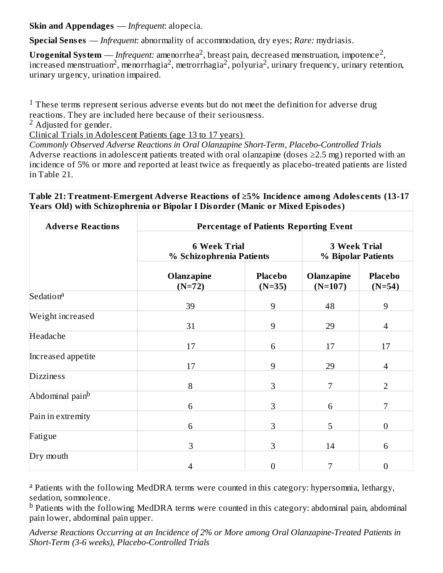**Skin and Appendages** — *Infrequent*: alopecia.

**Special Sens es** — *Infrequent*: abnormality of accommodation, dry eyes; *Rare:* mydriasis.

 $\bf{U}$ ro $\bf{g}$ enital  $\bf{S}$ ystem — *Infrequent:* amenorrhea $^2$ , breast pain, decreased menstruation, impotence $^2$ , increased menstruation<sup>2</sup>, menorrhagia<sup>2</sup>, metrorrhagia<sup>2</sup>, polyuria<sup>2</sup>, urinary frequency, urinary retention, urinary urgency, urination impaired.

 $1$  These terms represent serious adverse events but do not meet the definition for adverse drug reactions. They are included here because of their seriousness.

 $2$  Adjusted for gender.

Clinical Trials in Adolescent Patients (age 13 to 17 years)

*Commonly Observed Adverse Reactions in Oral Olanzapine Short-Term, Placebo-Controlled Trials* Adverse reactions in adolescent patients treated with oral olanzapine (doses  $\geq$ 2.5 mg) reported with an incidence of 5% or more and reported at least twice as frequently as placebo-treated patients are listed in Table 21.

#### **Table 21: Treatment-Emergent Advers e Reactions of ≥5% Incidence among Adoles cents (13-17 Years Old) with Schizophrenia or Bipolar I Disorder (Manic or Mixed Episodes)**

| <b>Adverse Reactions</b>    | <b>Percentage of Patients Reporting Event</b>   |                                           |                         |                            |  |
|-----------------------------|-------------------------------------------------|-------------------------------------------|-------------------------|----------------------------|--|
|                             | <b>6 Week Trial</b><br>% Schizophrenia Patients | <b>3 Week Trial</b><br>% Bipolar Patients |                         |                            |  |
|                             | Olanzapine<br>$(N=72)$                          | <b>Placebo</b><br>$(N=35)$                | Olanzapine<br>$(N=107)$ | <b>Placebo</b><br>$(N=54)$ |  |
| Sedation <sup>a</sup>       | 39                                              | 9                                         | 48                      | 9                          |  |
| Weight increased            | 31                                              | 9                                         | 29                      | 4                          |  |
| Headache                    | 17                                              | 6                                         | 17                      | 17                         |  |
| Increased appetite          | 17                                              | 9                                         | 29                      | 4                          |  |
| <b>Dizziness</b>            | 8                                               | 3                                         | 7                       | $\overline{2}$             |  |
| Abdominal pain <sup>b</sup> | 6                                               | 3                                         | 6                       | 7                          |  |
| Pain in extremity           | 6                                               | 3                                         | 5                       | $\boldsymbol{0}$           |  |
| Fatigue                     | 3                                               | 3                                         | 14                      | 6                          |  |
| Dry mouth                   | 4                                               | $\boldsymbol{0}$                          | 7                       | $\boldsymbol{0}$           |  |

<sup>a</sup> Patients with the following MedDRA terms were counted in this category: hypersomnia, lethargy, sedation, somnolence.

 $^{\rm b}$  Patients with the following MedDRA terms were counted in this category: abdominal pain, abdominal pain lower, abdominal pain upper.

*Adverse Reactions Occurring at an Incidence of 2% or More among Oral Olanzapine-Treated Patients in Short-Term (3-6 weeks), Placebo-Controlled Trials*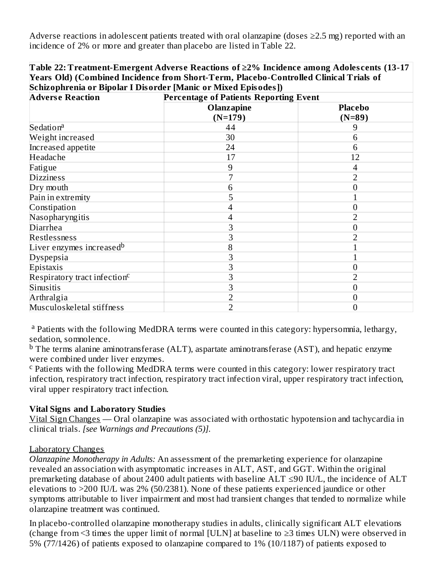Adverse reactions in adolescent patients treated with oral olanzapine (doses  $\geq$ 2.5 mg) reported with an incidence of 2% or more and greater than placebo are listed in Table 22.

**Table 22: Treatment-Emergent Advers e Reactions of ≥2% Incidence among Adoles cents (13-17 Years Old) (Combined Incidence from Short-Term, Placebo-Controlled Clinical Trials of Schizophrenia or Bipolar I Disorder [Manic or Mixed Episodes])**

| <b>Adverse Reaction</b>                  | <b>Percentage of Patients Reporting Event</b> |                            |  |  |
|------------------------------------------|-----------------------------------------------|----------------------------|--|--|
|                                          | Olanzapine<br>$(N=179)$                       | <b>Placebo</b><br>$(N=89)$ |  |  |
| Sedation <sup>a</sup>                    | 44                                            | 9                          |  |  |
| Weight increased                         | 30                                            | 6                          |  |  |
| Increased appetite                       | 24                                            | 6                          |  |  |
| Headache                                 | 17                                            | 12                         |  |  |
| Fatigue                                  | 9                                             | 4                          |  |  |
| <b>Dizziness</b>                         |                                               |                            |  |  |
| Dry mouth                                | h                                             |                            |  |  |
| Pain in extremity                        | 5                                             |                            |  |  |
| Constipation                             |                                               |                            |  |  |
| Nasopharyngitis                          |                                               | フ                          |  |  |
| Diarrhea                                 | З                                             | 0                          |  |  |
| Restlessness                             |                                               |                            |  |  |
| Liver enzymes increased <sup>b</sup>     | 8                                             |                            |  |  |
| <b>Dyspepsia</b>                         | З                                             |                            |  |  |
| Epistaxis                                |                                               |                            |  |  |
| Respiratory tract infection <sup>c</sup> |                                               |                            |  |  |
| Sinusitis                                |                                               | 0                          |  |  |
| Arthralgia                               |                                               |                            |  |  |
| Musculoskeletal stiffness                |                                               | 0                          |  |  |

<sup>a</sup> Patients with the following MedDRA terms were counted in this category: hypersomnia, lethargy, sedation, somnolence.

 $^{\rm b}$  The terms alanine aminotransferase (ALT), aspartate aminotransferase (AST), and hepatic enzyme were combined under liver enzymes.

 $\rm ^c$  Patients with the following MedDRA terms were counted in this category: lower respiratory tract infection, respiratory tract infection, respiratory tract infection viral, upper respiratory tract infection, viral upper respiratory tract infection.

#### **Vital Signs and Laboratory Studies**

Vital Sign Changes — Oral olanzapine was associated with orthostatic hypotension and tachycardia in clinical trials. *[see Warnings and Precautions (5)].*

#### Laboratory Changes

*Olanzapine Monotherapy in Adults:* An assessment of the premarketing experience for olanzapine revealed an association with asymptomatic increases in ALT, AST, and GGT. Within the original premarketing database of about 2400 adult patients with baseline ALT ≤90 IU/L, the incidence of ALT elevations to >200 IU/L was 2% (50/2381). None of these patients experienced jaundice or other symptoms attributable to liver impairment and most had transient changes that tended to normalize while olanzapine treatment was continued.

In placebo-controlled olanzapine monotherapy studies in adults, clinically significant ALT elevations (change from <3 times the upper limit of normal [ULN] at baseline to  $\geq$ 3 times ULN) were observed in 5% (77/1426) of patients exposed to olanzapine compared to 1% (10/1187) of patients exposed to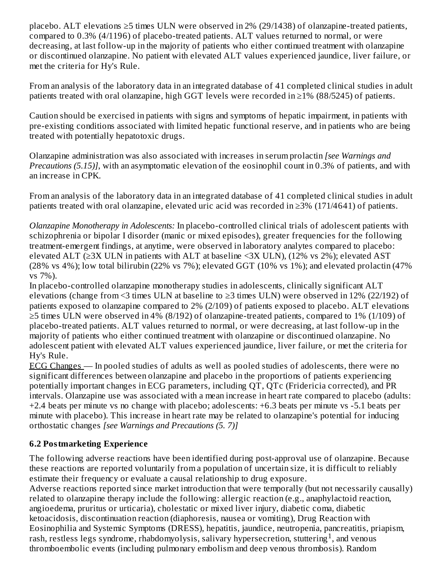placebo. ALT elevations ≥5 times ULN were observed in 2% (29/1438) of olanzapine-treated patients, compared to 0.3% (4/1196) of placebo-treated patients. ALT values returned to normal, or were decreasing, at last follow-up in the majority of patients who either continued treatment with olanzapine or discontinued olanzapine. No patient with elevated ALT values experienced jaundice, liver failure, or met the criteria for Hy's Rule.

From an analysis of the laboratory data in an integrated database of 41 completed clinical studies in adult patients treated with oral olanzapine, high GGT levels were recorded in ≥1% (88/5245) of patients.

Caution should be exercised in patients with signs and symptoms of hepatic impairment, in patients with pre-existing conditions associated with limited hepatic functional reserve, and in patients who are being treated with potentially hepatotoxic drugs.

Olanzapine administration was also associated with increases in serum prolactin *[see Warnings and Precautions (5.15)]*, with an asymptomatic elevation of the eosinophil count in 0.3% of patients, and with an increase in CPK.

From an analysis of the laboratory data in an integrated database of 41 completed clinical studies in adult patients treated with oral olanzapine, elevated uric acid was recorded in ≥3% (171/4641) of patients.

*Olanzapine Monotherapy in Adolescents:* In placebo-controlled clinical trials of adolescent patients with schizophrenia or bipolar I disorder (manic or mixed episodes), greater frequencies for the following treatment-emergent findings, at anytime, were observed in laboratory analytes compared to placebo: elevated ALT (≥3X ULN in patients with ALT at baseline <3X ULN), (12% vs 2%); elevated AST (28% vs 4%); low total bilirubin (22% vs 7%); elevated GGT (10% vs 1%); and elevated prolactin (47% vs 7%).

In placebo-controlled olanzapine monotherapy studies in adolescents, clinically significant ALT elevations (change from <3 times ULN at baseline to ≥3 times ULN) were observed in 12% (22/192) of patients exposed to olanzapine compared to 2% (2/109) of patients exposed to placebo. ALT elevations ≥5 times ULN were observed in 4% (8/192) of olanzapine-treated patients, compared to 1% (1/109) of placebo-treated patients. ALT values returned to normal, or were decreasing, at last follow-up in the majority of patients who either continued treatment with olanzapine or discontinued olanzapine. No adolescent patient with elevated ALT values experienced jaundice, liver failure, or met the criteria for Hy's Rule.

ECG Changes — In pooled studies of adults as well as pooled studies of adolescents, there were no significant differences between olanzapine and placebo in the proportions of patients experiencing potentially important changes in ECG parameters, including QT, QTc (Fridericia corrected), and PR intervals. Olanzapine use was associated with a mean increase in heart rate compared to placebo (adults: +2.4 beats per minute vs no change with placebo; adolescents: +6.3 beats per minute vs -5.1 beats per minute with placebo). This increase in heart rate may be related to olanzapine's potential for inducing orthostatic changes *[see Warnings and Precautions (5. 7)]*

#### **6.2 Postmarketing Experience**

The following adverse reactions have been identified during post-approval use of olanzapine. Because these reactions are reported voluntarily from a population of uncertain size, it is difficult to reliably estimate their frequency or evaluate a causal relationship to drug exposure.

Adverse reactions reported since market introduction that were temporally (but not necessarily causally) related to olanzapine therapy include the following: allergic reaction (e.g., anaphylactoid reaction, angioedema, pruritus or urticaria), cholestatic or mixed liver injury, diabetic coma, diabetic ketoacidosis, discontinuation reaction (diaphoresis, nausea or vomiting), Drug Reaction with Eosinophilia and Systemic Symptoms (DRESS), hepatitis, jaundice, neutropenia, pancreatitis, priapism, rash, restless legs syndrome, rhabdomyolysis, salivary hypersecretion, stuttering<sup>1</sup>, and venous thromboembolic events (including pulmonary embolism and deep venous thrombosis). Random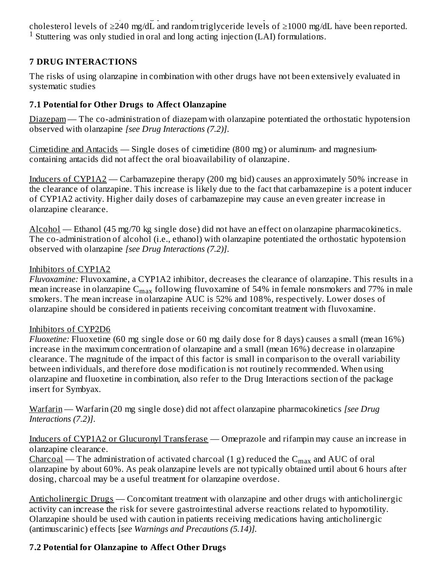thromboembolic events (including pulmonary embolism and deep venous thrombosis). Random cholesterol levels of ≥240 mg/dL and random triglyceride levels of ≥1000 mg/dL have been reported.  $1$  Stuttering was only studied in oral and long acting injection (LAI) formulations.

#### **7 DRUG INTERACTIONS**

The risks of using olanzapine in combination with other drugs have not been extensively evaluated in systematic studies

#### **7.1 Potential for Other Drugs to Affect Olanzapine**

Diazepam — The co-administration of diazepam with olanzapine potentiated the orthostatic hypotension observed with olanzapine *[see Drug Interactions (7.2)]*.

Cimetidine and Antacids — Single doses of cimetidine (800 mg) or aluminum- and magnesiumcontaining antacids did not affect the oral bioavailability of olanzapine.

Inducers of CYP1A2 — Carbamazepine therapy (200 mg bid) causes an approximately 50% increase in the clearance of olanzapine. This increase is likely due to the fact that carbamazepine is a potent inducer of CYP1A2 activity. Higher daily doses of carbamazepine may cause an even greater increase in olanzapine clearance.

Alcohol — Ethanol (45 mg/70 kg single dose) did not have an effect on olanzapine pharmacokinetics. The co-administration of alcohol (i.e., ethanol) with olanzapine potentiated the orthostatic hypotension observed with olanzapine *[see Drug Interactions (7.2)]*.

#### Inhibitors of CYP1A2

*Fluvoxamine:* Fluvoxamine, a CYP1A2 inhibitor, decreases the clearance of olanzapine. This results in a mean increase in olanzapine  $\rm{C_{max}}$  following fluvoxamine of 54% in female nonsmokers and 77% in male smokers. The mean increase in olanzapine AUC is 52% and 108%, respectively. Lower doses of olanzapine should be considered in patients receiving concomitant treatment with fluvoxamine.

#### Inhibitors of CYP2D6

*Fluoxetine:* Fluoxetine (60 mg single dose or 60 mg daily dose for 8 days) causes a small (mean 16%) increase in the maximum concentration of olanzapine and a small (mean 16%) decrease in olanzapine clearance. The magnitude of the impact of this factor is small in comparison to the overall variability between individuals, and therefore dose modification is not routinely recommended. When using olanzapine and fluoxetine in combination, also refer to the Drug Interactions section of the package insert for Symbyax.

Warfarin — Warfarin (20 mg single dose) did not affect olanzapine pharmacokinetics *[see Drug Interactions (7.2)]*.

Inducers of CYP1A2 or Glucuronyl Transferase — Omeprazole and rifampin may cause an increase in olanzapine clearance.

 $\frac{\text{Charcoal}}{\text{C}^{\text{max}}}$  — The administration of activated charcoal (1 g) reduced the  $\text{C}_{\text{max}}$  and  $\text{AUC}$  of oral olanzapine by about 60%. As peak olanzapine levels are not typically obtained until about 6 hours after dosing, charcoal may be a useful treatment for olanzapine overdose.

Anticholinergic Drugs — Concomitant treatment with olanzapine and other drugs with anticholinergic activity can increase the risk for severe gastrointestinal adverse reactions related to hypomotility. Olanzapine should be used with caution in patients receiving medications having anticholinergic (antimuscarinic) effects [*see Warnings and Precautions (5.14)].*

#### **7.2 Potential for Olanzapine to Affect Other Drugs**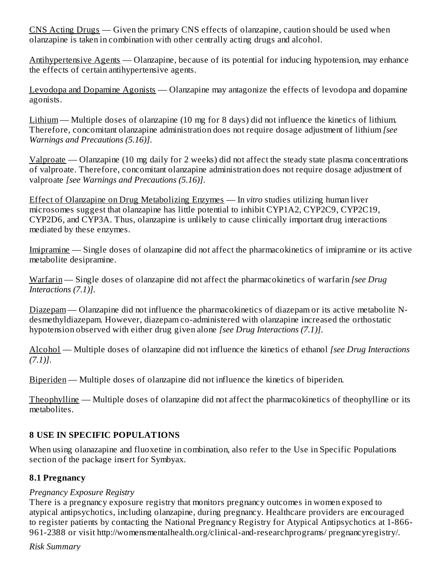CNS Acting Drugs — Given the primary CNS effects of olanzapine, caution should be used when olanzapine is taken in combination with other centrally acting drugs and alcohol.

Antihypertensive Agents — Olanzapine, because of its potential for inducing hypotension, may enhance the effects of certain antihypertensive agents.

Levodopa and Dopamine Agonists — Olanzapine may antagonize the effects of levodopa and dopamine agonists.

Lithium — Multiple doses of olanzapine (10 mg for 8 days) did not influence the kinetics of lithium. Therefore, concomitant olanzapine administration does not require dosage adjustment of lithium *[see Warnings and Precautions (5.16)]*.

Valproate — Olanzapine (10 mg daily for 2 weeks) did not affect the steady state plasma concentrations of valproate. Therefore, concomitant olanzapine administration does not require dosage adjustment of valproate *[see Warnings and Precautions (5.16)]*.

Effect of Olanzapine on Drug Metabolizing Enzymes — In *vitro* studies utilizing human liver microsomes suggest that olanzapine has little potential to inhibit CYP1A2, CYP2C9, CYP2C19, CYP2D6, and CYP3A. Thus, olanzapine is unlikely to cause clinically important drug interactions mediated by these enzymes.

Imipramine — Single doses of olanzapine did not affect the pharmacokinetics of imipramine or its active metabolite desipramine.

Warfarin — Single doses of olanzapine did not affect the pharmacokinetics of warfarin *[see Drug Interactions (7.1)]*.

Diazepam — Olanzapine did not influence the pharmacokinetics of diazepam or its active metabolite Ndesmethyldiazepam. However, diazepam co-administered with olanzapine increased the orthostatic hypotension observed with either drug given alone *[see Drug Interactions (7.1)]*.

Alcohol — Multiple doses of olanzapine did not influence the kinetics of ethanol *[see Drug Interactions (7.1)]*.

Biperiden — Multiple doses of olanzapine did not influence the kinetics of biperiden.

Theophylline — Multiple doses of olanzapine did not affect the pharmacokinetics of theophylline or its metabolites.

#### **8 USE IN SPECIFIC POPULATIONS**

When using olanazapine and fluoxetine in combination, also refer to the Use in Specific Populations section of the package insert for Symbyax.

#### **8.1 Pregnancy**

#### *Pregnancy Exposure Registry*

There is a pregnancy exposure registry that monitors pregnancy outcomes in women exposed to atypical antipsychotics, including olanzapine, during pregnancy. Healthcare providers are encouraged to register patients by contacting the National Pregnancy Registry for Atypical Antipsychotics at 1-866- 961-2388 or visit http://womensmentalhealth.org/clinical-and-researchprograms/ pregnancyregistry/.

*Risk Summary*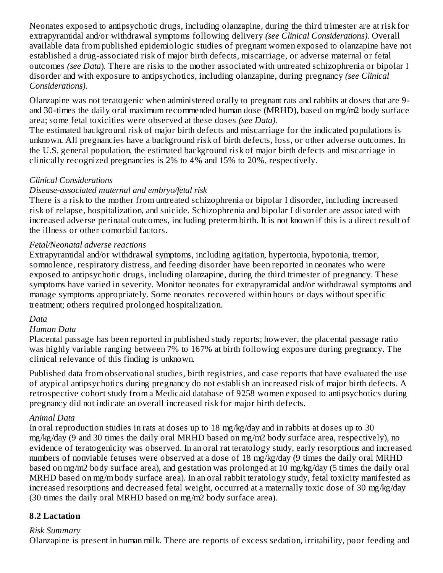Neonates exposed to antipsychotic drugs, including olanzapine, during the third trimester are at risk for extrapyramidal and/or withdrawal symptoms following delivery *(see Clinical Considerations).* Overall available data from published epidemiologic studies of pregnant women exposed to olanzapine have not established a drug-associated risk of major birth defects, miscarriage, or adverse maternal or fetal outcomes *(see Data*). There are risks to the mother associated with untreated schizophrenia or bipolar I disorder and with exposure to antipsychotics, including olanzapine, during pregnancy *(see Clinical Considerations).*

Olanzapine was not teratogenic when administered orally to pregnant rats and rabbits at doses that are 9 and 30-times the daily oral maximum recommended human dose (MRHD), based on mg/m2 body surface area; some fetal toxicities were observed at these doses *(see Data).*

The estimated background risk of major birth defects and miscarriage for the indicated populations is unknown. All pregnancies have a background risk of birth defects, loss, or other adverse outcomes. In the U.S. general population, the estimated background risk of major birth defects and miscarriage in clinically recognized pregnancies is 2% to 4% and 15% to 20%, respectively.

#### *Clinical Considerations*

#### *Disease-associated maternal and embryo/fetal risk*

There is a risk to the mother from untreated schizophrenia or bipolar I disorder, including increased risk of relapse, hospitalization, and suicide. Schizophrenia and bipolar I disorder are associated with increased adverse perinatal outcomes, including preterm birth. It is not known if this is a direct result of the illness or other comorbid factors.

#### *Fetal/Neonatal adverse reactions*

Extrapyramidal and/or withdrawal symptoms, including agitation, hypertonia, hypotonia, tremor, somnolence, respiratory distress, and feeding disorder have been reported in neonates who were exposed to antipsychotic drugs, including olanzapine, during the third trimester of pregnancy. These symptoms have varied in severity. Monitor neonates for extrapyramidal and/or withdrawal symptoms and manage symptoms appropriately. Some neonates recovered within hours or days without specific treatment; others required prolonged hospitalization.

#### *Data*

#### *Human Data*

Placental passage has been reported in published study reports; however, the placental passage ratio was highly variable ranging between 7% to 167% at birth following exposure during pregnancy. The clinical relevance of this finding is unknown.

Published data from observational studies, birth registries, and case reports that have evaluated the use of atypical antipsychotics during pregnancy do not establish an increased risk of major birth defects. A retrospective cohort study from a Medicaid database of 9258 women exposed to antipsychotics during pregnancy did not indicate an overall increased risk for major birth defects.

#### *Animal Data*

In oral reproduction studies in rats at doses up to 18 mg/kg/day and in rabbits at doses up to 30 mg/kg/day (9 and 30 times the daily oral MRHD based on mg/m2 body surface area, respectively), no evidence of teratogenicity was observed. In an oral rat teratology study, early resorptions and increased numbers of nonviable fetuses were observed at a dose of 18 mg/kg/day (9 times the daily oral MRHD based on mg/m2 body surface area), and gestation was prolonged at 10 mg/kg/day (5 times the daily oral MRHD based on mg/m body surface area). In an oral rabbit teratology study, fetal toxicity manifested as increased resorptions and decreased fetal weight, occurred at a maternally toxic dose of 30 mg/kg/day (30 times the daily oral MRHD based on mg/m2 body surface area).

#### **8.2 Lactation**

#### *Risk Summary*

Olanzapine is present in human milk. There are reports of excess sedation, irritability, poor feeding and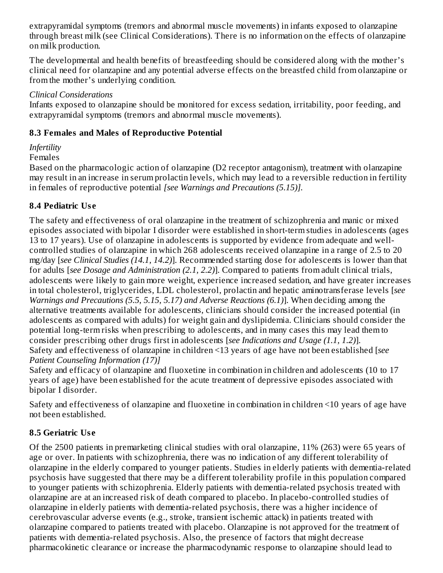extrapyramidal symptoms (tremors and abnormal muscle movements) in infants exposed to olanzapine through breast milk (see Clinical Considerations). There is no information on the effects of olanzapine on milk production.

The developmental and health benefits of breastfeeding should be considered along with the mother's clinical need for olanzapine and any potential adverse effects on the breastfed child from olanzapine or from the mother's underlying condition.

#### *Clinical Considerations*

Infants exposed to olanzapine should be monitored for excess sedation, irritability, poor feeding, and extrapyramidal symptoms (tremors and abnormal muscle movements).

#### **8.3 Females and Males of Reproductive Potential**

## *Infertility*

#### Females

Based on the pharmacologic action of olanzapine (D2 receptor antagonism), treatment with olanzapine may result in an increase in serum prolactin levels, which may lead to a reversible reduction in fertility in females of reproductive potential *[see Warnings and Precautions (5.15)].*

#### **8.4 Pediatric Us e**

The safety and effectiveness of oral olanzapine in the treatment of schizophrenia and manic or mixed episodes associated with bipolar I disorder were established in short-term studies in adolescents (ages 13 to 17 years). Use of olanzapine in adolescents is supported by evidence from adequate and wellcontrolled studies of olanzapine in which 268 adolescents received olanzapine in a range of 2.5 to 20 mg/day [*see Clinical Studies (14.1, 14.2)*]. Recommended starting dose for adolescents is lower than that for adults [*see Dosage and Administration (2.1, 2.2)*]. Compared to patients from adult clinical trials, adolescents were likely to gain more weight, experience increased sedation, and have greater increases in total cholesterol, triglycerides, LDL cholesterol, prolactin and hepatic aminotransferase levels [*see Warnings and Precautions (5.5, 5.15, 5.17) and Adverse Reactions (6.1)*]. When deciding among the alternative treatments available for adolescents, clinicians should consider the increased potential (in adolescents as compared with adults) for weight gain and dyslipidemia. Clinicians should consider the potential long-term risks when prescribing to adolescents, and in many cases this may lead them to consider prescribing other drugs first in adolescents [*see Indications and Usage (1.1, 1.2)*]. Safety and effectiveness of olanzapine in children <13 years of age have not been established [*see Patient Counseling Information (17)]*

Safety and efficacy of olanzapine and fluoxetine in combination in children and adolescents (10 to 17 years of age) have been established for the acute treatment of depressive episodes associated with bipolar I disorder.

Safety and effectiveness of olanzapine and fluoxetine in combination in children <10 years of age have not been established.

## **8.5 Geriatric Us e**

Of the 2500 patients in premarketing clinical studies with oral olanzapine, 11% (263) were 65 years of age or over. In patients with schizophrenia, there was no indication of any different tolerability of olanzapine in the elderly compared to younger patients. Studies in elderly patients with dementia-related psychosis have suggested that there may be a different tolerability profile in this population compared to younger patients with schizophrenia. Elderly patients with dementia-related psychosis treated with olanzapine are at an increased risk of death compared to placebo. In placebo-controlled studies of olanzapine in elderly patients with dementia-related psychosis, there was a higher incidence of cerebrovascular adverse events (e.g., stroke, transient ischemic attack) in patients treated with olanzapine compared to patients treated with placebo. Olanzapine is not approved for the treatment of patients with dementia-related psychosis. Also, the presence of factors that might decrease pharmacokinetic clearance or increase the pharmacodynamic response to olanzapine should lead to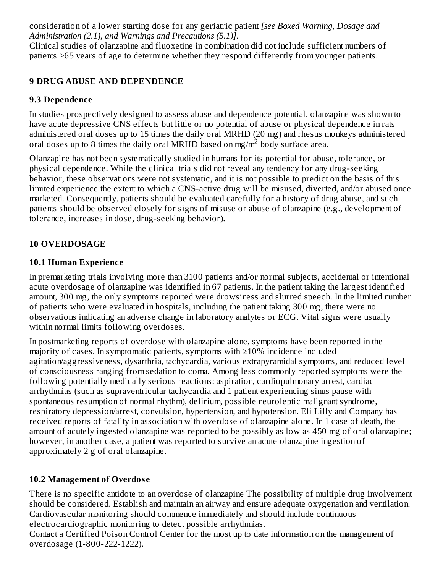consideration of a lower starting dose for any geriatric patient *[see Boxed Warning, Dosage and Administration (2.1), and Warnings and Precautions (5.1)]*.

Clinical studies of olanzapine and fluoxetine in combination did not include sufficient numbers of patients ≥65 years of age to determine whether they respond differently from younger patients.

#### **9 DRUG ABUSE AND DEPENDENCE**

#### **9.3 Dependence**

In studies prospectively designed to assess abuse and dependence potential, olanzapine was shown to have acute depressive CNS effects but little or no potential of abuse or physical dependence in rats administered oral doses up to 15 times the daily oral MRHD (20 mg) and rhesus monkeys administered oral doses up to 8 times the daily oral MRHD based on mg/m<sup>2</sup> body surface area.

Olanzapine has not been systematically studied in humans for its potential for abuse, tolerance, or physical dependence. While the clinical trials did not reveal any tendency for any drug-seeking behavior, these observations were not systematic, and it is not possible to predict on the basis of this limited experience the extent to which a CNS-active drug will be misused, diverted, and/or abused once marketed. Consequently, patients should be evaluated carefully for a history of drug abuse, and such patients should be observed closely for signs of misuse or abuse of olanzapine (e.g., development of tolerance, increases in dose, drug-seeking behavior).

#### **10 OVERDOSAGE**

#### **10.1 Human Experience**

In premarketing trials involving more than 3100 patients and/or normal subjects, accidental or intentional acute overdosage of olanzapine was identified in 67 patients. In the patient taking the largest identified amount, 300 mg, the only symptoms reported were drowsiness and slurred speech. In the limited number of patients who were evaluated in hospitals, including the patient taking 300 mg, there were no observations indicating an adverse change in laboratory analytes or ECG. Vital signs were usually within normal limits following overdoses.

In postmarketing reports of overdose with olanzapine alone, symptoms have been reported in the majority of cases. In symptomatic patients, symptoms with ≥10% incidence included agitation/aggressiveness, dysarthria, tachycardia, various extrapyramidal symptoms, and reduced level of consciousness ranging from sedation to coma. Among less commonly reported symptoms were the following potentially medically serious reactions: aspiration, cardiopulmonary arrest, cardiac arrhythmias (such as supraventricular tachycardia and 1 patient experiencing sinus pause with spontaneous resumption of normal rhythm), delirium, possible neuroleptic malignant syndrome, respiratory depression/arrest, convulsion, hypertension, and hypotension. Eli Lilly and Company has received reports of fatality in association with overdose of olanzapine alone. In 1 case of death, the amount of acutely ingested olanzapine was reported to be possibly as low as 450 mg of oral olanzapine; however, in another case, a patient was reported to survive an acute olanzapine ingestion of approximately 2 g of oral olanzapine.

#### **10.2 Management of Overdos e**

There is no specific antidote to an overdose of olanzapine The possibility of multiple drug involvement should be considered. Establish and maintain an airway and ensure adequate oxygenation and ventilation. Cardiovascular monitoring should commence immediately and should include continuous electrocardiographic monitoring to detect possible arrhythmias.

Contact a Certified Poison Control Center for the most up to date information on the management of overdosage (1-800-222-1222).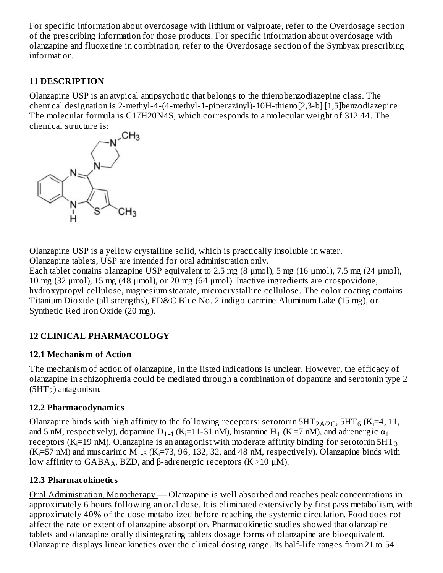For specific information about overdosage with lithium or valproate, refer to the Overdosage section of the prescribing information for those products. For specific information about overdosage with olanzapine and fluoxetine in combination, refer to the Overdosage section of the Symbyax prescribing information.

#### **11 DESCRIPTION**

Olanzapine USP is an atypical antipsychotic that belongs to the thienobenzodiazepine class. The chemical designation is 2-methyl-4-(4-methyl-1-piperazinyl)-10H-thieno[2,3-b] [1,5]benzodiazepine. The molecular formula is C17H20N4S, which corresponds to a molecular weight of 312.44. The



Olanzapine USP is a yellow crystalline solid, which is practically insoluble in water. Olanzapine tablets, USP are intended for oral administration only.

Each tablet contains olanzapine USP equivalent to 2.5 mg (8  $\mu$ mol), 5 mg (16  $\mu$ mol), 7.5 mg (24  $\mu$ mol), 10 mg (32 μmol), 15 mg (48 μmol), or 20 mg (64 μmol). Inactive ingredients are crospovidone, hydroxypropyl cellulose, magnesium stearate, microcrystalline cellulose. The color coating contains Titanium Dioxide (all strengths), FD&C Blue No. 2 indigo carmine Aluminum Lake (15 mg), or Synthetic Red Iron Oxide (20 mg).

#### **12 CLINICAL PHARMACOLOGY**

#### **12.1 Mechanism of Action**

The mechanism of action of olanzapine, in the listed indications is unclear. However, the efficacy of olanzapine in schizophrenia could be mediated through a combination of dopamine and serotonin type 2  $(5HT<sub>2</sub>)$  antagonism.

#### **12.2 Pharmacodynamics**

Olanzapine binds with high affinity to the following receptors: serotonin 5HT $_{\rm 2A/2C}$ , 5HT $_{\rm 6}$  (K $_{\rm i}$ =4, 11, and 5 nM, respectively), dopamine D<sub>1-4</sub> (K<sub>i</sub>=11-31 nM), histamine H<sub>1</sub> (K<sub>i</sub>=7 nM), and adrenergic  $\alpha_1$ receptors (K<sub>i</sub>=19 nM). Olanzapine is an antagonist with moderate affinity binding for serotonin 5HT<sub>3</sub>  $(K_i=57 \text{ nM})$  and muscarinic  $M_{1-5}$  (K<sub>1</sub>=73, 96, 132, 32, and 48 nM, respectively). Olanzapine binds with low affinity to  $GABA_A$ , BZD, and β-adrenergic receptors (K<sub>i</sub>>10 μM).

#### **12.3 Pharmacokinetics**

Oral Administration, Monotherapy — Olanzapine is well absorbed and reaches peak concentrations in approximately 6 hours following an oral dose. It is eliminated extensively by first pass metabolism, with approximately 40% of the dose metabolized before reaching the systemic circulation. Food does not affect the rate or extent of olanzapine absorption. Pharmacokinetic studies showed that olanzapine tablets and olanzapine orally disintegrating tablets dosage forms of olanzapine are bioequivalent. Olanzapine displays linear kinetics over the clinical dosing range. Its half-life ranges from 21 to 54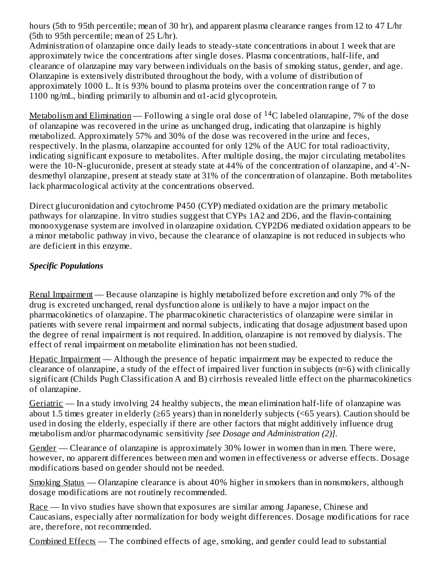hours (5th to 95th percentile; mean of 30 hr), and apparent plasma clearance ranges from 12 to 47 L/hr (5th to 95th percentile; mean of 25 L/hr).

Administration of olanzapine once daily leads to steady-state concentrations in about 1 week that are approximately twice the concentrations after single doses. Plasma concentrations, half-life, and clearance of olanzapine may vary between individuals on the basis of smoking status, gender, and age. Olanzapine is extensively distributed throughout the body, with a volume of distribution of approximately 1000 L. It is 93% bound to plasma proteins over the concentration range of 7 to 1100 ng/mL, binding primarily to albumin and  $\alpha$ 1-acid glycoprotein.

<u>Metabolism and Elimination</u> — Following a single oral dose of  $^{14}$ C labeled olanzapine, 7% of the dose of olanzapine was recovered in the urine as unchanged drug, indicating that olanzapine is highly metabolized. Approximately 57% and 30% of the dose was recovered in the urine and feces, respectively. In the plasma, olanzapine accounted for only 12% of the AUC for total radioactivity, indicating significant exposure to metabolites. After multiple dosing, the major circulating metabolites were the 10-N-glucuronide, present at steady state at 44% of the concentration of olanzapine, and 4′-Ndesmethyl olanzapine, present at steady state at 31% of the concentration of olanzapine. Both metabolites lack pharmacological activity at the concentrations observed.

Direct glucuronidation and cytochrome P450 (CYP) mediated oxidation are the primary metabolic pathways for olanzapine. In vitro studies suggest that CYPs 1A2 and 2D6, and the flavin-containing monooxygenase system are involved in olanzapine oxidation. CYP2D6 mediated oxidation appears to be a minor metabolic pathway in vivo, because the clearance of olanzapine is not reduced in subjects who are deficient in this enzyme.

#### *Specific Populations*

Renal Impairment — Because olanzapine is highly metabolized before excretion and only 7% of the drug is excreted unchanged, renal dysfunction alone is unlikely to have a major impact on the pharmacokinetics of olanzapine. The pharmacokinetic characteristics of olanzapine were similar in patients with severe renal impairment and normal subjects, indicating that dosage adjustment based upon the degree of renal impairment is not required. In addition, olanzapine is not removed by dialysis. The effect of renal impairment on metabolite elimination has not been studied.

Hepatic Impairment — Although the presence of hepatic impairment may be expected to reduce the clearance of olanzapine, a study of the effect of impaired liver function in subjects (n=6) with clinically significant (Childs Pugh Classification A and B) cirrhosis revealed little effect on the pharmacokinetics of olanzapine.

Geriatric — In a study involving 24 healthy subjects, the mean elimination half-life of olanzapine was about 1.5 times greater in elderly (≥65 years) than in nonelderly subjects (<65 years). Caution should be used in dosing the elderly, especially if there are other factors that might additively influence drug metabolism and/or pharmacodynamic sensitivity *[see Dosage and Administration (2)]*.

Gender — Clearance of olanzapine is approximately 30% lower in women than in men. There were, however, no apparent differences between men and women in effectiveness or adverse effects. Dosage modifications based on gender should not be needed.

Smoking Status — Olanzapine clearance is about 40% higher in smokers than in nonsmokers, although dosage modifications are not routinely recommended.

Race — In vivo studies have shown that exposures are similar among Japanese, Chinese and Caucasians, especially after normalization for body weight differences. Dosage modifications for race are, therefore, not recommended.

Combined Effects — The combined effects of age, smoking, and gender could lead to substantial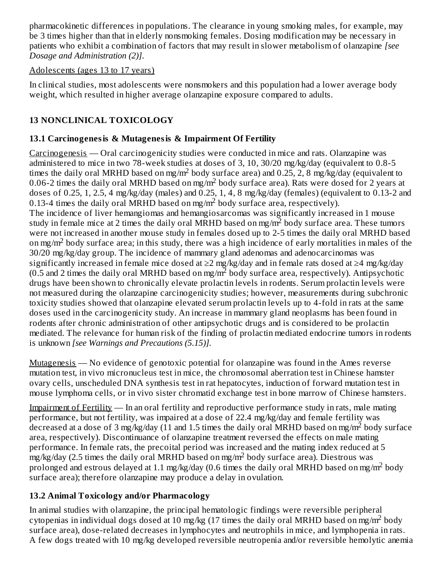pharmacokinetic differences in populations. The clearance in young smoking males, for example, may be 3 times higher than that in elderly nonsmoking females. Dosing modification may be necessary in patients who exhibit a combination of factors that may result in slower metabolism of olanzapine *[see Dosage and Administration (2)]*.

#### Adolescents (ages 13 to 17 years)

In clinical studies, most adolescents were nonsmokers and this population had a lower average body weight, which resulted in higher average olanzapine exposure compared to adults.

## **13 NONCLINICAL TOXICOLOGY**

## **13.1 Carcinogenesis & Mutagenesis & Impairment Of Fertility**

Carcinogenesis — Oral carcinogenicity studies were conducted in mice and rats. Olanzapine was administered to mice in two 78-week studies at doses of 3, 10, 30/20 mg/kg/day (equivalent to 0.8-5 times the daily oral MRHD based on mg/m<sup>2</sup> body surface area) and 0.25, 2, 8 mg/kg/day (equivalent to 0.06-2 times the daily oral MRHD based on mg/m<sup>2</sup> body surface area). Rats were dosed for 2 years at doses of 0.25, 1, 2.5, 4 mg/kg/day (males) and 0.25, 1, 4, 8 mg/kg/day (females) (equivalent to 0.13-2 and 0.13-4 times the daily oral MRHD based on mg/m<sup>2</sup> body surface area, respectively). The incidence of liver hemangiomas and hemangiosarcomas was significantly increased in 1 mouse study in female mice at 2 times the daily oral MRHD based on mg/m<sup>2</sup> body surface area. These tumors were not increased in another mouse study in females dosed up to 2-5 times the daily oral MRHD based on mg/m<sup>2</sup> body surface area; in this study, there was a high incidence of early mortalities in males of the 30/20 mg/kg/day group. The incidence of mammary gland adenomas and adenocarcinomas was significantly increased in female mice dosed at ≥2 mg/kg/day and in female rats dosed at ≥4 mg/kg/day (0.5 and 2 times the daily oral MRHD based on mg/m<sup>2</sup> body surface area, respectively). Antipsychotic drugs have been shown to chronically elevate prolactin levels in rodents. Serum prolactin levels were not measured during the olanzapine carcinogenicity studies; however, measurements during subchronic toxicity studies showed that olanzapine elevated serum prolactin levels up to 4-fold in rats at the same doses used in the carcinogenicity study. An increase in mammary gland neoplasms has been found in rodents after chronic administration of other antipsychotic drugs and is considered to be prolactin mediated. The relevance for human risk of the finding of prolactin mediated endocrine tumors in rodents is unknown *[see Warnings and Precautions (5.15)].*

Mutagenesis — No evidence of genotoxic potential for olanzapine was found in the Ames reverse mutation test, in vivo micronucleus test in mice, the chromosomal aberration test in Chinese hamster ovary cells, unscheduled DNA synthesis test in rat hepatocytes, induction of forward mutation test in mouse lymphoma cells, or in vivo sister chromatid exchange test in bone marrow of Chinese hamsters.

Impairment of Fertility — In an oral fertility and reproductive performance study in rats, male mating performance, but not fertility, was impaired at a dose of 22.4 mg/kg/day and female fertility was decreased at a dose of 3 mg/kg/day (11 and 1.5 times the daily oral MRHD based on mg/m<sup>2</sup> body surface area, respectively). Discontinuance of olanzapine treatment reversed the effects on male mating performance. In female rats, the precoital period was increased and the mating index reduced at 5  ${\rm mg/kg/day}$  (2.5 times the daily oral MRHD based on mg/m<sup>2</sup> body surface area). Diestrous was prolonged and estrous delayed at 1.1 mg/kg/day (0.6 times the daily oral MRHD based on mg/m<sup>2</sup> body surface area); therefore olanzapine may produce a delay in ovulation.

## **13.2 Animal Toxicology and/or Pharmacology**

In animal studies with olanzapine, the principal hematologic findings were reversible peripheral cytopenias in individual dogs dosed at 10 mg/kg (17 times the daily oral MRHD based on mg/m<sup>2</sup> body surface area), dose-related decreases in lymphocytes and neutrophils in mice, and lymphopenia in rats. A few dogs treated with 10 mg/kg developed reversible neutropenia and/or reversible hemolytic anemia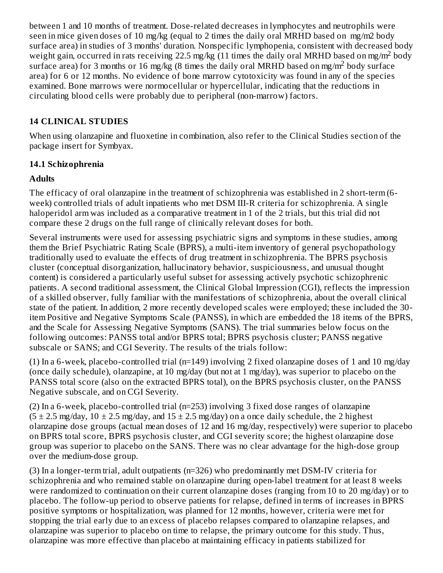between 1 and 10 months of treatment. Dose-related decreases in lymphocytes and neutrophils were seen in mice given doses of 10 mg/kg (equal to 2 times the daily oral MRHD based on mg/m2 body surface area) in studies of 3 months' duration. Nonspecific lymphopenia, consistent with decreased body weight gain, occurred in rats receiving 22.5 mg/kg (11 times the daily oral MRHD based on mg/m<sup>2</sup> body surface area) for 3 months or 16 mg/kg (8 times the daily oral MRHD based on mg/m<sup>2</sup> body surface area) for 6 or 12 months. No evidence of bone marrow cytotoxicity was found in any of the species examined. Bone marrows were normocellular or hypercellular, indicating that the reductions in circulating blood cells were probably due to peripheral (non-marrow) factors.

#### **14 CLINICAL STUDIES**

When using olanzapine and fluoxetine in combination, also refer to the Clinical Studies section of the package insert for Symbyax.

#### **14.1 Schizophrenia**

#### **Adults**

The efficacy of oral olanzapine in the treatment of schizophrenia was established in 2 short-term (6 week) controlled trials of adult inpatients who met DSM III-R criteria for schizophrenia. A single haloperidol arm was included as a comparative treatment in 1 of the 2 trials, but this trial did not compare these 2 drugs on the full range of clinically relevant doses for both.

Several instruments were used for assessing psychiatric signs and symptoms in these studies, among them the Brief Psychiatric Rating Scale (BPRS), a multi-item inventory of general psychopathology traditionally used to evaluate the effects of drug treatment in schizophrenia. The BPRS psychosis cluster (conceptual disorganization, hallucinatory behavior, suspiciousness, and unusual thought content) is considered a particularly useful subset for assessing actively psychotic schizophrenic patients. A second traditional assessment, the Clinical Global Impression (CGI), reflects the impression of a skilled observer, fully familiar with the manifestations of schizophrenia, about the overall clinical state of the patient. In addition, 2 more recently developed scales were employed; these included the 30 item Positive and Negative Symptoms Scale (PANSS), in which are embedded the 18 items of the BPRS, and the Scale for Assessing Negative Symptoms (SANS). The trial summaries below focus on the following outcomes: PANSS total and/or BPRS total; BPRS psychosis cluster; PANSS negative subscale or SANS; and CGI Severity. The results of the trials follow:

(1) In a 6-week, placebo-controlled trial (n=149) involving 2 fixed olanzapine doses of 1 and 10 mg/day (once daily schedule), olanzapine, at 10 mg/day (but not at 1 mg/day), was superior to placebo on the PANSS total score (also on the extracted BPRS total), on the BPRS psychosis cluster, on the PANSS Negative subscale, and on CGI Severity.

(2) In a 6-week, placebo-controlled trial (n=253) involving 3 fixed dose ranges of olanzapine  $(5 \pm 2.5 \text{ mg/day}, 10 \pm 2.5 \text{ mg/day}, \text{and } 15 \pm 2.5 \text{ mg/day})$  on a once daily schedule, the 2 highest olanzapine dose groups (actual mean doses of 12 and 16 mg/day, respectively) were superior to placebo on BPRS total score, BPRS psychosis cluster, and CGI severity score; the highest olanzapine dose group was superior to placebo on the SANS. There was no clear advantage for the high-dose group over the medium-dose group.

(3) In a longer-term trial, adult outpatients (n=326) who predominantly met DSM-IV criteria for schizophrenia and who remained stable on olanzapine during open-label treatment for at least 8 weeks were randomized to continuation on their current olanzapine doses (ranging from 10 to 20 mg/day) or to placebo. The follow-up period to observe patients for relapse, defined in terms of increases in BPRS positive symptoms or hospitalization, was planned for 12 months, however, criteria were met for stopping the trial early due to an excess of placebo relapses compared to olanzapine relapses, and olanzapine was superior to placebo on time to relapse, the primary outcome for this study. Thus, olanzapine was more effective than placebo at maintaining efficacy in patients stabilized for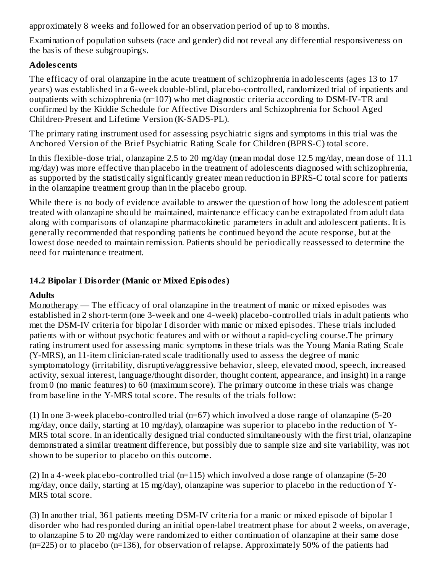approximately 8 weeks and followed for an observation period of up to 8 months.

Examination of population subsets (race and gender) did not reveal any differential responsiveness on the basis of these subgroupings.

#### **Adoles cents**

The efficacy of oral olanzapine in the acute treatment of schizophrenia in adolescents (ages 13 to 17 years) was established in a 6-week double-blind, placebo-controlled, randomized trial of inpatients and outpatients with schizophrenia (n=107) who met diagnostic criteria according to DSM-IV-TR and confirmed by the Kiddie Schedule for Affective Disorders and Schizophrenia for School Aged Children-Present and Lifetime Version (K-SADS-PL).

The primary rating instrument used for assessing psychiatric signs and symptoms in this trial was the Anchored Version of the Brief Psychiatric Rating Scale for Children (BPRS-C) total score.

In this flexible-dose trial, olanzapine 2.5 to 20 mg/day (mean modal dose 12.5 mg/day, mean dose of 11.1 mg/day) was more effective than placebo in the treatment of adolescents diagnosed with schizophrenia, as supported by the statistically significantly greater mean reduction in BPRS-C total score for patients in the olanzapine treatment group than in the placebo group.

While there is no body of evidence available to answer the question of how long the adolescent patient treated with olanzapine should be maintained, maintenance efficacy can be extrapolated from adult data along with comparisons of olanzapine pharmacokinetic parameters in adult and adolescent patients. It is generally recommended that responding patients be continued beyond the acute response, but at the lowest dose needed to maintain remission. Patients should be periodically reassessed to determine the need for maintenance treatment.

#### **14.2 Bipolar I Disorder (Manic or Mixed Episodes)**

#### **Adults**

Monotherapy — The efficacy of oral olanzapine in the treatment of manic or mixed episodes was established in 2 short-term (one 3-week and one 4-week) placebo-controlled trials in adult patients who met the DSM-IV criteria for bipolar I disorder with manic or mixed episodes. These trials included patients with or without psychotic features and with or without a rapid-cycling course.The primary rating instrument used for assessing manic symptoms in these trials was the Young Mania Rating Scale (Y-MRS), an 11-item clinician-rated scale traditionally used to assess the degree of manic symptomatology (irritability, disruptive/aggressive behavior, sleep, elevated mood, speech, increased activity, sexual interest, language/thought disorder, thought content, appearance, and insight) in a range from 0 (no manic features) to 60 (maximum score). The primary outcome in these trials was change from baseline in the Y-MRS total score. The results of the trials follow:

(1) In one 3-week placebo-controlled trial (n=67) which involved a dose range of olanzapine (5-20 mg/day, once daily, starting at 10 mg/day), olanzapine was superior to placebo in the reduction of Y-MRS total score. In an identically designed trial conducted simultaneously with the first trial, olanzapine demonstrated a similar treatment difference, but possibly due to sample size and site variability, was not shown to be superior to placebo on this outcome.

(2) In a 4-week placebo-controlled trial (n=115) which involved a dose range of olanzapine (5-20 mg/day, once daily, starting at 15 mg/day), olanzapine was superior to placebo in the reduction of Y-MRS total score.

(3) In another trial, 361 patients meeting DSM-IV criteria for a manic or mixed episode of bipolar I disorder who had responded during an initial open-label treatment phase for about 2 weeks, on average, to olanzapine 5 to 20 mg/day were randomized to either continuation of olanzapine at their same dose (n=225) or to placebo (n=136), for observation of relapse. Approximately 50% of the patients had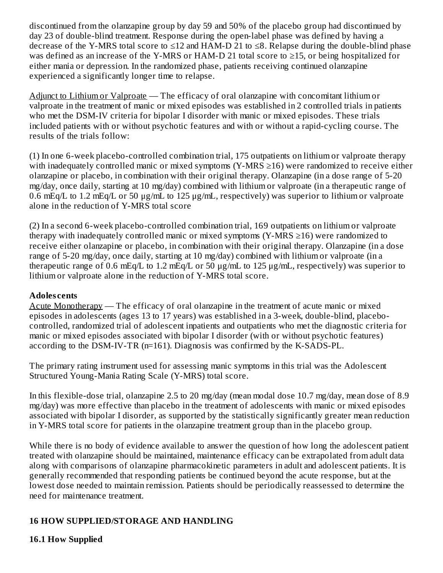discontinued from the olanzapine group by day 59 and 50% of the placebo group had discontinued by day 23 of double-blind treatment. Response during the open-label phase was defined by having a decrease of the Y-MRS total score to ≤12 and HAM-D 21 to ≤8. Relapse during the double-blind phase was defined as an increase of the Y-MRS or HAM-D 21 total score to ≥15, or being hospitalized for either mania or depression. In the randomized phase, patients receiving continued olanzapine experienced a significantly longer time to relapse.

Adjunct to Lithium or Valproate — The efficacy of oral olanzapine with concomitant lithium or valproate in the treatment of manic or mixed episodes was established in 2 controlled trials in patients who met the DSM-IV criteria for bipolar I disorder with manic or mixed episodes. These trials included patients with or without psychotic features and with or without a rapid-cycling course. The results of the trials follow:

(1) In one 6-week placebo-controlled combination trial, 175 outpatients on lithium or valproate therapy with inadequately controlled manic or mixed symptoms (Y-MRS  $\geq$ 16) were randomized to receive either olanzapine or placebo, in combination with their original therapy. Olanzapine (in a dose range of 5-20 mg/day, once daily, starting at 10 mg/day) combined with lithium or valproate (in a therapeutic range of 0.6 mEq/L to 1.2 mEq/L or 50 μg/mL to 125 μg/mL, respectively) was superior to lithium or valproate alone in the reduction of Y-MRS total score

(2) In a second 6-week placebo-controlled combination trial, 169 outpatients on lithium or valproate therapy with inadequately controlled manic or mixed symptoms (Y-MRS  $\geq$ 16) were randomized to receive either olanzapine or placebo, in combination with their original therapy. Olanzapine (in a dose range of 5-20 mg/day, once daily, starting at 10 mg/day) combined with lithium or valproate (in a therapeutic range of 0.6 mEq/L to 1.2 mEq/L or 50 μg/mL to 125 μg/mL, respectively) was superior to lithium or valproate alone in the reduction of Y-MRS total score.

#### **Adoles cents**

Acute Monotherapy — The efficacy of oral olanzapine in the treatment of acute manic or mixed episodes in adolescents (ages 13 to 17 years) was established in a 3-week, double-blind, placebocontrolled, randomized trial of adolescent inpatients and outpatients who met the diagnostic criteria for manic or mixed episodes associated with bipolar I disorder (with or without psychotic features) according to the DSM-IV-TR (n=161). Diagnosis was confirmed by the K-SADS-PL.

The primary rating instrument used for assessing manic symptoms in this trial was the Adolescent Structured Young-Mania Rating Scale (Y-MRS) total score.

In this flexible-dose trial, olanzapine 2.5 to 20 mg/day (mean modal dose 10.7 mg/day, mean dose of 8.9 mg/day) was more effective than placebo in the treatment of adolescents with manic or mixed episodes associated with bipolar I disorder, as supported by the statistically significantly greater mean reduction in Y-MRS total score for patients in the olanzapine treatment group than in the placebo group.

While there is no body of evidence available to answer the question of how long the adolescent patient treated with olanzapine should be maintained, maintenance efficacy can be extrapolated from adult data along with comparisons of olanzapine pharmacokinetic parameters in adult and adolescent patients. It is generally recommended that responding patients be continued beyond the acute response, but at the lowest dose needed to maintain remission. Patients should be periodically reassessed to determine the need for maintenance treatment.

#### **16 HOW SUPPLIED/STORAGE AND HANDLING**

#### **16.1 How Supplied**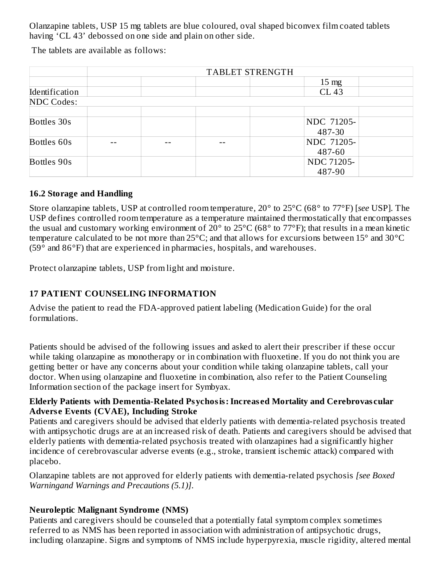Olanzapine tablets, USP 15 mg tablets are blue coloured, oval shaped biconvex film coated tablets having 'CL 43' debossed on one side and plain on other side.

The tablets are available as follows:

|                   | TABLET STRENGTH |  |  |                 |  |
|-------------------|-----------------|--|--|-----------------|--|
|                   |                 |  |  | $15 \text{ mg}$ |  |
| Identification    |                 |  |  | <b>CL 43</b>    |  |
| <b>NDC Codes:</b> |                 |  |  |                 |  |
|                   |                 |  |  |                 |  |
| Bottles 30s       |                 |  |  | NDC 71205-      |  |
|                   |                 |  |  | 487-30          |  |
| Bottles 60s       |                 |  |  | NDC 71205-      |  |
|                   |                 |  |  | 487-60          |  |
| Bottles 90s       |                 |  |  | NDC 71205-      |  |
|                   |                 |  |  | 487-90          |  |

#### **16.2 Storage and Handling**

Store olanzapine tablets, USP at controlled room temperature, 20° to 25°C (68° to 77°F) [*see* USP]. The USP defines controlled room temperature as a temperature maintained thermostatically that encompasses the usual and customary working environment of 20 $^{\circ}$  to 25 $^{\circ}$ C (68 $^{\circ}$  to 77 $^{\circ}$ F); that results in a mean kinetic temperature calculated to be not more than 25°C; and that allows for excursions between 15° and 30°C (59 $^{\circ}$  and 86 $^{\circ}$ F) that are experienced in pharmacies, hospitals, and warehouses.

Protect olanzapine tablets, USP from light and moisture.

#### **17 PATIENT COUNSELING INFORMATION**

Advise the patient to read the FDA-approved patient labeling (Medication Guide) for the oral formulations.

Patients should be advised of the following issues and asked to alert their prescriber if these occur while taking olanzapine as monotherapy or in combination with fluoxetine. If you do not think you are getting better or have any concerns about your condition while taking olanzapine tablets, call your doctor. When using olanzapine and fluoxetine in combination, also refer to the Patient Counseling Information section of the package insert for Symbyax.

#### **Elderly Patients with Dementia-Related Psychosis:Increas ed Mortality and Cerebrovas cular Advers e Events (CVAE), Including Stroke**

Patients and caregivers should be advised that elderly patients with dementia-related psychosis treated with antipsychotic drugs are at an increased risk of death. Patients and caregivers should be advised that elderly patients with dementia-related psychosis treated with olanzapines had a significantly higher incidence of cerebrovascular adverse events (e.g., stroke, transient ischemic attack) compared with placebo.

Olanzapine tablets are not approved for elderly patients with dementia-related psychosis *[see Boxed Warningand Warnings and Precautions (5.1)]*.

#### **Neuroleptic Malignant Syndrome (NMS)**

Patients and caregivers should be counseled that a potentially fatal symptom complex sometimes referred to as NMS has been reported in association with administration of antipsychotic drugs, including olanzapine. Signs and symptoms of NMS include hyperpyrexia, muscle rigidity, altered mental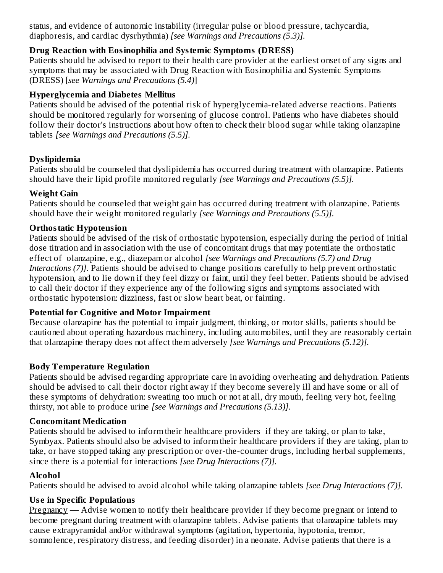status, and evidence of autonomic instability (irregular pulse or blood pressure, tachycardia, diaphoresis, and cardiac dysrhythmia) *[see Warnings and Precautions (5.3)].*

#### **Drug Reaction with Eosinophilia and Systemic Symptoms (DRESS)**

Patients should be advised to report to their health care provider at the earliest onset of any signs and symptoms that may be associated with Drug Reaction with Eosinophilia and Systemic Symptoms (DRESS) [*see Warnings and Precautions (5.4)*]

#### **Hyperglycemia and Diabetes Mellitus**

Patients should be advised of the potential risk of hyperglycemia-related adverse reactions. Patients should be monitored regularly for worsening of glucose control. Patients who have diabetes should follow their doctor's instructions about how often to check their blood sugar while taking olanzapine tablets *[see Warnings and Precautions (5.5)].*

#### **Dyslipidemia**

Patients should be counseled that dyslipidemia has occurred during treatment with olanzapine. Patients should have their lipid profile monitored regularly *[see Warnings and Precautions (5.5)].*

#### **Weight Gain**

Patients should be counseled that weight gain has occurred during treatment with olanzapine. Patients should have their weight monitored regularly *[see Warnings and Precautions (5.5)].*

#### **Orthostatic Hypotension**

Patients should be advised of the risk of orthostatic hypotension, especially during the period of initial dose titration and in association with the use of concomitant drugs that may potentiate the orthostatic effect of olanzapine, e.g., diazepam or alcohol *[see Warnings and Precautions (5.7) and Drug Interactions (7)]*. Patients should be advised to change positions carefully to help prevent orthostatic hypotension, and to lie down if they feel dizzy or faint, until they feel better. Patients should be advised to call their doctor if they experience any of the following signs and symptoms associated with orthostatic hypotension: dizziness, fast or slow heart beat, or fainting.

#### **Potential for Cognitive and Motor Impairment**

Because olanzapine has the potential to impair judgment, thinking, or motor skills, patients should be cautioned about operating hazardous machinery, including automobiles, until they are reasonably certain that olanzapine therapy does not affect them adversely *[see Warnings and Precautions (5.12)].*

#### **Body Temperature Regulation**

Patients should be advised regarding appropriate care in avoiding overheating and dehydration. Patients should be advised to call their doctor right away if they become severely ill and have some or all of these symptoms of dehydration: sweating too much or not at all, dry mouth, feeling very hot, feeling thirsty, not able to produce urine *[see Warnings and Precautions (5.13)].*

#### **Concomitant Medication**

Patients should be advised to inform their healthcare providers if they are taking, or plan to take, Symbyax. Patients should also be advised to inform their healthcare providers if they are taking, plan to take, or have stopped taking any prescription or over-the-counter drugs, including herbal supplements, since there is a potential for interactions *[see Drug Interactions (7)].*

#### **Alcohol**

Patients should be advised to avoid alcohol while taking olanzapine tablets *[see Drug Interactions (7)].*

#### **Us e in Specific Populations**

Pregnancy — Advise women to notify their healthcare provider if they become pregnant or intend to become pregnant during treatment with olanzapine tablets. Advise patients that olanzapine tablets may cause extrapyramidal and/or withdrawal symptoms (agitation, hypertonia, hypotonia, tremor, somnolence, respiratory distress, and feeding disorder) in a neonate. Advise patients that there is a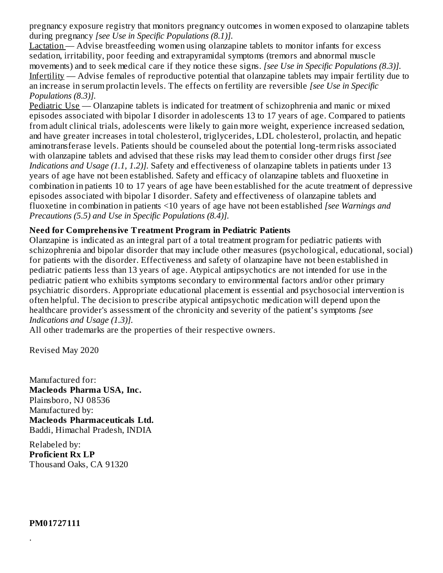pregnancy exposure registry that monitors pregnancy outcomes in women exposed to olanzapine tablets during pregnancy *[see Use in Specific Populations (8.1)].*

Lactation — Advise breastfeeding women using olanzapine tablets to monitor infants for excess sedation, irritability, poor feeding and extrapyramidal symptoms (tremors and abnormal muscle movements) and to seek medical care if they notice these signs. *[see Use in Specific Populations (8.3)].* Infertility — Advise females of reproductive potential that olanzapine tablets may impair fertility due to an increase in serum prolactin levels. The effects on fertility are reversible *[see Use in Specific Populations (8.3)].*

Pediatric Use — Olanzapine tablets is indicated for treatment of schizophrenia and manic or mixed episodes associated with bipolar I disorder in adolescents 13 to 17 years of age. Compared to patients from adult clinical trials, adolescents were likely to gain more weight, experience increased sedation, and have greater increases in total cholesterol, triglycerides, LDL cholesterol, prolactin, and hepatic aminotransferase levels. Patients should be counseled about the potential long-term risks associated with olanzapine tablets and advised that these risks may lead them to consider other drugs first *[see Indications and Usage (1.1, 1.2)].* Safety and effectiveness of olanzapine tablets in patients under 13 years of age have not been established. Safety and efficacy of olanzapine tablets and fluoxetine in combination in patients 10 to 17 years of age have been established for the acute treatment of depressive episodes associated with bipolar I disorder. Safety and effectiveness of olanzapine tablets and fluoxetine in combination in patients <10 years of age have not been established *[see Warnings and Precautions (5.5) and Use in Specific Populations (8.4)].*

#### **Need for Comprehensive Treatment Program in Pediatric Patients**

Olanzapine is indicated as an integral part of a total treatment program for pediatric patients with schizophrenia and bipolar disorder that may include other measures (psychological, educational, social) for patients with the disorder. Effectiveness and safety of olanzapine have not been established in pediatric patients less than 13 years of age. Atypical antipsychotics are not intended for use in the pediatric patient who exhibits symptoms secondary to environmental factors and/or other primary psychiatric disorders. Appropriate educational placement is essential and psychosocial intervention is often helpful. The decision to prescribe atypical antipsychotic medication will depend upon the healthcare provider's assessment of the chronicity and severity of the patient's symptoms *[see Indications and Usage (1.3)].*

All other trademarks are the properties of their respective owners.

Revised May 2020

Manufactured for: **Macleods Pharma USA, Inc.** Plainsboro, NJ 08536 Manufactured by: **Macleods Pharmaceuticals Ltd.** Baddi, Himachal Pradesh, INDIA

Relabeled by: **Proficient Rx LP** Thousand Oaks, CA 91320

**PM01727111**

.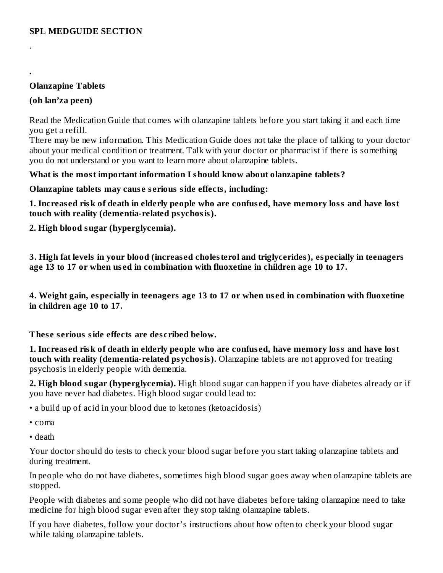#### **Olanzapine Tablets**

#### **(oh lan'za peen)**

.

**.**

Read the Medication Guide that comes with olanzapine tablets before you start taking it and each time you get a refill.

There may be new information. This Medication Guide does not take the place of talking to your doctor about your medical condition or treatment. Talk with your doctor or pharmacist if there is something you do not understand or you want to learn more about olanzapine tablets.

#### **What is the most important information I should know about olanzapine tablets?**

**Olanzapine tablets may caus e s erious side effects, including:**

1. Increased risk of death in elderly people who are confused, have memory loss and have lost **touch with reality (dementia-related psychosis).**

**2. High blood sugar (hyperglycemia).**

**3. High fat levels in your blood (increas ed cholesterol and triglycerides), especially in teenagers age 13 to 17 or when us ed in combination with fluoxetine in children age 10 to 17.**

**4. Weight gain, especially in teenagers age 13 to 17 or when us ed in combination with fluoxetine in children age 10 to 17.**

**Thes e s erious side effects are des cribed below.**

1. Increased risk of death in elderly people who are confused, have memory loss and have lost **touch with reality (dementia-related psychosis).** Olanzapine tablets are not approved for treating psychosis in elderly people with dementia.

**2. High blood sugar (hyperglycemia).** High blood sugar can happen if you have diabetes already or if you have never had diabetes. High blood sugar could lead to:

• a build up of acid in your blood due to ketones (ketoacidosis)

• coma

• death

Your doctor should do tests to check your blood sugar before you start taking olanzapine tablets and during treatment.

In people who do not have diabetes, sometimes high blood sugar goes away when olanzapine tablets are stopped.

People with diabetes and some people who did not have diabetes before taking olanzapine need to take medicine for high blood sugar even after they stop taking olanzapine tablets.

If you have diabetes, follow your doctor's instructions about how often to check your blood sugar while taking olanzapine tablets.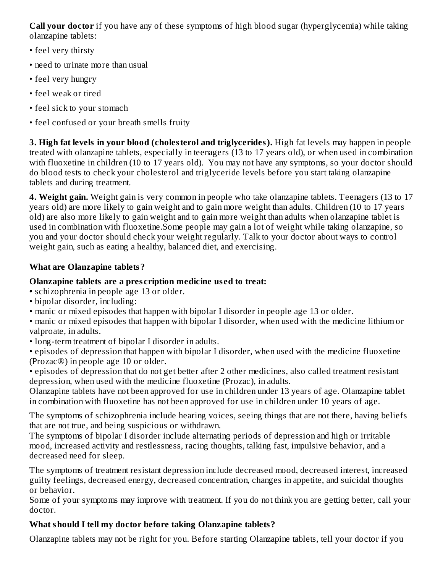**Call your doctor** if you have any of these symptoms of high blood sugar (hyperglycemia) while taking olanzapine tablets:

- feel very thirsty
- need to urinate more than usual
- feel very hungry
- feel weak or tired
- feel sick to your stomach
- feel confused or your breath smells fruity

**3. High fat levels in your blood (cholesterol and triglycerides).** High fat levels may happen in people treated with olanzapine tablets, especially in teenagers (13 to 17 years old), or when used in combination with fluoxetine in children (10 to 17 years old). You may not have any symptoms, so your doctor should do blood tests to check your cholesterol and triglyceride levels before you start taking olanzapine tablets and during treatment.

**4. Weight gain.** Weight gain is very common in people who take olanzapine tablets. Teenagers (13 to 17 years old) are more likely to gain weight and to gain more weight than adults. Children (10 to 17 years old) are also more likely to gain weight and to gain more weight than adults when olanzapine tablet is used in combination with fluoxetine.Some people may gain a lot of weight while taking olanzapine, so you and your doctor should check your weight regularly. Talk to your doctor about ways to control weight gain, such as eating a healthy, balanced diet, and exercising.

## **What are Olanzapine tablets?**

## **Olanzapine tablets are a pres cription medicine us ed to treat:**

- **•** schizophrenia in people age 13 or older.
- bipolar disorder, including:
- manic or mixed episodes that happen with bipolar I disorder in people age 13 or older.

• manic or mixed episodes that happen with bipolar I disorder, when used with the medicine lithium or valproate, in adults.

• long-term treatment of bipolar I disorder in adults.

• episodes of depression that happen with bipolar I disorder, when used with the medicine fluoxetine (Prozac®) in people age 10 or older.

• episodes of depression that do not get better after 2 other medicines, also called treatment resistant depression, when used with the medicine fluoxetine (Prozac), in adults.

Olanzapine tablets have not been approved for use in children under 13 years of age. Olanzapine tablet in combination with fluoxetine has not been approved for use in children under 10 years of age.

The symptoms of schizophrenia include hearing voices, seeing things that are not there, having beliefs that are not true, and being suspicious or withdrawn.

The symptoms of bipolar I disorder include alternating periods of depression and high or irritable mood, increased activity and restlessness, racing thoughts, talking fast, impulsive behavior, and a decreased need for sleep.

The symptoms of treatment resistant depression include decreased mood, decreased interest, increased guilty feelings, decreased energy, decreased concentration, changes in appetite, and suicidal thoughts or behavior.

Some of your symptoms may improve with treatment. If you do not think you are getting better, call your doctor.

## **What should I tell my doctor before taking Olanzapine tablets?**

Olanzapine tablets may not be right for you. Before starting Olanzapine tablets, tell your doctor if you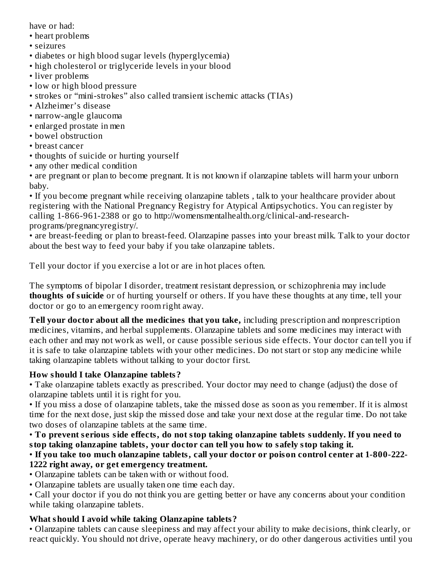have or had:

- heart problems
- seizures
- diabetes or high blood sugar levels (hyperglycemia)
- high cholesterol or triglyceride levels in your blood
- liver problems
- low or high blood pressure
- strokes or "mini-strokes" also called transient ischemic attacks (TIAs)
- Alzheimer's disease
- narrow-angle glaucoma
- enlarged prostate in men
- bowel obstruction
- breast cancer
- thoughts of suicide or hurting yourself
- any other medical condition

• are pregnant or plan to become pregnant. It is not known if olanzapine tablets will harm your unborn baby.

• If you become pregnant while receiving olanzapine tablets , talk to your healthcare provider about registering with the National Pregnancy Registry for Atypical Antipsychotics. You can register by calling 1-866-961-2388 or go to http://womensmentalhealth.org/clinical-and-researchprograms/pregnancyregistry/.

• are breast-feeding or plan to breast-feed. Olanzapine passes into your breast milk. Talk to your doctor about the best way to feed your baby if you take olanzapine tablets.

Tell your doctor if you exercise a lot or are in hot places often.

The symptoms of bipolar I disorder, treatment resistant depression, or schizophrenia may include **thoughts of suicide** or of hurting yourself or others. If you have these thoughts at any time, tell your doctor or go to an emergency room right away.

**Tell your doctor about all the medicines that you take,** including prescription and nonprescription medicines, vitamins, and herbal supplements. Olanzapine tablets and some medicines may interact with each other and may not work as well, or cause possible serious side effects. Your doctor can tell you if it is safe to take olanzapine tablets with your other medicines. Do not start or stop any medicine while taking olanzapine tablets without talking to your doctor first.

#### **How should I take Olanzapine tablets?**

• Take olanzapine tablets exactly as prescribed. Your doctor may need to change (adjust) the dose of olanzapine tablets until it is right for you.

• If you miss a dose of olanzapine tablets, take the missed dose as soon as you remember. If it is almost time for the next dose, just skip the missed dose and take your next dose at the regular time. Do not take two doses of olanzapine tablets at the same time.

• **To prevent s erious side effects, do not stop taking olanzapine tablets suddenly. If you need to stop taking olanzapine tablets, your doctor can tell you how to safely stop taking it.**

#### • **If you take too much olanzapine tablets, call your doctor or poison control center at 1-800-222- 1222 right away, or get emergency treatment.**

- Olanzapine tablets can be taken with or without food.
- Olanzapine tablets are usually taken one time each day.

• Call your doctor if you do not think you are getting better or have any concerns about your condition while taking olanzapine tablets.

#### **What should I avoid while taking Olanzapine tablets?**

• Olanzapine tablets can cause sleepiness and may affect your ability to make decisions, think clearly, or react quickly. You should not drive, operate heavy machinery, or do other dangerous activities until you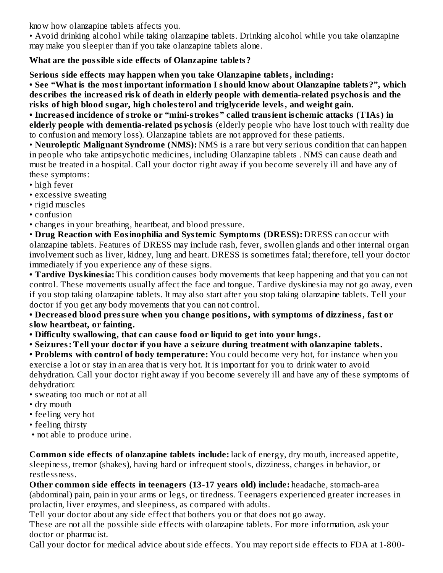know how olanzapine tablets affects you.

• Avoid drinking alcohol while taking olanzapine tablets. Drinking alcohol while you take olanzapine may make you sleepier than if you take olanzapine tablets alone.

#### **What are the possible side effects of Olanzapine tablets?**

**Serious side effects may happen when you take Olanzapine tablets, including:**

**• See "What is the most important information I should know about Olanzapine tablets?", which des cribes the increas ed risk of death in elderly people with dementia-related psychosis and the risks of high blood sugar, high cholesterol and triglyceride levels, and weight gain.**

**• Increas ed incidence of stroke or "mini-strokes" called transient is chemic attacks (TIAs) in elderly people with dementia-related psychosis** (elderly people who have lost touch with reality due to confusion and memory loss). Olanzapine tablets are not approved for these patients.

• **Neuroleptic Malignant Syndrome (NMS):** NMS is a rare but very serious condition that can happen in people who take antipsychotic medicines, including Olanzapine tablets . NMS can cause death and must be treated in a hospital. Call your doctor right away if you become severely ill and have any of these symptoms:

- high fever
- excessive sweating
- rigid muscles
- confusion
- changes in your breathing, heartbeat, and blood pressure.

• **Drug Reaction with Eosinophilia and Systemic Symptoms (DRESS):** DRESS can occur with olanzapine tablets. Features of DRESS may include rash, fever, swollen glands and other internal organ involvement such as liver, kidney, lung and heart. DRESS is sometimes fatal; therefore, tell your doctor immediately if you experience any of these signs.

**• Tardive Dyskinesia:** This condition causes body movements that keep happening and that you can not control. These movements usually affect the face and tongue. Tardive dyskinesia may not go away, even if you stop taking olanzapine tablets. It may also start after you stop taking olanzapine tablets. Tell your doctor if you get any body movements that you can not control.

**• Decreas ed blood pressure when you change positions, with symptoms of dizziness, fast or slow heartbeat, or fainting.**

**• Difficulty swallowing, that can caus e food or liquid to get into your lungs.**

**• Seizures: Tell your doctor if you have a s eizure during treatment with olanzapine tablets.**

**• Problems with control of body temperature:** You could become very hot, for instance when you exercise a lot or stay in an area that is very hot. It is important for you to drink water to avoid dehydration. Call your doctor right away if you become severely ill and have any of these symptoms of dehydration:

- sweating too much or not at all
- dry mouth
- feeling very hot
- feeling thirsty
- not able to produce urine.

**Common side effects of olanzapine tablets include:** lack of energy, dry mouth, increased appetite, sleepiness, tremor (shakes), having hard or infrequent stools, dizziness, changes in behavior, or restlessness.

**Other common side effects in teenagers (13-17 years old) include:** headache, stomach-area (abdominal) pain, pain in your arms or legs, or tiredness. Teenagers experienced greater increases in prolactin, liver enzymes, and sleepiness, as compared with adults.

Tell your doctor about any side effect that bothers you or that does not go away.

These are not all the possible side effects with olanzapine tablets. For more information, ask your doctor or pharmacist.

Call your doctor for medical advice about side effects. You may report side effects to FDA at 1-800-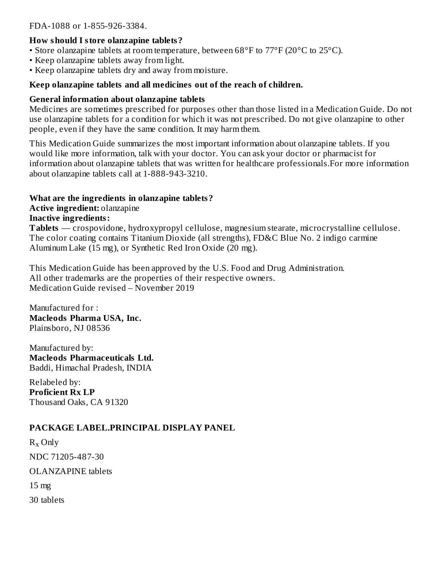#### **How should I store olanzapine tablets?**

- Store olanzapine tablets at room temperature, between 68°F to 77°F (20°C to 25°C).
- Keep olanzapine tablets away from light.
- Keep olanzapine tablets dry and away from moisture.

#### **Keep olanzapine tablets and all medicines out of the reach of children.**

#### **General information about olanzapine tablets**

Medicines are sometimes prescribed for purposes other than those listed in a Medication Guide. Do not use olanzapine tablets for a condition for which it was not prescribed. Do not give olanzapine to other people, even if they have the same condition. It may harm them.

This Medication Guide summarizes the most important information about olanzapine tablets. If you would like more information, talk with your doctor. You can ask your doctor or pharmacist for information about olanzapine tablets that was written for healthcare professionals.For more information about olanzapine tablets call at 1-888-943-3210.

#### **What are the ingredients in olanzapine tablets?**

**Active ingredient:** olanzapine

**Inactive ingredients:**

**Tablets** — crospovidone, hydroxypropyl cellulose, magnesium stearate, microcrystalline cellulose. The color coating contains Titanium Dioxide (all strengths), FD&C Blue No. 2 indigo carmine Aluminum Lake (15 mg), or Synthetic Red Iron Oxide (20 mg).

This Medication Guide has been approved by the U.S. Food and Drug Administration. All other trademarks are the properties of their respective owners. Medication Guide revised – November 2019

Manufactured for : **Macleods Pharma USA, Inc.** Plainsboro, NJ 08536

Manufactured by: **Macleods Pharmaceuticals Ltd.** Baddi, Himachal Pradesh, INDIA

Relabeled by: **Proficient Rx LP** Thousand Oaks, CA 91320

#### **PACKAGE LABEL.PRINCIPAL DISPLAY PANEL**

 $R_x$  Only NDC 71205-487-30 OLANZAPINE tablets 15 mg 30 tablets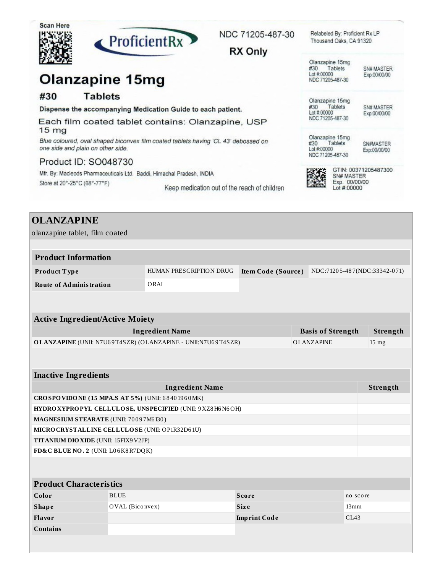